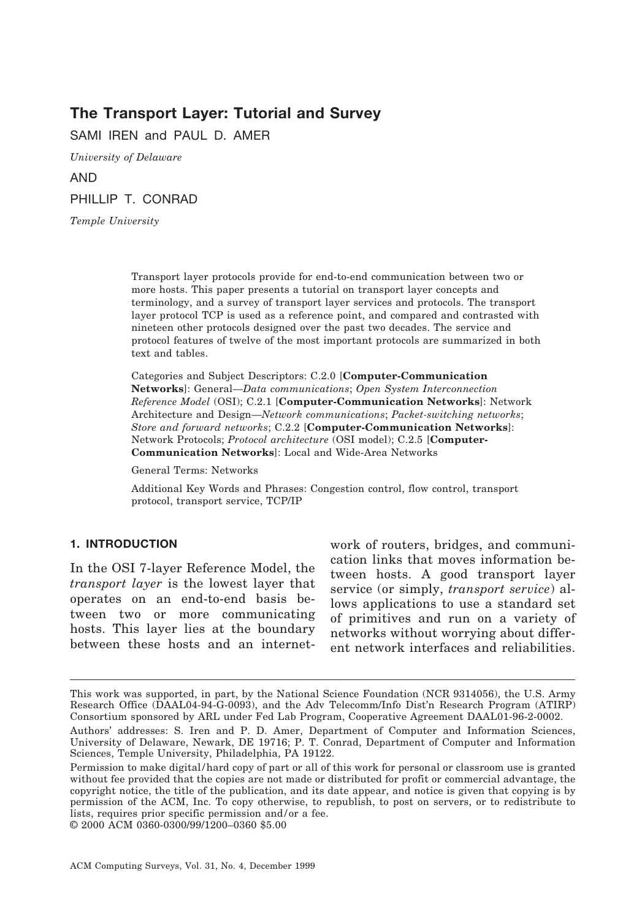# **The Transport Layer: Tutorial and Survey**

SAMI IREN and PAUL D. AMER

*University of Delaware*

AND PHILLIP T. CONRAD

*Temple University*

Transport layer protocols provide for end-to-end communication between two or more hosts. This paper presents a tutorial on transport layer concepts and terminology, and a survey of transport layer services and protocols. The transport layer protocol TCP is used as a reference point, and compared and contrasted with nineteen other protocols designed over the past two decades. The service and protocol features of twelve of the most important protocols are summarized in both text and tables.

Categories and Subject Descriptors: C.2.0 [**Computer-Communication Networks**]: General—*Data communications*; *Open System Interconnection Reference Model* (OSI); C.2.1 [**Computer-Communication Networks**]: Network Architecture and Design—*Network communications*; *Packet-switching networks*; *Store and forward networks*; C.2.2 [**Computer-Communication Networks**]: Network Protocols; *Protocol architecture* (OSI model); C.2.5 [**Computer-Communication Networks**]: Local and Wide-Area Networks

General Terms: Networks

Additional Key Words and Phrases: Congestion control, flow control, transport protocol, transport service, TCP/IP

## **1. INTRODUCTION**

In the OSI 7-layer Reference Model, the *transport layer* is the lowest layer that operates on an end-to-end basis between two or more communicating hosts. This layer lies at the boundary between these hosts and an internetwork of routers, bridges, and communication links that moves information between hosts. A good transport layer service (or simply, *transport service*) allows applications to use a standard set of primitives and run on a variety of networks without worrying about different network interfaces and reliabilities.

© 2000 ACM 0360-0300/99/1200–0360 \$5.00

This work was supported, in part, by the National Science Foundation (NCR 9314056), the U.S. Army Research Office (DAAL04-94-G-0093), and the Adv Telecomm/Info Dist'n Research Program (ATIRP) Consortium sponsored by ARL under Fed Lab Program, Cooperative Agreement DAAL01-96-2-0002.

Authors' addresses: S. Iren and P. D. Amer, Department of Computer and Information Sciences, University of Delaware, Newark, DE 19716; P. T. Conrad, Department of Computer and Information Sciences, Temple University, Philadelphia, PA 19122.

Permission to make digital/hard copy of part or all of this work for personal or classroom use is granted without fee provided that the copies are not made or distributed for profit or commercial advantage, the copyright notice, the title of the publication, and its date appear, and notice is given that copying is by permission of the ACM, Inc. To copy otherwise, to republish, to post on servers, or to redistribute to lists, requires prior specific permission and/or a fee.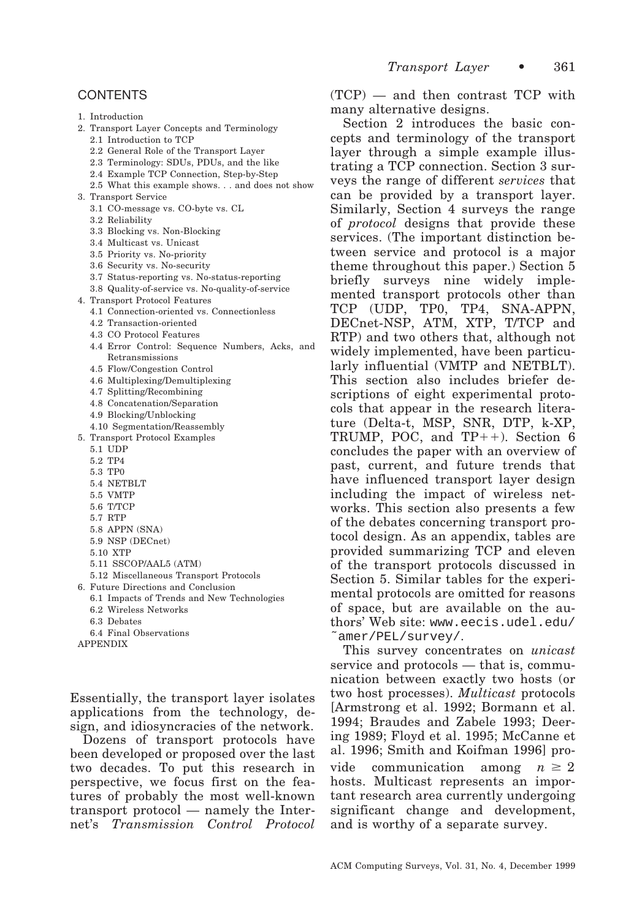## **CONTENTS**

- 1. Introduction
- 2. Transport Layer Concepts and Terminology 2.1 Introduction to TCP
	- 2.2 General Role of the Transport Layer
	- 2.3 Terminology: SDUs, PDUs, and the like
	- 2.4 Example TCP Connection, Step-by-Step
	- 2.5 What this example shows. . . and does not show
- 3. Transport Service
	- 3.1 CO-message vs. CO-byte vs. CL
	- 3.2 Reliability
	- 3.3 Blocking vs. Non-Blocking
	- 3.4 Multicast vs. Unicast
	- 3.5 Priority vs. No-priority
	- 3.6 Security vs. No-security
	- 3.7 Status-reporting vs. No-status-reporting
- 3.8 Quality-of-service vs. No-quality-of-service 4. Transport Protocol Features
	- 4.1 Connection-oriented vs. Connectionless
	- 4.2 Transaction-oriented
	- 4.3 CO Protocol Features
	- 4.4 Error Control: Sequence Numbers, Acks, and Retransmissions
	- 4.5 Flow/Congestion Control
	- 4.6 Multiplexing/Demultiplexing
	- 4.7 Splitting/Recombining
	- 4.8 Concatenation/Separation
	- 4.9 Blocking/Unblocking
	- 4.10 Segmentation/Reassembly
- 5. Transport Protocol Examples
	- 5.1 UDP 5.2 TP4
	- 5.3 TP0
	- 5.4 NETBLT
	- 5.5 VMTP
	- 5.6 T/TCP
	- 5.7 RTP
	- 5.8 APPN (SNA)
	- 5.9 NSP (DECnet)
	- 5.10 XTP
	- 5.11 SSCOP/AAL5 (ATM)
	- 5.12 Miscellaneous Transport Protocols
- 6. Future Directions and Conclusion
	- 6.1 Impacts of Trends and New Technologies 6.2 Wireless Networks
	- 6.3 Debates
	- 6.4 Final Observations

APPENDIX

Essentially, the transport layer isolates applications from the technology, design, and idiosyncracies of the network.

Dozens of transport protocols have been developed or proposed over the last two decades. To put this research in perspective, we focus first on the features of probably the most well-known transport protocol — namely the Internet's *Transmission Control Protocol* (TCP) — and then contrast TCP with many alternative designs.

Section 2 introduces the basic concepts and terminology of the transport layer through a simple example illustrating a TCP connection. Section 3 surveys the range of different *services* that can be provided by a transport layer. Similarly, Section 4 surveys the range of *protocol* designs that provide these services. (The important distinction between service and protocol is a major theme throughout this paper.) Section 5 briefly surveys nine widely implemented transport protocols other than TCP (UDP, TP0, TP4, SNA-APPN, DECnet-NSP, ATM, XTP, T/TCP and RTP) and two others that, although not widely implemented, have been particularly influential (VMTP and NETBLT). This section also includes briefer descriptions of eight experimental protocols that appear in the research literature (Delta-t, MSP, SNR, DTP, k-XP, TRUMP, POC, and  $TP++$ ). Section 6 concludes the paper with an overview of past, current, and future trends that have influenced transport layer design including the impact of wireless networks. This section also presents a few of the debates concerning transport protocol design. As an appendix, tables are provided summarizing TCP and eleven of the transport protocols discussed in Section 5. Similar tables for the experimental protocols are omitted for reasons of space, but are available on the authors' Web site: www.eecis.udel.edu/ ˜amer/PEL/survey/.

This survey concentrates on *unicast* service and protocols — that is, communication between exactly two hosts (or two host processes). *Multicast* protocols [Armstrong et al. 1992; Bormann et al. 1994; Braudes and Zabele 1993; Deering 1989; Floyd et al. 1995; McCanne et al. 1996; Smith and Koifman 1996] provide communication among  $n \geq 2$ hosts. Multicast represents an important research area currently undergoing significant change and development, and is worthy of a separate survey.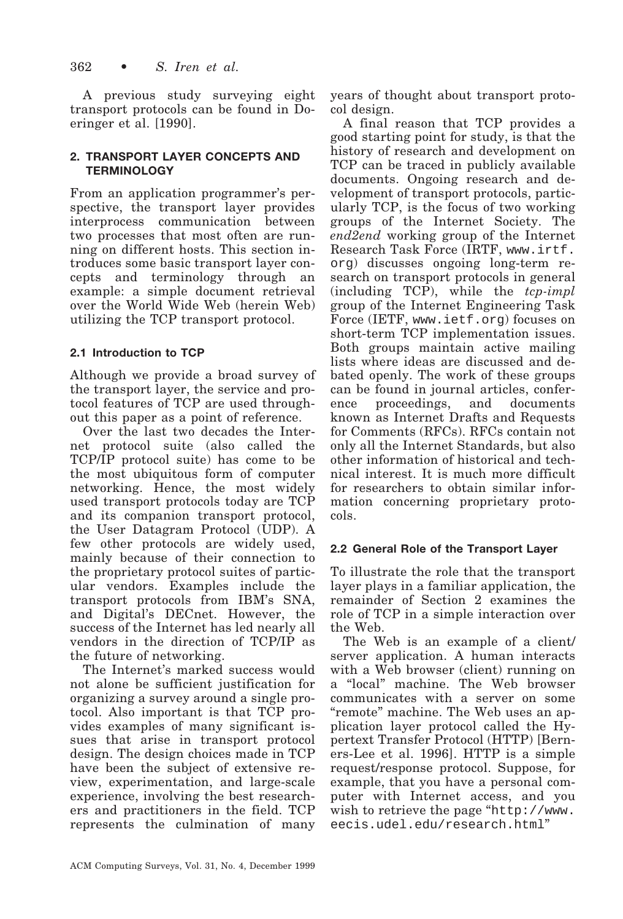A previous study surveying eight transport protocols can be found in Doeringer et al. [1990].

### **2. TRANSPORT LAYER CONCEPTS AND TERMINOLOGY**

From an application programmer's perspective, the transport layer provides interprocess communication between two processes that most often are running on different hosts. This section introduces some basic transport layer concepts and terminology through an example: a simple document retrieval over the World Wide Web (herein Web) utilizing the TCP transport protocol.

## **2.1 Introduction to TCP**

Although we provide a broad survey of the transport layer, the service and protocol features of TCP are used throughout this paper as a point of reference.

Over the last two decades the Internet protocol suite (also called the TCP/IP protocol suite) has come to be the most ubiquitous form of computer networking. Hence, the most widely used transport protocols today are TCP and its companion transport protocol, the User Datagram Protocol (UDP). A few other protocols are widely used, mainly because of their connection to the proprietary protocol suites of particular vendors. Examples include the transport protocols from IBM's SNA, and Digital's DECnet. However, the success of the Internet has led nearly all vendors in the direction of TCP/IP as the future of networking.

The Internet's marked success would not alone be sufficient justification for organizing a survey around a single protocol. Also important is that TCP provides examples of many significant issues that arise in transport protocol design. The design choices made in TCP have been the subject of extensive review, experimentation, and large-scale experience, involving the best researchers and practitioners in the field. TCP represents the culmination of many years of thought about transport protocol design.

A final reason that TCP provides a good starting point for study, is that the history of research and development on TCP can be traced in publicly available documents. Ongoing research and development of transport protocols, particularly TCP, is the focus of two working groups of the Internet Society. The *end2end* working group of the Internet Research Task Force (IRTF, www.irtf. org) discusses ongoing long-term research on transport protocols in general (including TCP), while the *tcp-impl* group of the Internet Engineering Task Force (IETF, www.ietf.org) focuses on short-term TCP implementation issues. Both groups maintain active mailing lists where ideas are discussed and debated openly. The work of these groups can be found in journal articles, conference proceedings, and documents known as Internet Drafts and Requests for Comments (RFCs). RFCs contain not only all the Internet Standards, but also other information of historical and technical interest. It is much more difficult for researchers to obtain similar information concerning proprietary protocols.

## **2.2 General Role of the Transport Layer**

To illustrate the role that the transport layer plays in a familiar application, the remainder of Section 2 examines the role of TCP in a simple interaction over the Web.

The Web is an example of a client/ server application. A human interacts with a Web browser (client) running on a "local" machine. The Web browser communicates with a server on some "remote" machine. The Web uses an application layer protocol called the Hypertext Transfer Protocol (HTTP) [Berners-Lee et al. 1996]. HTTP is a simple request/response protocol. Suppose, for example, that you have a personal computer with Internet access, and you wish to retrieve the page "http://www. eecis.udel.edu/research.html"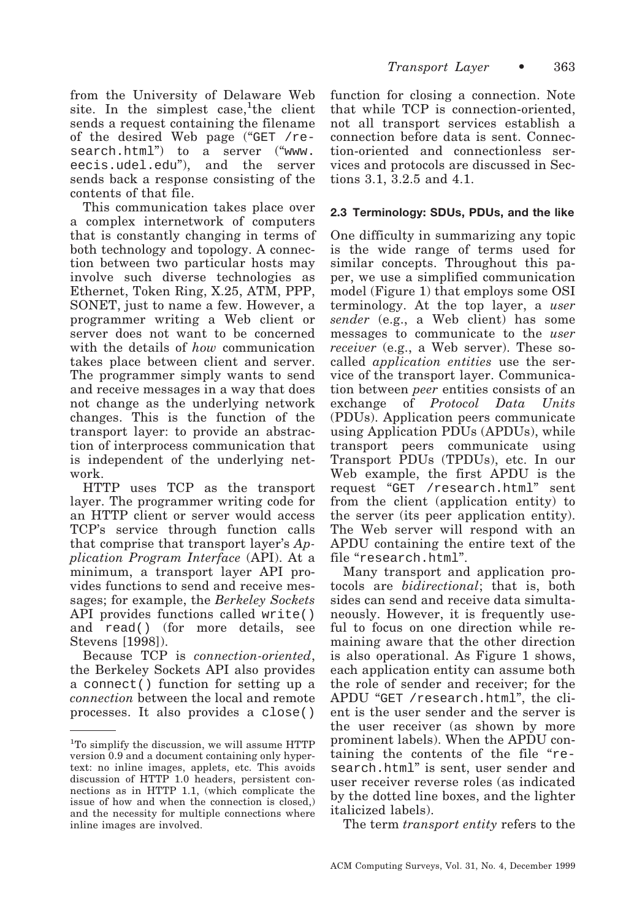from the University of Delaware Web site. In the simplest case,<sup>1</sup>the client sends a request containing the filename of the desired Web page ("GET /research.html") to a server ("www. eecis.udel.edu"), and the server sends back a response consisting of the contents of that file.

This communication takes place over a complex internetwork of computers that is constantly changing in terms of both technology and topology. A connection between two particular hosts may involve such diverse technologies as Ethernet, Token Ring, X.25, ATM, PPP, SONET, just to name a few. However, a programmer writing a Web client or server does not want to be concerned with the details of *how* communication takes place between client and server. The programmer simply wants to send and receive messages in a way that does not change as the underlying network changes. This is the function of the transport layer: to provide an abstraction of interprocess communication that is independent of the underlying network.

HTTP uses TCP as the transport layer. The programmer writing code for an HTTP client or server would access TCP's service through function calls that comprise that transport layer's *Application Program Interface* (API). At a minimum, a transport layer API provides functions to send and receive messages; for example, the *Berkeley Sockets* API provides functions called write() and read() (for more details, see Stevens [1998]).

Because TCP is *connection-oriented*, the Berkeley Sockets API also provides a connect() function for setting up a *connection* between the local and remote processes. It also provides a close()

function for closing a connection. Note that while TCP is connection-oriented, not all transport services establish a connection before data is sent. Connection-oriented and connectionless services and protocols are discussed in Sections 3.1, 3.2.5 and 4.1.

## **2.3 Terminology: SDUs, PDUs, and the like**

One difficulty in summarizing any topic is the wide range of terms used for similar concepts. Throughout this paper, we use a simplified communication model (Figure 1) that employs some OSI terminology. At the top layer, a *user sender* (e.g., a Web client) has some messages to communicate to the *user receiver* (e.g., a Web server). These socalled *application entities* use the service of the transport layer. Communication between *peer* entities consists of an exchange of *Protocol Data Units* (PDUs). Application peers communicate using Application PDUs (APDUs), while transport peers communicate using Transport PDUs (TPDUs), etc. In our Web example, the first APDU is the request "GET /research.html" sent from the client (application entity) to the server (its peer application entity). The Web server will respond with an APDU containing the entire text of the file "research.html".

Many transport and application protocols are *bidirectional*; that is, both sides can send and receive data simultaneously. However, it is frequently useful to focus on one direction while remaining aware that the other direction is also operational. As Figure 1 shows, each application entity can assume both the role of sender and receiver; for the APDU "GET /research.html", the client is the user sender and the server is the user receiver (as shown by more prominent labels). When the APDU containing the contents of the file "research.html" is sent, user sender and user receiver reverse roles (as indicated by the dotted line boxes, and the lighter italicized labels).

The term *transport entity* refers to the

<sup>1</sup> To simplify the discussion, we will assume HTTP version 0.9 and a document containing only hypertext: no inline images, applets, etc. This avoids discussion of HTTP 1.0 headers, persistent connections as in HTTP 1.1, (which complicate the issue of how and when the connection is closed,) and the necessity for multiple connections where inline images are involved.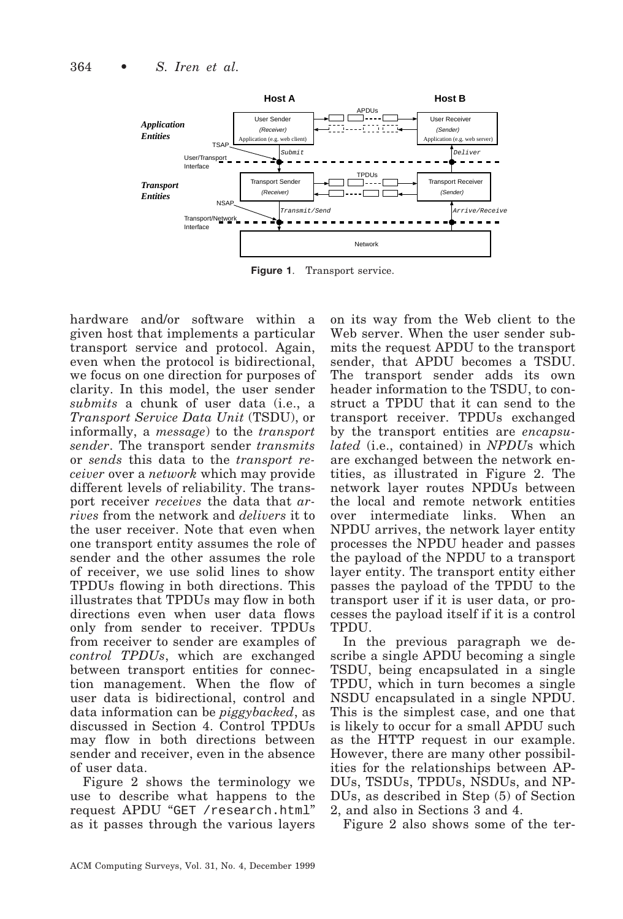

**Figure 1**. Transport service.

hardware and/or software within a given host that implements a particular transport service and protocol. Again, even when the protocol is bidirectional, we focus on one direction for purposes of clarity. In this model, the user sender *submits* a chunk of user data (i.e., a *Transport Service Data Unit* (TSDU), or informally, a *message*) to the *transport sender*. The transport sender *transmits* or *sends* this data to the *transport receiver* over a *network* which may provide different levels of reliability. The transport receiver *receives* the data that *arrives* from the network and *delivers* it to the user receiver. Note that even when one transport entity assumes the role of sender and the other assumes the role of receiver, we use solid lines to show TPDUs flowing in both directions. This illustrates that TPDUs may flow in both directions even when user data flows only from sender to receiver. TPDUs from receiver to sender are examples of *control TPDUs*, which are exchanged between transport entities for connection management. When the flow of user data is bidirectional, control and data information can be *piggybacked*, as discussed in Section 4. Control TPDUs may flow in both directions between sender and receiver, even in the absence of user data.

Figure 2 shows the terminology we use to describe what happens to the request APDU "GET /research.html" as it passes through the various layers on its way from the Web client to the Web server. When the user sender submits the request APDU to the transport sender, that APDU becomes a TSDU. The transport sender adds its own header information to the TSDU, to construct a TPDU that it can send to the transport receiver. TPDUs exchanged by the transport entities are *encapsulated* (i.e., contained) in *NPDU*s which are exchanged between the network entities, as illustrated in Figure 2. The network layer routes NPDUs between the local and remote network entities over intermediate links. When an NPDU arrives, the network layer entity processes the NPDU header and passes the payload of the NPDU to a transport layer entity. The transport entity either passes the payload of the TPDU to the transport user if it is user data, or processes the payload itself if it is a control TPDU.

In the previous paragraph we describe a single APDU becoming a single TSDU, being encapsulated in a single TPDU, which in turn becomes a single NSDU encapsulated in a single NPDU. This is the simplest case, and one that is likely to occur for a small APDU such as the HTTP request in our example. However, there are many other possibilities for the relationships between AP-DUs, TSDUs, TPDUs, NSDUs, and NP-DUs, as described in Step (5) of Section 2, and also in Sections 3 and 4.

Figure 2 also shows some of the ter-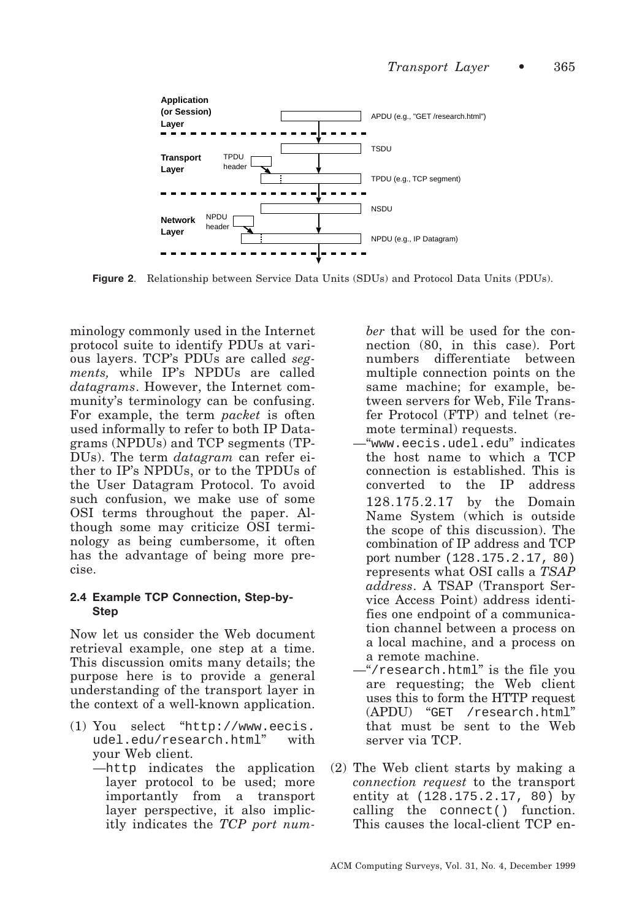

**Figure 2**. Relationship between Service Data Units (SDUs) and Protocol Data Units (PDUs).

minology commonly used in the Internet protocol suite to identify PDUs at various layers. TCP's PDUs are called *segments,* while IP's NPDUs are called *datagrams*. However, the Internet community's terminology can be confusing. For example, the term *packet* is often used informally to refer to both IP Datagrams (NPDUs) and TCP segments (TP-DUs). The term *datagram* can refer either to IP's NPDUs, or to the TPDUs of the User Datagram Protocol. To avoid such confusion, we make use of some OSI terms throughout the paper. Although some may criticize OSI terminology as being cumbersome, it often has the advantage of being more precise.

#### **2.4 Example TCP Connection, Step-by-Step**

Now let us consider the Web document retrieval example, one step at a time. This discussion omits many details; the purpose here is to provide a general understanding of the transport layer in the context of a well-known application.

- (1) You select "http://www.eecis. udel.edu/research.html" with your Web client.
	- —http indicates the application layer protocol to be used; more importantly from a transport layer perspective, it also implicitly indicates the *TCP port num-*

*ber* that will be used for the connection (80, in this case). Port numbers differentiate between multiple connection points on the same machine; for example, between servers for Web, File Transfer Protocol (FTP) and telnet (remote terminal) requests.

- —"www.eecis.udel.edu" indicates the host name to which a TCP connection is established. This is converted to the IP address 128.175.2.17 by the Domain Name System (which is outside the scope of this discussion). The combination of IP address and TCP port number (128.175.2.17, 80) represents what OSI calls a *TSAP address*. A TSAP (Transport Service Access Point) address identifies one endpoint of a communication channel between a process on a local machine, and a process on a remote machine.
- —"/research.html" is the file you are requesting; the Web client uses this to form the HTTP request (APDU) "GET /research.html" that must be sent to the Web server via TCP.
- (2) The Web client starts by making a *connection request* to the transport entity at (128.175.2.17, 80) by calling the connect() function. This causes the local-client TCP en-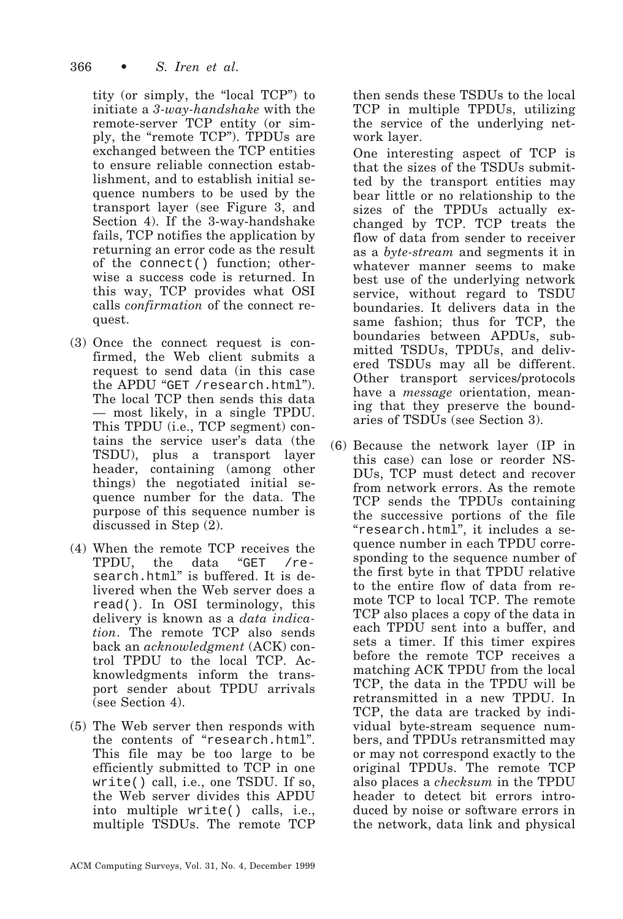tity (or simply, the "local TCP") to initiate a *3-way-handshake* with the remote-server TCP entity (or simply, the "remote TCP"). TPDUs are exchanged between the TCP entities to ensure reliable connection establishment, and to establish initial sequence numbers to be used by the transport layer (see Figure 3, and Section 4). If the 3-way-handshake fails, TCP notifies the application by returning an error code as the result of the connect() function; otherwise a success code is returned. In this way, TCP provides what OSI calls *confirmation* of the connect request.

- (3) Once the connect request is confirmed, the Web client submits a request to send data (in this case the APDU "GET /research.html"). The local TCP then sends this data — most likely, in a single TPDU. This TPDU (i.e., TCP segment) contains the service user's data (the TSDU), plus a transport layer header, containing (among other things) the negotiated initial sequence number for the data. The purpose of this sequence number is discussed in Step (2).
- (4) When the remote TCP receives the TPDU, the data "GET /re-TPDU, the data "GET /research.html" is buffered. It is delivered when the Web server does a read(). In OSI terminology, this delivery is known as a *data indication*. The remote TCP also sends back an *acknowledgment* (ACK) control TPDU to the local TCP. Acknowledgments inform the transport sender about TPDU arrivals (see Section 4).
- (5) The Web server then responds with the contents of "research.html". This file may be too large to be efficiently submitted to TCP in one write() call, i.e., one TSDU. If so, the Web server divides this APDU into multiple write() calls, i.e., multiple TSDUs. The remote TCP

then sends these TSDUs to the local TCP in multiple TPDUs, utilizing the service of the underlying network layer.

One interesting aspect of TCP is that the sizes of the TSDUs submitted by the transport entities may bear little or no relationship to the sizes of the TPDUs actually exchanged by TCP. TCP treats the flow of data from sender to receiver as a *byte-stream* and segments it in whatever manner seems to make best use of the underlying network service, without regard to TSDU boundaries. It delivers data in the same fashion; thus for TCP, the boundaries between APDUs, submitted TSDUs, TPDUs, and delivered TSDUs may all be different. Other transport services/protocols have a *message* orientation, meaning that they preserve the boundaries of TSDUs (see Section 3).

(6) Because the network layer (IP in this case) can lose or reorder NS-DUs, TCP must detect and recover from network errors. As the remote TCP sends the TPDUs containing the successive portions of the file "research.html", it includes a sequence number in each TPDU corresponding to the sequence number of the first byte in that TPDU relative to the entire flow of data from remote TCP to local TCP. The remote TCP also places a copy of the data in each TPDU sent into a buffer, and sets a timer. If this timer expires before the remote TCP receives a matching ACK TPDU from the local TCP, the data in the TPDU will be retransmitted in a new TPDU. In TCP, the data are tracked by individual byte-stream sequence numbers, and TPDUs retransmitted may or may not correspond exactly to the original TPDUs. The remote TCP also places a *checksum* in the TPDU header to detect bit errors introduced by noise or software errors in the network, data link and physical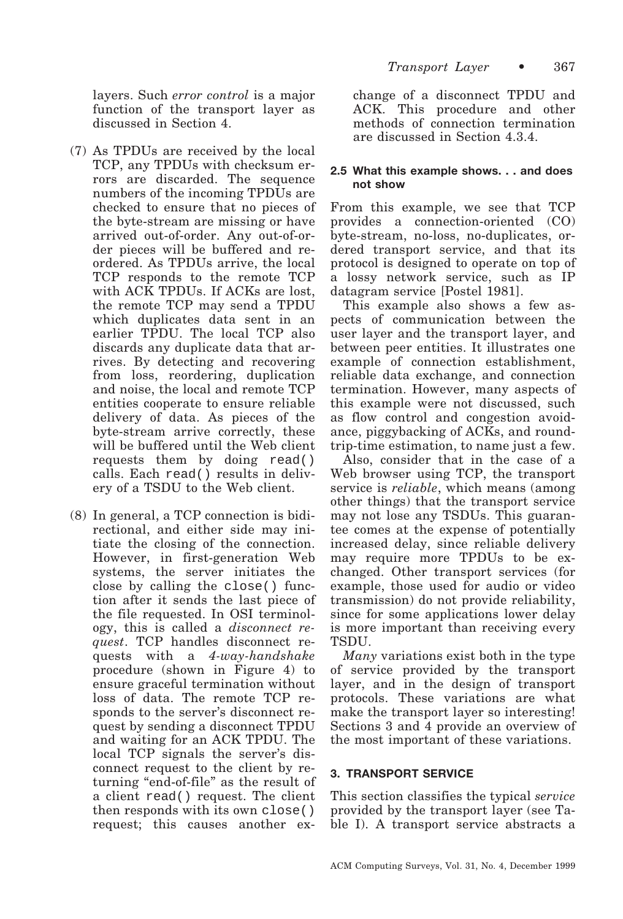- (7) As TPDUs are received by the local TCP, any TPDUs with checksum errors are discarded. The sequence numbers of the incoming TPDUs are checked to ensure that no pieces of the byte-stream are missing or have arrived out-of-order. Any out-of-order pieces will be buffered and reordered. As TPDUs arrive, the local TCP responds to the remote TCP with ACK TPDUs. If ACKs are lost, the remote TCP may send a TPDU which duplicates data sent in an earlier TPDU. The local TCP also discards any duplicate data that arrives. By detecting and recovering from loss, reordering, duplication and noise, the local and remote TCP entities cooperate to ensure reliable delivery of data. As pieces of the byte-stream arrive correctly, these will be buffered until the Web client requests them by doing read() calls. Each read() results in delivery of a TSDU to the Web client.
- (8) In general, a TCP connection is bidirectional, and either side may initiate the closing of the connection. However, in first-generation Web systems, the server initiates the close by calling the close() function after it sends the last piece of the file requested. In OSI terminology, this is called a *disconnect request*. TCP handles disconnect requests with a *4-way-handshake* procedure (shown in Figure 4) to ensure graceful termination without loss of data. The remote TCP responds to the server's disconnect request by sending a disconnect TPDU and waiting for an ACK TPDU. The local TCP signals the server's disconnect request to the client by returning "end-of-file" as the result of a client read() request. The client then responds with its own close() request; this causes another ex-

change of a disconnect TPDU and ACK. This procedure and other methods of connection termination are discussed in Section 4.3.4.

#### **2.5 What this example shows. . . and does not show**

From this example, we see that TCP provides a connection-oriented (CO) byte-stream, no-loss, no-duplicates, ordered transport service, and that its protocol is designed to operate on top of a lossy network service, such as IP datagram service [Postel 1981].

This example also shows a few aspects of communication between the user layer and the transport layer, and between peer entities. It illustrates one example of connection establishment, reliable data exchange, and connection termination. However, many aspects of this example were not discussed, such as flow control and congestion avoidance, piggybacking of ACKs, and roundtrip-time estimation, to name just a few.

Also, consider that in the case of a Web browser using TCP, the transport service is *reliable*, which means (among other things) that the transport service may not lose any TSDUs. This guarantee comes at the expense of potentially increased delay, since reliable delivery may require more TPDUs to be exchanged. Other transport services (for example, those used for audio or video transmission) do not provide reliability, since for some applications lower delay is more important than receiving every TSDU.

*Many* variations exist both in the type of service provided by the transport layer, and in the design of transport protocols. These variations are what make the transport layer so interesting! Sections 3 and 4 provide an overview of the most important of these variations.

#### **3. TRANSPORT SERVICE**

This section classifies the typical *service* provided by the transport layer (see Table I). A transport service abstracts a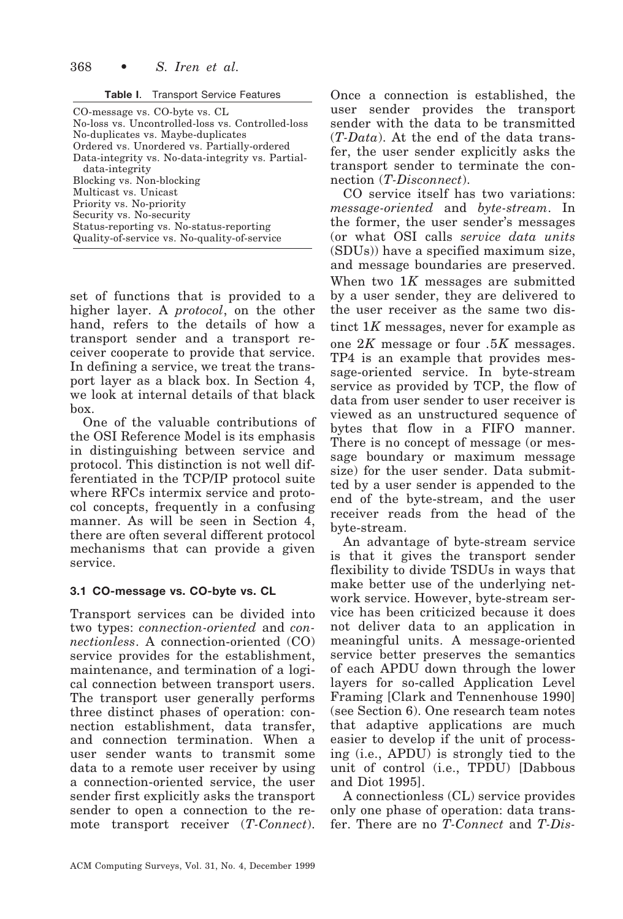**Table I**. Transport Service Features

| CO-message vs. CO-byte vs. CL                     |
|---------------------------------------------------|
| No-loss vs. Uncontrolled-loss vs. Controlled-loss |
| No-duplicates vs. Maybe-duplicates                |
| Ordered vs. Unordered vs. Partially-ordered       |
| Data-integrity vs. No-data-integrity vs. Partial- |
| data-integrity                                    |
| Blocking vs. Non-blocking                         |
| Multicast vs. Unicast                             |
| Priority vs. No-priority                          |
| Security vs. No-security                          |
| Status-reporting vs. No-status-reporting          |
| Quality-of-service vs. No-quality-of-service      |

set of functions that is provided to a higher layer. A *protocol*, on the other hand, refers to the details of how a transport sender and a transport receiver cooperate to provide that service. In defining a service, we treat the transport layer as a black box. In Section 4, we look at internal details of that black box.

One of the valuable contributions of the OSI Reference Model is its emphasis in distinguishing between service and protocol. This distinction is not well differentiated in the TCP/IP protocol suite where RFCs intermix service and protocol concepts, frequently in a confusing manner. As will be seen in Section 4, there are often several different protocol mechanisms that can provide a given service.

#### **3.1 CO-message vs. CO-byte vs. CL**

Transport services can be divided into two types: *connection-oriented* and *connectionless*. A connection-oriented (CO) service provides for the establishment, maintenance, and termination of a logical connection between transport users. The transport user generally performs three distinct phases of operation: connection establishment, data transfer, and connection termination. When a user sender wants to transmit some data to a remote user receiver by using a connection-oriented service, the user sender first explicitly asks the transport sender to open a connection to the remote transport receiver (*T-Connect*).

Once a connection is established, the user sender provides the transport sender with the data to be transmitted (*T-Data*). At the end of the data transfer, the user sender explicitly asks the transport sender to terminate the connection (*T-Disconnect*).

CO service itself has two variations: *message-oriented* and *byte-stream*. In the former, the user sender's messages (or what OSI calls *service data units* (SDUs)) have a specified maximum size, and message boundaries are preserved. When two 1*K* messages are submitted by a user sender, they are delivered to the user receiver as the same two distinct 1*K* messages, never for example as one 2*K* message or four .5*K* messages. TP4 is an example that provides message-oriented service. In byte-stream service as provided by TCP, the flow of data from user sender to user receiver is viewed as an unstructured sequence of bytes that flow in a FIFO manner. There is no concept of message (or message boundary or maximum message size) for the user sender. Data submitted by a user sender is appended to the end of the byte-stream, and the user receiver reads from the head of the byte-stream.

An advantage of byte-stream service is that it gives the transport sender flexibility to divide TSDUs in ways that make better use of the underlying network service. However, byte-stream service has been criticized because it does not deliver data to an application in meaningful units. A message-oriented service better preserves the semantics of each APDU down through the lower layers for so-called Application Level Framing [Clark and Tennenhouse 1990] (see Section 6). One research team notes that adaptive applications are much easier to develop if the unit of processing (i.e., APDU) is strongly tied to the unit of control (i.e., TPDU) [Dabbous and Diot 1995].

A connectionless (CL) service provides only one phase of operation: data transfer. There are no *T-Connect* and *T-Dis-*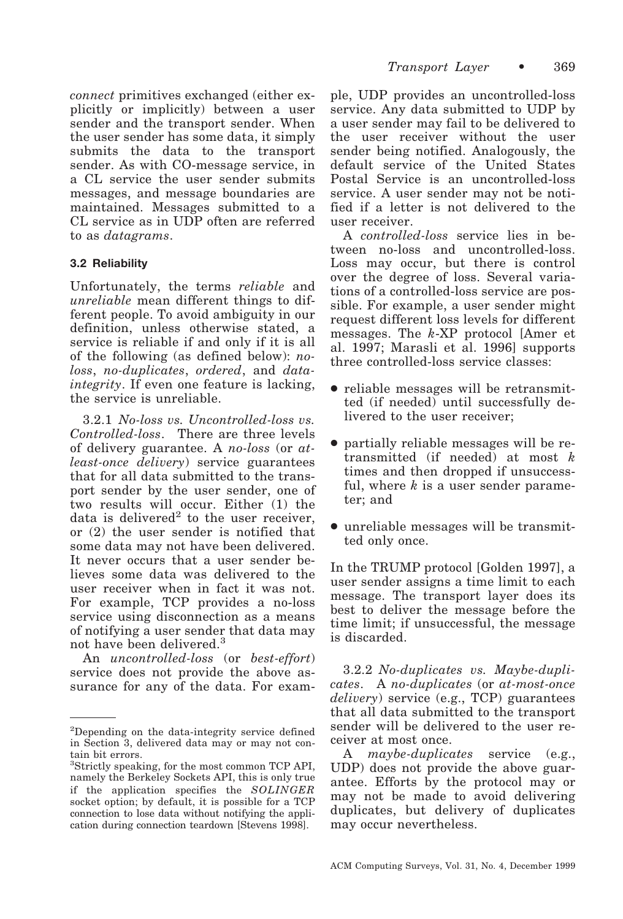*connect* primitives exchanged (either explicitly or implicitly) between a user sender and the transport sender. When the user sender has some data, it simply submits the data to the transport sender. As with CO-message service, in a CL service the user sender submits messages, and message boundaries are maintained. Messages submitted to a CL service as in UDP often are referred to as *datagrams*.

### **3.2 Reliability**

Unfortunately, the terms *reliable* and *unreliable* mean different things to different people. To avoid ambiguity in our definition, unless otherwise stated, a service is reliable if and only if it is all of the following (as defined below): *noloss*, *no-duplicates*, *ordered*, and *dataintegrity*. If even one feature is lacking, the service is unreliable.

3.2.1 *No-loss vs. Uncontrolled-loss vs. Controlled-loss*. There are three levels of delivery guarantee. A *no-loss* (or *atleast-once delivery*) service guarantees that for all data submitted to the transport sender by the user sender, one of two results will occur. Either (1) the data is delivered<sup>2</sup> to the user receiver, or (2) the user sender is notified that some data may not have been delivered. It never occurs that a user sender believes some data was delivered to the user receiver when in fact it was not. For example, TCP provides a no-loss service using disconnection as a means of notifying a user sender that data may not have been delivered.<sup>3</sup>

An *uncontrolled-loss* (or *best-effort*) service does not provide the above assurance for any of the data. For example, UDP provides an uncontrolled-loss service. Any data submitted to UDP by a user sender may fail to be delivered to the user receiver without the user sender being notified. Analogously, the default service of the United States Postal Service is an uncontrolled-loss service. A user sender may not be notified if a letter is not delivered to the user receiver.

A *controlled-loss* service lies in between no-loss and uncontrolled-loss. Loss may occur, but there is control over the degree of loss. Several variations of a controlled-loss service are possible. For example, a user sender might request different loss levels for different messages. The *k*-XP protocol [Amer et al. 1997; Marasli et al. 1996] supports three controlled-loss service classes:

- reliable messages will be retransmitted (if needed) until successfully delivered to the user receiver;
- partially reliable messages will be retransmitted (if needed) at most *k* times and then dropped if unsuccessful, where *k* is a user sender parameter; and
- unreliable messages will be transmitted only once.

In the TRUMP protocol [Golden 1997], a user sender assigns a time limit to each message. The transport layer does its best to deliver the message before the time limit; if unsuccessful, the message is discarded.

3.2.2 *No-duplicates vs. Maybe-duplicates*. A *no-duplicates* (or *at-most-once delivery*) service (e.g., TCP) guarantees that all data submitted to the transport sender will be delivered to the user receiver at most once.

A *maybe-duplicates* service (e.g., UDP) does not provide the above guarantee. Efforts by the protocol may or may not be made to avoid delivering duplicates, but delivery of duplicates may occur nevertheless.

<sup>2</sup> Depending on the data-integrity service defined in Section 3, delivered data may or may not contain bit errors.

<sup>3</sup> Strictly speaking, for the most common TCP API, namely the Berkeley Sockets API, this is only true if the application specifies the *SOLINGER* socket option; by default, it is possible for a TCP connection to lose data without notifying the application during connection teardown [Stevens 1998].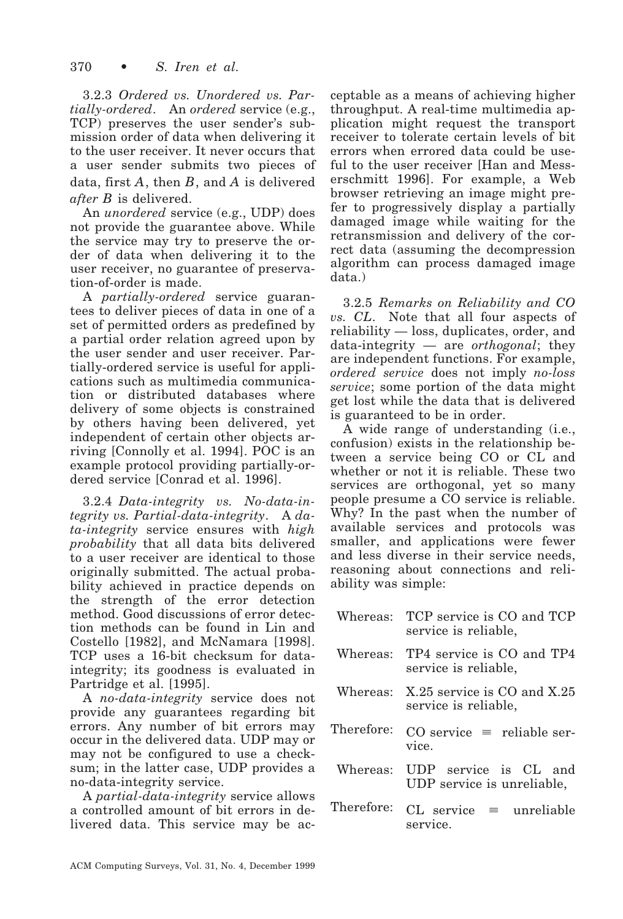3.2.3 *Ordered vs. Unordered vs. Partially-ordered*. An *ordered* service (e.g., TCP) preserves the user sender's submission order of data when delivering it to the user receiver. It never occurs that a user sender submits two pieces of data, first *A*, then *B*, and *A* is delivered *after B* is delivered.

An *unordered* service (e.g., UDP) does not provide the guarantee above. While the service may try to preserve the order of data when delivering it to the user receiver, no guarantee of preservation-of-order is made.

A *partially-ordered* service guarantees to deliver pieces of data in one of a set of permitted orders as predefined by a partial order relation agreed upon by the user sender and user receiver. Partially-ordered service is useful for applications such as multimedia communication or distributed databases where delivery of some objects is constrained by others having been delivered, yet independent of certain other objects arriving [Connolly et al. 1994]. POC is an example protocol providing partially-ordered service [Conrad et al. 1996].

3.2.4 *Data-integrity vs. No-data-integrity vs. Partial-data-integrity*. A *data-integrity* service ensures with *high probability* that all data bits delivered to a user receiver are identical to those originally submitted. The actual probability achieved in practice depends on the strength of the error detection method. Good discussions of error detection methods can be found in Lin and Costello [1982], and McNamara [1998]. TCP uses a 16-bit checksum for dataintegrity; its goodness is evaluated in Partridge et al. [1995].

A *no-data-integrity* service does not provide any guarantees regarding bit errors. Any number of bit errors may occur in the delivered data. UDP may or may not be configured to use a checksum; in the latter case, UDP provides a no-data-integrity service.

A *partial-data-integrity* service allows a controlled amount of bit errors in delivered data. This service may be acceptable as a means of achieving higher throughput. A real-time multimedia application might request the transport receiver to tolerate certain levels of bit errors when errored data could be useful to the user receiver [Han and Messerschmitt 1996]. For example, a Web browser retrieving an image might prefer to progressively display a partially damaged image while waiting for the retransmission and delivery of the correct data (assuming the decompression algorithm can process damaged image data.)

3.2.5 *Remarks on Reliability and CO vs. CL*. Note that all four aspects of reliability — loss, duplicates, order, and data-integrity — are *orthogonal*; they are independent functions. For example, *ordered service* does not imply *no-loss service*; some portion of the data might get lost while the data that is delivered is guaranteed to be in order.

A wide range of understanding (i.e., confusion) exists in the relationship between a service being CO or CL and whether or not it is reliable. These two services are orthogonal, yet so many people presume a CO service is reliable. Why? In the past when the number of available services and protocols was smaller, and applications were fewer and less diverse in their service needs, reasoning about connections and reliability was simple:

| Whereas:   | TCP service is CO and TCP<br>service is reliable,          |
|------------|------------------------------------------------------------|
|            | Whereas: TP4 service is CO and TP4<br>service is reliable, |
| Whereas:   | X.25 service is CO and X.25<br>service is reliable,        |
| Therefore: | $CO$ service $\equiv$ reliable ser-<br>vice.               |
| Whereas:   | UDP service is CL and<br>UDP service is unreliable,        |
| Therefore: | $CL$ service $\equiv$ unreliable<br>service.               |
|            |                                                            |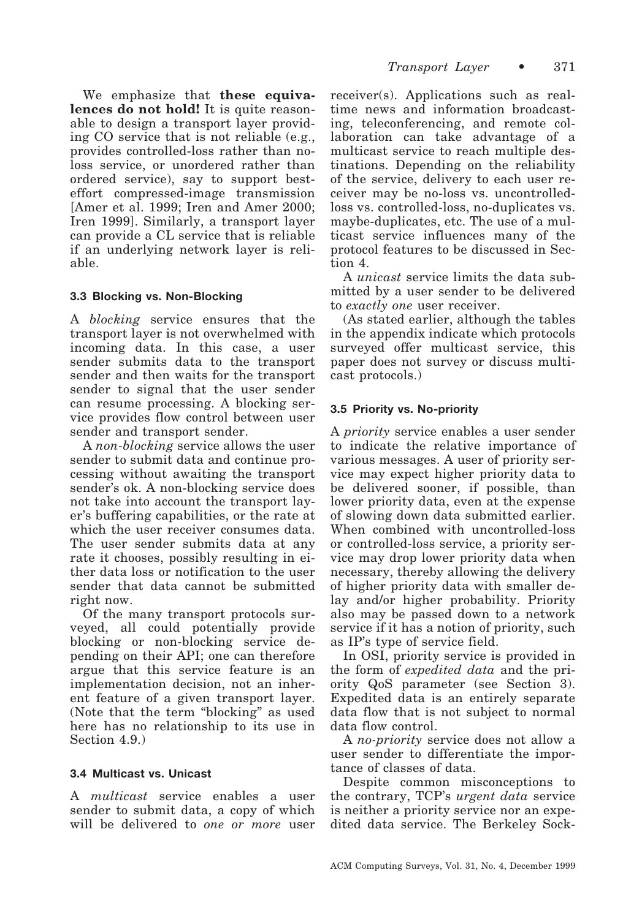We emphasize that **these equivalences do not hold!** It is quite reasonable to design a transport layer providing CO service that is not reliable (e.g., provides controlled-loss rather than noloss service, or unordered rather than ordered service), say to support besteffort compressed-image transmission [Amer et al. 1999; Iren and Amer 2000; Iren 1999]. Similarly, a transport layer can provide a CL service that is reliable if an underlying network layer is reliable.

#### **3.3 Blocking vs. Non-Blocking**

A *blocking* service ensures that the transport layer is not overwhelmed with incoming data. In this case, a user sender submits data to the transport sender and then waits for the transport sender to signal that the user sender can resume processing. A blocking service provides flow control between user sender and transport sender.

A *non-blocking* service allows the user sender to submit data and continue processing without awaiting the transport sender's ok. A non-blocking service does not take into account the transport layer's buffering capabilities, or the rate at which the user receiver consumes data. The user sender submits data at any rate it chooses, possibly resulting in either data loss or notification to the user sender that data cannot be submitted right now.

Of the many transport protocols surveyed, all could potentially provide blocking or non-blocking service depending on their API; one can therefore argue that this service feature is an implementation decision, not an inherent feature of a given transport layer. (Note that the term "blocking" as used here has no relationship to its use in Section 4.9.)

#### **3.4 Multicast vs. Unicast**

A *multicast* service enables a user sender to submit data, a copy of which will be delivered to *one or more* user

receiver(s). Applications such as realtime news and information broadcasting, teleconferencing, and remote collaboration can take advantage of a multicast service to reach multiple destinations. Depending on the reliability of the service, delivery to each user receiver may be no-loss vs. uncontrolledloss vs. controlled-loss, no-duplicates vs. maybe-duplicates, etc. The use of a multicast service influences many of the protocol features to be discussed in Section 4.

A *unicast* service limits the data submitted by a user sender to be delivered to *exactly one* user receiver.

(As stated earlier, although the tables in the appendix indicate which protocols surveyed offer multicast service, this paper does not survey or discuss multicast protocols.)

#### **3.5 Priority vs. No-priority**

A *priority* service enables a user sender to indicate the relative importance of various messages. A user of priority service may expect higher priority data to be delivered sooner, if possible, than lower priority data, even at the expense of slowing down data submitted earlier. When combined with uncontrolled-loss or controlled-loss service, a priority service may drop lower priority data when necessary, thereby allowing the delivery of higher priority data with smaller delay and/or higher probability. Priority also may be passed down to a network service if it has a notion of priority, such as IP's type of service field.

In OSI, priority service is provided in the form of *expedited data* and the priority QoS parameter (see Section 3). Expedited data is an entirely separate data flow that is not subject to normal data flow control.

A *no-priority* service does not allow a user sender to differentiate the importance of classes of data.

Despite common misconceptions to the contrary, TCP's *urgent data* service is neither a priority service nor an expedited data service. The Berkeley Sock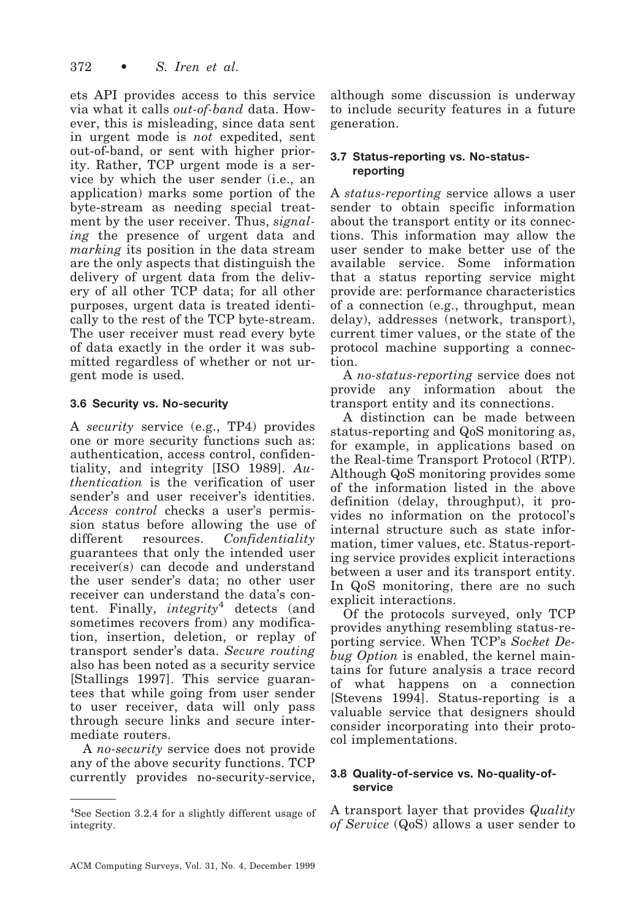ets API provides access to this service via what it calls *out-of-band* data. However, this is misleading, since data sent in urgent mode is *not* expedited, sent out-of-band, or sent with higher priority. Rather, TCP urgent mode is a service by which the user sender (i.e., an application) marks some portion of the byte-stream as needing special treatment by the user receiver. Thus, *signaling* the presence of urgent data and *marking* its position in the data stream are the only aspects that distinguish the delivery of urgent data from the delivery of all other TCP data; for all other purposes, urgent data is treated identically to the rest of the TCP byte-stream. The user receiver must read every byte of data exactly in the order it was submitted regardless of whether or not urgent mode is used.

### **3.6 Security vs. No-security**

A *security* service (e.g., TP4) provides one or more security functions such as: authentication, access control, confidentiality, and integrity [ISO 1989]. *Authentication* is the verification of user sender's and user receiver's identities. *Access control* checks a user's permission status before allowing the use of different resources. *Confidentiality* guarantees that only the intended user receiver(s) can decode and understand the user sender's data; no other user receiver can understand the data's content. Finally, *integrity*<sup>4</sup> detects (and sometimes recovers from) any modification, insertion, deletion, or replay of transport sender's data. *Secure routing* also has been noted as a security service [Stallings 1997]. This service guarantees that while going from user sender to user receiver, data will only pass through secure links and secure intermediate routers.

A *no-security* service does not provide any of the above security functions. TCP currently provides no-security-service,

although some discussion is underway to include security features in a future generation.

### **3.7 Status-reporting vs. No-statusreporting**

A *status-reporting* service allows a user sender to obtain specific information about the transport entity or its connections. This information may allow the user sender to make better use of the available service. Some information that a status reporting service might provide are: performance characteristics of a connection (e.g., throughput, mean delay), addresses (network, transport), current timer values, or the state of the protocol machine supporting a connection.

A *no-status-reporting* service does not provide any information about the transport entity and its connections.

A distinction can be made between status-reporting and QoS monitoring as, for example, in applications based on the Real-time Transport Protocol (RTP). Although QoS monitoring provides some of the information listed in the above definition (delay, throughput), it provides no information on the protocol's internal structure such as state information, timer values, etc. Status-reporting service provides explicit interactions between a user and its transport entity. In QoS monitoring, there are no such explicit interactions.

Of the protocols surveyed, only TCP provides anything resembling status-reporting service. When TCP's *Socket Debug Option* is enabled, the kernel maintains for future analysis a trace record of what happens on a connection [Stevens 1994]. Status-reporting is a valuable service that designers should consider incorporating into their protocol implementations.

### **3.8 Quality-of-service vs. No-quality-ofservice**

A transport layer that provides *Quality of Service* (QoS) allows a user sender to

<sup>4</sup> See Section 3.2.4 for a slightly different usage of integrity.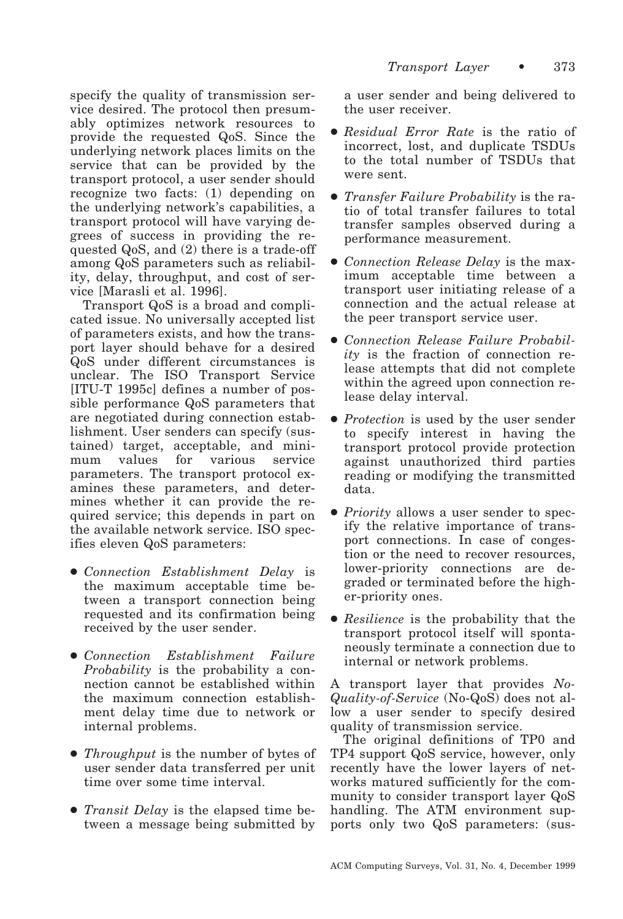specify the quality of transmission service desired. The protocol then presumably optimizes network resources to provide the requested QoS. Since the underlying network places limits on the service that can be provided by the transport protocol, a user sender should recognize two facts: (1) depending on the underlying network's capabilities, a transport protocol will have varying degrees of success in providing the requested QoS, and (2) there is a trade-off among QoS parameters such as reliability, delay, throughput, and cost of service [Marasli et al. 1996].

Transport QoS is a broad and complicated issue. No universally accepted list of parameters exists, and how the transport layer should behave for a desired QoS under different circumstances is unclear. The ISO Transport Service [ITU-T 1995c] defines a number of possible performance QoS parameters that are negotiated during connection establishment. User senders can specify (sustained) target, acceptable, and minimum values for various service parameters. The transport protocol examines these parameters, and determines whether it can provide the required service; this depends in part on the available network service. ISO specifies eleven QoS parameters:

- *Connection Establishment Delay* is the maximum acceptable time between a transport connection being requested and its confirmation being received by the user sender.
- *Connection Establishment Failure Probability* is the probability a connection cannot be established within the maximum connection establishment delay time due to network or internal problems.
- *Throughput* is the number of bytes of user sender data transferred per unit time over some time interval.
- *Transit Delay* is the elapsed time between a message being submitted by

a user sender and being delivered to the user receiver.

- *Residual Error Rate* is the ratio of incorrect, lost, and duplicate TSDUs to the total number of TSDUs that were sent.
- *Transfer Failure Probability* is the ratio of total transfer failures to total transfer samples observed during a performance measurement.
- *Connection Release Delay* is the maximum acceptable time between a transport user initiating release of a connection and the actual release at the peer transport service user.
- *Connection Release Failure Probability* is the fraction of connection release attempts that did not complete within the agreed upon connection release delay interval.
- *Protection* is used by the user sender to specify interest in having the transport protocol provide protection against unauthorized third parties reading or modifying the transmitted data.
- *Priority* allows a user sender to specify the relative importance of transport connections. In case of congestion or the need to recover resources, lower-priority connections are degraded or terminated before the higher-priority ones.
- *Resilience* is the probability that the transport protocol itself will spontaneously terminate a connection due to internal or network problems.

A transport layer that provides *No-Quality-of-Service* (No-QoS) does not allow a user sender to specify desired quality of transmission service.

The original definitions of TP0 and TP4 support QoS service, however, only recently have the lower layers of networks matured sufficiently for the community to consider transport layer QoS handling. The ATM environment supports only two QoS parameters: (sus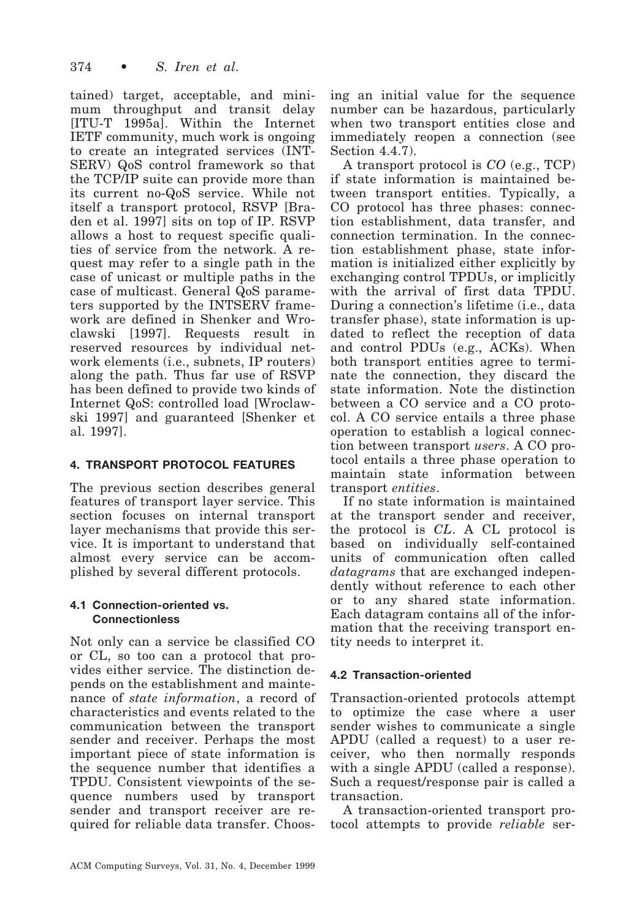tained) target, acceptable, and minimum throughput and transit delay [ITU-T 1995a]. Within the Internet IETF community, much work is ongoing to create an integrated services (INT-SERV) QoS control framework so that the TCP/IP suite can provide more than its current no-QoS service. While not itself a transport protocol, RSVP [Braden et al. 1997] sits on top of IP. RSVP allows a host to request specific qualities of service from the network. A request may refer to a single path in the case of unicast or multiple paths in the case of multicast. General QoS parameters supported by the INTSERV framework are defined in Shenker and Wroclawski [1997]. Requests result in reserved resources by individual network elements (i.e., subnets, IP routers) along the path. Thus far use of RSVP has been defined to provide two kinds of Internet QoS: controlled load [Wroclawski 1997] and guaranteed [Shenker et al. 1997].

## **4. TRANSPORT PROTOCOL FEATURES**

The previous section describes general features of transport layer service. This section focuses on internal transport layer mechanisms that provide this service. It is important to understand that almost every service can be accomplished by several different protocols.

#### **4.1 Connection-oriented vs. Connectionless**

Not only can a service be classified CO or CL, so too can a protocol that provides either service. The distinction depends on the establishment and maintenance of *state information*, a record of characteristics and events related to the communication between the transport sender and receiver. Perhaps the most important piece of state information is the sequence number that identifies a TPDU. Consistent viewpoints of the sequence numbers used by transport sender and transport receiver are required for reliable data transfer. Choosing an initial value for the sequence number can be hazardous, particularly when two transport entities close and immediately reopen a connection (see Section 4.4.7).

A transport protocol is *CO* (e.g., TCP) if state information is maintained between transport entities. Typically, a CO protocol has three phases: connection establishment, data transfer, and connection termination. In the connection establishment phase, state information is initialized either explicitly by exchanging control TPDUs, or implicitly with the arrival of first data TPDU. During a connection's lifetime (i.e., data transfer phase), state information is updated to reflect the reception of data and control PDUs (e.g., ACKs). When both transport entities agree to terminate the connection, they discard the state information. Note the distinction between a CO service and a CO protocol. A CO service entails a three phase operation to establish a logical connection between transport *users*. A CO protocol entails a three phase operation to maintain state information between transport *entities*.

If no state information is maintained at the transport sender and receiver, the protocol is *CL*. A CL protocol is based on individually self-contained units of communication often called *datagrams* that are exchanged independently without reference to each other or to any shared state information. Each datagram contains all of the information that the receiving transport entity needs to interpret it.

## **4.2 Transaction-oriented**

Transaction-oriented protocols attempt to optimize the case where a user sender wishes to communicate a single APDU (called a request) to a user receiver, who then normally responds with a single APDU (called a response). Such a request/response pair is called a transaction.

A transaction-oriented transport protocol attempts to provide *reliable* ser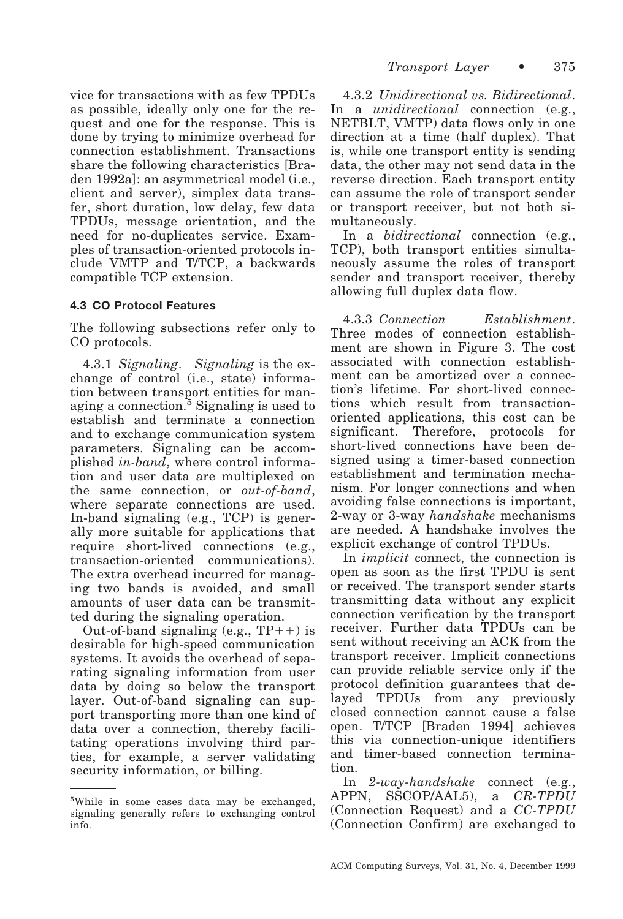vice for transactions with as few TPDUs as possible, ideally only one for the request and one for the response. This is done by trying to minimize overhead for connection establishment. Transactions share the following characteristics [Braden 1992a]: an asymmetrical model (i.e., client and server), simplex data transfer, short duration, low delay, few data TPDUs, message orientation, and the need for no-duplicates service. Examples of transaction-oriented protocols include VMTP and T/TCP, a backwards compatible TCP extension.

#### **4.3 CO Protocol Features**

The following subsections refer only to CO protocols.

4.3.1 *Signaling*. *Signaling* is the exchange of control (i.e., state) information between transport entities for managing a connection.<sup>5</sup> Signaling is used to establish and terminate a connection and to exchange communication system parameters. Signaling can be accomplished *in-band*, where control information and user data are multiplexed on the same connection, or *out-of-band*, where separate connections are used. In-band signaling (e.g., TCP) is generally more suitable for applications that require short-lived connections (e.g., transaction-oriented communications). The extra overhead incurred for managing two bands is avoided, and small amounts of user data can be transmitted during the signaling operation.

Out-of-band signaling (e.g.,  $TP++$ ) is desirable for high-speed communication systems. It avoids the overhead of separating signaling information from user data by doing so below the transport layer. Out-of-band signaling can support transporting more than one kind of data over a connection, thereby facilitating operations involving third parties, for example, a server validating security information, or billing.

4.3.2 *Unidirectional vs. Bidirectional*. In a *unidirectional* connection (e.g., NETBLT, VMTP) data flows only in one direction at a time (half duplex). That is, while one transport entity is sending data, the other may not send data in the reverse direction. Each transport entity can assume the role of transport sender or transport receiver, but not both simultaneously.

In a *bidirectional* connection (e.g., TCP), both transport entities simultaneously assume the roles of transport sender and transport receiver, thereby allowing full duplex data flow.

4.3.3 *Connection Establishment*. Three modes of connection establishment are shown in Figure 3. The cost associated with connection establishment can be amortized over a connection's lifetime. For short-lived connections which result from transactionoriented applications, this cost can be significant. Therefore, protocols for short-lived connections have been designed using a timer-based connection establishment and termination mechanism. For longer connections and when avoiding false connections is important, 2-way or 3-way *handshake* mechanisms are needed. A handshake involves the explicit exchange of control TPDUs.

In *implicit* connect, the connection is open as soon as the first TPDU is sent or received. The transport sender starts transmitting data without any explicit connection verification by the transport receiver. Further data TPDUs can be sent without receiving an ACK from the transport receiver. Implicit connections can provide reliable service only if the protocol definition guarantees that delayed TPDUs from any previously closed connection cannot cause a false open. T/TCP [Braden 1994] achieves this via connection-unique identifiers and timer-based connection termination.

In *2-way-handshake* connect (e.g., APPN, SSCOP/AAL5), a *CR-TPDU* (Connection Request) and a *CC-TPDU* (Connection Confirm) are exchanged to

<sup>5</sup> While in some cases data may be exchanged, signaling generally refers to exchanging control info.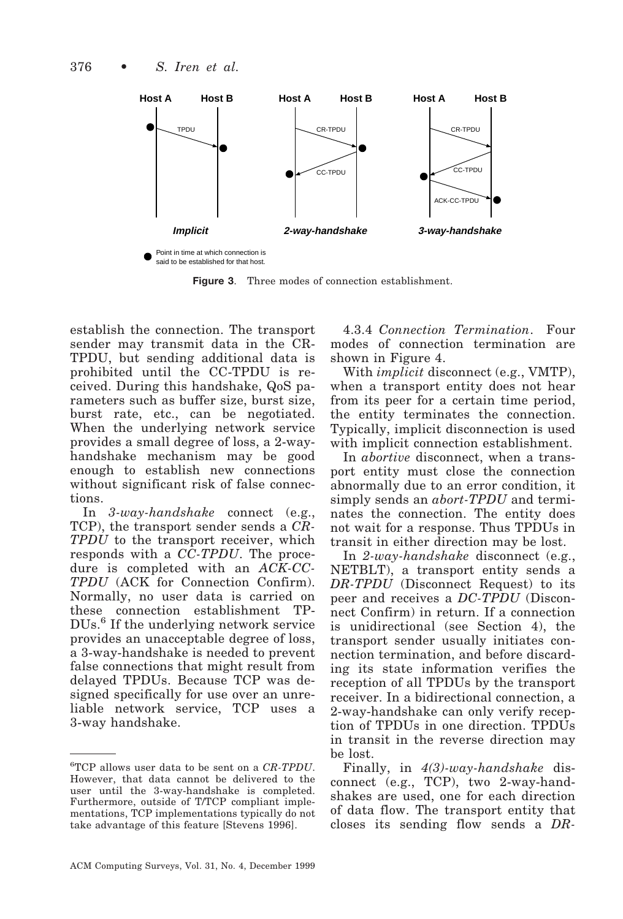

**Figure 3**. Three modes of connection establishment.

establish the connection. The transport sender may transmit data in the CR-TPDU, but sending additional data is prohibited until the CC-TPDU is received. During this handshake, QoS parameters such as buffer size, burst size, burst rate, etc., can be negotiated. When the underlying network service provides a small degree of loss, a 2-wayhandshake mechanism may be good enough to establish new connections without significant risk of false connections.

In *3-way-handshake* connect (e.g., TCP), the transport sender sends a *CR-TPDU* to the transport receiver, which responds with a *CC-TPDU*. The procedure is completed with an *ACK-CC-TPDU* (ACK for Connection Confirm). Normally, no user data is carried on these connection establishment TP-DUs.<sup>6</sup> If the underlying network service provides an unacceptable degree of loss, a 3-way-handshake is needed to prevent false connections that might result from delayed TPDUs. Because TCP was designed specifically for use over an unreliable network service, TCP uses a 3-way handshake.

4.3.4 *Connection Termination*. Four modes of connection termination are shown in Figure 4.

With *implicit* disconnect (e.g., VMTP), when a transport entity does not hear from its peer for a certain time period, the entity terminates the connection. Typically, implicit disconnection is used with implicit connection establishment.

In *abortive* disconnect, when a transport entity must close the connection abnormally due to an error condition, it simply sends an *abort-TPDU* and terminates the connection. The entity does not wait for a response. Thus TPDUs in transit in either direction may be lost.

In *2-way-handshake* disconnect (e.g., NETBLT), a transport entity sends a *DR-TPDU* (Disconnect Request) to its peer and receives a *DC-TPDU* (Disconnect Confirm) in return. If a connection is unidirectional (see Section 4), the transport sender usually initiates connection termination, and before discarding its state information verifies the reception of all TPDUs by the transport receiver. In a bidirectional connection, a 2-way-handshake can only verify reception of TPDUs in one direction. TPDUs in transit in the reverse direction may be lost.

Finally, in *4(3)-way-handshake* disconnect (e.g., TCP), two 2-way-handshakes are used, one for each direction of data flow. The transport entity that closes its sending flow sends a *DR-*

<sup>6</sup> TCP allows user data to be sent on a *CR-TPDU*. However, that data cannot be delivered to the user until the 3-way-handshake is completed. Furthermore, outside of T/TCP compliant implementations, TCP implementations typically do not take advantage of this feature [Stevens 1996].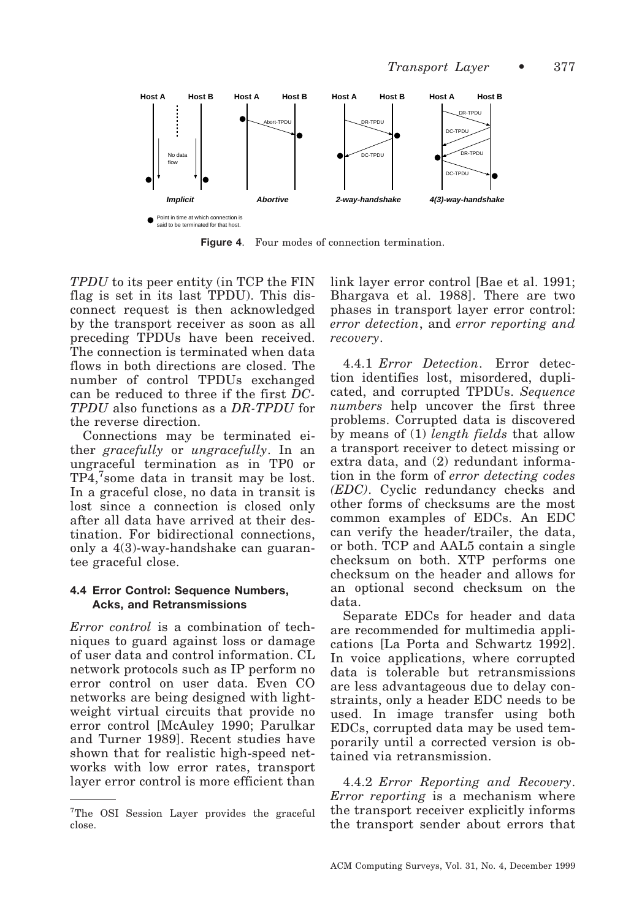

**Figure 4.** Four modes of connection termination.

*TPDU* to its peer entity (in TCP the FIN flag is set in its last TPDU). This disconnect request is then acknowledged by the transport receiver as soon as all preceding TPDUs have been received. The connection is terminated when data flows in both directions are closed. The number of control TPDUs exchanged can be reduced to three if the first *DC-TPDU* also functions as a *DR-TPDU* for the reverse direction.

Connections may be terminated either *gracefully* or *ungracefully*. In an ungraceful termination as in TP0 or TP4,<sup>7</sup>some data in transit may be lost. In a graceful close, no data in transit is lost since a connection is closed only after all data have arrived at their destination. For bidirectional connections, only a 4(3)-way-handshake can guarantee graceful close.

#### **4.4 Error Control: Sequence Numbers, Acks, and Retransmissions**

*Error control* is a combination of techniques to guard against loss or damage of user data and control information. CL network protocols such as IP perform no error control on user data. Even CO networks are being designed with lightweight virtual circuits that provide no error control [McAuley 1990; Parulkar and Turner 1989]. Recent studies have shown that for realistic high-speed networks with low error rates, transport layer error control is more efficient than link layer error control [Bae et al. 1991; Bhargava et al. 1988]. There are two phases in transport layer error control: *error detection*, and *error reporting and recovery*.

4.4.1 *Error Detection*. Error detection identifies lost, misordered, duplicated, and corrupted TPDUs. *Sequence numbers* help uncover the first three problems. Corrupted data is discovered by means of (1) *length fields* that allow a transport receiver to detect missing or extra data, and (2) redundant information in the form of *error detecting codes (EDC)*. Cyclic redundancy checks and other forms of checksums are the most common examples of EDCs. An EDC can verify the header/trailer, the data, or both. TCP and AAL5 contain a single checksum on both. XTP performs one checksum on the header and allows for an optional second checksum on the data.

Separate EDCs for header and data are recommended for multimedia applications [La Porta and Schwartz 1992]. In voice applications, where corrupted data is tolerable but retransmissions are less advantageous due to delay constraints, only a header EDC needs to be used. In image transfer using both EDCs, corrupted data may be used temporarily until a corrected version is obtained via retransmission.

4.4.2 *Error Reporting and Recovery*. *Error reporting* is a mechanism where the transport receiver explicitly informs the transport sender about errors that

<sup>7</sup> The OSI Session Layer provides the graceful close.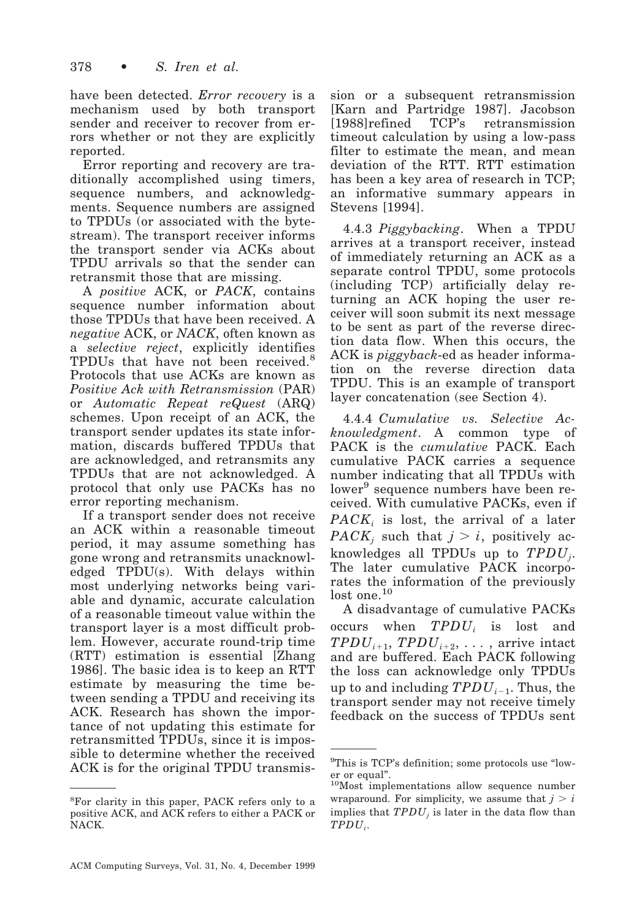have been detected. *Error recovery* is a mechanism used by both transport sender and receiver to recover from errors whether or not they are explicitly reported.

Error reporting and recovery are traditionally accomplished using timers, sequence numbers, and acknowledgments. Sequence numbers are assigned to TPDUs (or associated with the bytestream). The transport receiver informs the transport sender via ACKs about TPDU arrivals so that the sender can retransmit those that are missing.

A *positive* ACK, or *PACK*, contains sequence number information about those TPDUs that have been received. A *negative* ACK, or *NACK*, often known as a *selective reject*, explicitly identifies TPDUs that have not been received.<sup>8</sup> Protocols that use ACKs are known as *Positive Ack with Retransmission* (PAR) or *Automatic Repeat reQuest* (ARQ) schemes. Upon receipt of an ACK, the transport sender updates its state information, discards buffered TPDUs that are acknowledged, and retransmits any TPDUs that are not acknowledged. A protocol that only use PACKs has no error reporting mechanism.

If a transport sender does not receive an ACK within a reasonable timeout period, it may assume something has gone wrong and retransmits unacknowledged TPDU(s). With delays within most underlying networks being variable and dynamic, accurate calculation of a reasonable timeout value within the transport layer is a most difficult problem. However, accurate round-trip time (RTT) estimation is essential [Zhang 1986]. The basic idea is to keep an RTT estimate by measuring the time between sending a TPDU and receiving its ACK. Research has shown the importance of not updating this estimate for retransmitted TPDUs, since it is impossible to determine whether the received ACK is for the original TPDU transmission or a subsequent retransmission [Karn and Partridge 1987]. Jacobson [1988]refined TCP's retransmission timeout calculation by using a low-pass filter to estimate the mean, and mean deviation of the RTT. RTT estimation has been a key area of research in TCP; an informative summary appears in Stevens [1994].

4.4.3 *Piggybacking*. When a TPDU arrives at a transport receiver, instead of immediately returning an ACK as a separate control TPDU, some protocols (including TCP) artificially delay returning an ACK hoping the user receiver will soon submit its next message to be sent as part of the reverse direction data flow. When this occurs, the ACK is *piggyback*-ed as header information on the reverse direction data TPDU. This is an example of transport layer concatenation (see Section 4).

4.4.4 *Cumulative vs. Selective Acknowledgment*. A common type of PACK is the *cumulative* PACK. Each cumulative PACK carries a sequence number indicating that all TPDUs with lower<sup>9</sup> sequence numbers have been received. With cumulative PACKs, even if *PACKi* is lost, the arrival of a later *PACK<sub>i</sub>* such that  $j > i$ , positively acknowledges all TPDUs up to *TPDUj*. The later cumulative PACK incorporates the information of the previously lost one.<sup>10</sup>

A disadvantage of cumulative PACKs occurs when *TPDUi* is lost and  $TPDU_{i+1}$ ,  $TPDU_{i+2}$ , ..., arrive intact and are buffered. Each PACK following the loss can acknowledge only TPDUs up to and including  $TPDU_{i-1}$ . Thus, the transport sender may not receive timely feedback on the success of TPDUs sent

<sup>8</sup> For clarity in this paper, PACK refers only to a positive ACK, and ACK refers to either a PACK or NACK.

<sup>9</sup> This is TCP's definition; some protocols use "lower or equal".

<sup>10</sup>Most implementations allow sequence number wraparound. For simplicity, we assume that  $j > i$ implies that  $TPDU<sub>j</sub>$  is later in the data flow than *TPDUi*.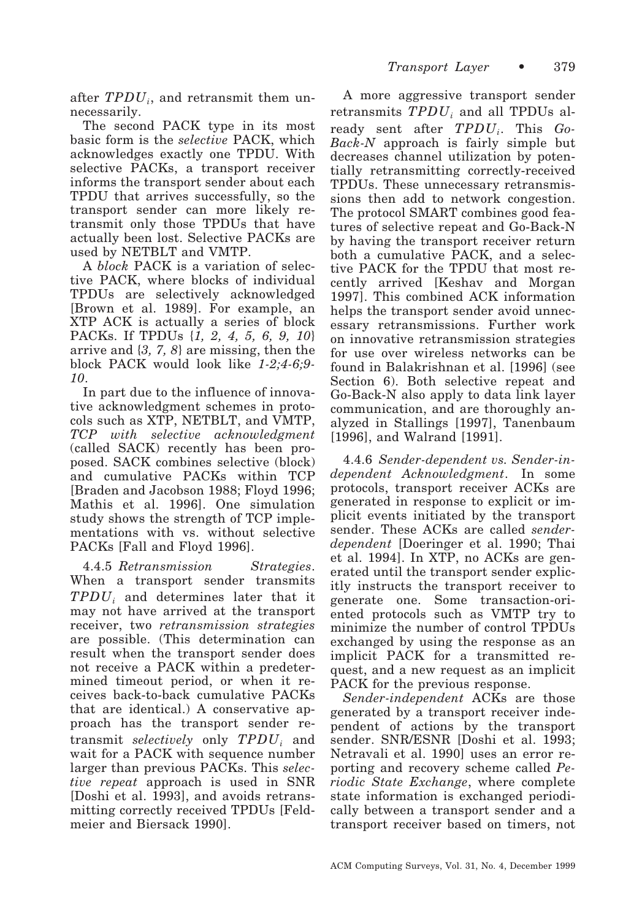after *TPDUi*, and retransmit them unnecessarily.

The second PACK type in its most basic form is the *selective* PACK, which acknowledges exactly one TPDU. With selective PACKs, a transport receiver informs the transport sender about each TPDU that arrives successfully, so the transport sender can more likely retransmit only those TPDUs that have actually been lost. Selective PACKs are used by NETBLT and VMTP.

A *block* PACK is a variation of selective PACK, where blocks of individual TPDUs are selectively acknowledged [Brown et al. 1989]. For example, an XTP ACK is actually a series of block PACKs. If TPDUs {*1, 2, 4, 5, 6, 9, 10*} arrive and {*3, 7, 8*} are missing, then the block PACK would look like *1-2;4-6;9- 10*.

In part due to the influence of innovative acknowledgment schemes in protocols such as XTP, NETBLT, and VMTP, *TCP with selective acknowledgment* (called SACK) recently has been proposed. SACK combines selective (block) and cumulative PACKs within TCP [Braden and Jacobson 1988; Floyd 1996; Mathis et al. 1996]. One simulation study shows the strength of TCP implementations with vs. without selective PACKs [Fall and Floyd 1996].

4.4.5 *Retransmission Strategies*. When a transport sender transmits *TPDUi* and determines later that it may not have arrived at the transport receiver, two *retransmission strategies* are possible. (This determination can result when the transport sender does not receive a PACK within a predetermined timeout period, or when it receives back-to-back cumulative PACKs that are identical.) A conservative approach has the transport sender retransmit *selectively* only *TPDUi* and wait for a PACK with sequence number larger than previous PACKs. This *selective repeat* approach is used in SNR [Doshi et al. 1993], and avoids retransmitting correctly received TPDUs [Feldmeier and Biersack 1990].

A more aggressive transport sender retransmits *TPDUi* and all TPDUs already sent after *TPDUi*. This *Go-Back-N* approach is fairly simple but decreases channel utilization by potentially retransmitting correctly-received TPDUs. These unnecessary retransmissions then add to network congestion. The protocol SMART combines good features of selective repeat and Go-Back-N by having the transport receiver return both a cumulative PACK, and a selective PACK for the TPDU that most recently arrived [Keshav and Morgan 1997]. This combined ACK information helps the transport sender avoid unnecessary retransmissions. Further work on innovative retransmission strategies for use over wireless networks can be found in Balakrishnan et al. [1996] (see Section 6). Both selective repeat and Go-Back-N also apply to data link layer communication, and are thoroughly analyzed in Stallings [1997], Tanenbaum [1996], and Walrand [1991].

4.4.6 *Sender-dependent vs. Sender-independent Acknowledgment*. In some protocols, transport receiver ACKs are generated in response to explicit or implicit events initiated by the transport sender. These ACKs are called *senderdependent* [Doeringer et al. 1990; Thai et al. 1994]. In XTP, no ACKs are generated until the transport sender explicitly instructs the transport receiver to generate one. Some transaction-oriented protocols such as VMTP try to minimize the number of control TPDUs exchanged by using the response as an implicit PACK for a transmitted request, and a new request as an implicit PACK for the previous response.

*Sender-independent* ACKs are those generated by a transport receiver independent of actions by the transport sender. SNR/ESNR [Doshi et al. 1993; Netravali et al. 1990] uses an error reporting and recovery scheme called *Periodic State Exchange*, where complete state information is exchanged periodically between a transport sender and a transport receiver based on timers, not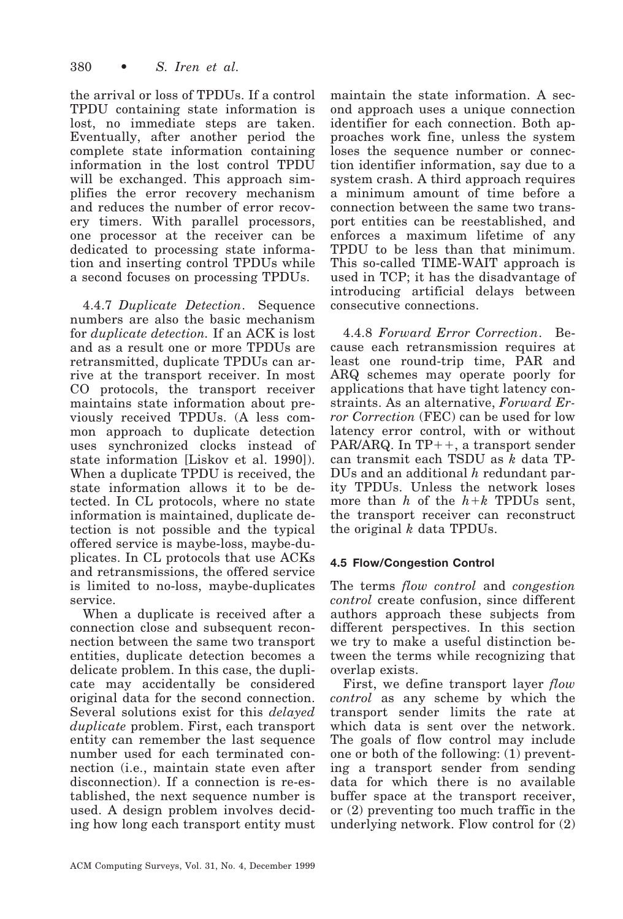the arrival or loss of TPDUs. If a control TPDU containing state information is lost, no immediate steps are taken. Eventually, after another period the complete state information containing information in the lost control TPDU will be exchanged. This approach simplifies the error recovery mechanism and reduces the number of error recovery timers. With parallel processors, one processor at the receiver can be dedicated to processing state information and inserting control TPDUs while a second focuses on processing TPDUs.

4.4.7 *Duplicate Detection*. Sequence numbers are also the basic mechanism for *duplicate detection.* If an ACK is lost and as a result one or more TPDUs are retransmitted, duplicate TPDUs can arrive at the transport receiver. In most CO protocols, the transport receiver maintains state information about previously received TPDUs. (A less common approach to duplicate detection uses synchronized clocks instead of state information [Liskov et al. 1990]). When a duplicate TPDU is received, the state information allows it to be detected. In CL protocols, where no state information is maintained, duplicate detection is not possible and the typical offered service is maybe-loss, maybe-duplicates. In CL protocols that use ACKs and retransmissions, the offered service is limited to no-loss, maybe-duplicates service.

When a duplicate is received after a connection close and subsequent reconnection between the same two transport entities, duplicate detection becomes a delicate problem. In this case, the duplicate may accidentally be considered original data for the second connection. Several solutions exist for this *delayed duplicate* problem. First, each transport entity can remember the last sequence number used for each terminated connection (i.e., maintain state even after disconnection). If a connection is re-established, the next sequence number is used. A design problem involves deciding how long each transport entity must maintain the state information. A second approach uses a unique connection identifier for each connection. Both approaches work fine, unless the system loses the sequence number or connection identifier information, say due to a system crash. A third approach requires a minimum amount of time before a connection between the same two transport entities can be reestablished, and enforces a maximum lifetime of any TPDU to be less than that minimum. This so-called TIME-WAIT approach is used in TCP; it has the disadvantage of introducing artificial delays between consecutive connections.

4.4.8 *Forward Error Correction*. Because each retransmission requires at least one round-trip time, PAR and ARQ schemes may operate poorly for applications that have tight latency constraints. As an alternative, *Forward Error Correction* (FEC) can be used for low latency error control, with or without PAR/ARQ. In  $TP++$ , a transport sender can transmit each TSDU as *k* data TP-DUs and an additional *h* redundant parity TPDUs. Unless the network loses more than *h* of the  $h+k$  TPDUs sent, the transport receiver can reconstruct the original *k* data TPDUs.

## **4.5 Flow/Congestion Control**

The terms *flow control* and *congestion control* create confusion, since different authors approach these subjects from different perspectives. In this section we try to make a useful distinction between the terms while recognizing that overlap exists.

First, we define transport layer *flow control* as any scheme by which the transport sender limits the rate at which data is sent over the network. The goals of flow control may include one or both of the following: (1) preventing a transport sender from sending data for which there is no available buffer space at the transport receiver, or (2) preventing too much traffic in the underlying network. Flow control for (2)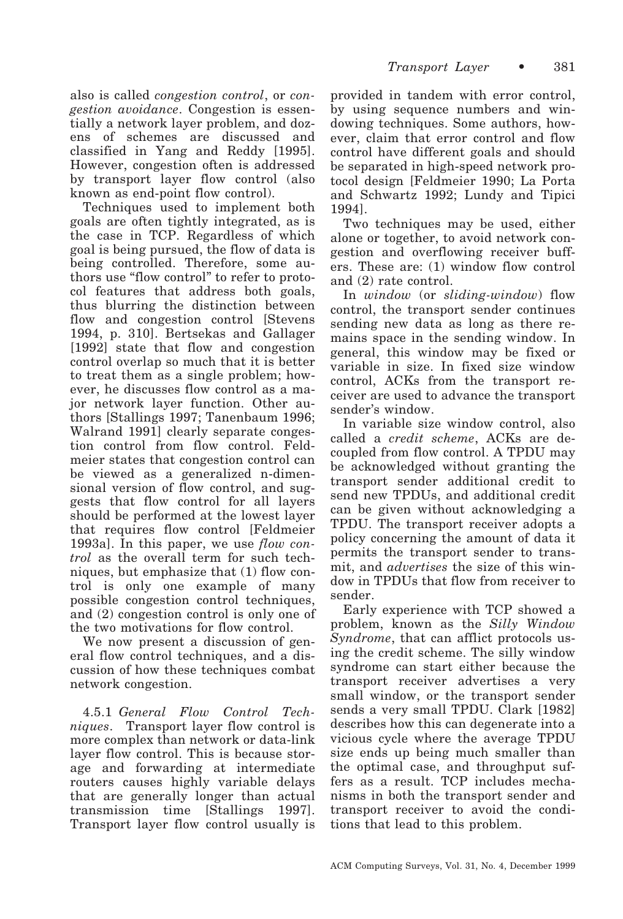also is called *congestion control*, or *congestion avoidance*. Congestion is essentially a network layer problem, and dozens of schemes are discussed and classified in Yang and Reddy [1995]. However, congestion often is addressed by transport layer flow control (also known as end-point flow control).

Techniques used to implement both goals are often tightly integrated, as is the case in TCP. Regardless of which goal is being pursued, the flow of data is being controlled. Therefore, some authors use "flow control" to refer to protocol features that address both goals, thus blurring the distinction between flow and congestion control [Stevens 1994, p. 310]. Bertsekas and Gallager [1992] state that flow and congestion control overlap so much that it is better to treat them as a single problem; however, he discusses flow control as a major network layer function. Other authors [Stallings 1997; Tanenbaum 1996; Walrand 1991] clearly separate congestion control from flow control. Feldmeier states that congestion control can be viewed as a generalized n-dimensional version of flow control, and suggests that flow control for all layers should be performed at the lowest layer that requires flow control [Feldmeier 1993a]. In this paper, we use *flow control* as the overall term for such techniques, but emphasize that (1) flow control is only one example of many possible congestion control techniques, and (2) congestion control is only one of the two motivations for flow control.

We now present a discussion of general flow control techniques, and a discussion of how these techniques combat network congestion.

4.5.1 *General Flow Control Techniques*. Transport layer flow control is more complex than network or data-link layer flow control. This is because storage and forwarding at intermediate routers causes highly variable delays that are generally longer than actual transmission time [Stallings 1997]. Transport layer flow control usually is

provided in tandem with error control, by using sequence numbers and windowing techniques. Some authors, however, claim that error control and flow control have different goals and should be separated in high-speed network protocol design [Feldmeier 1990; La Porta and Schwartz 1992; Lundy and Tipici 1994].

Two techniques may be used, either alone or together, to avoid network congestion and overflowing receiver buffers. These are: (1) window flow control and (2) rate control.

In *window* (or *sliding-window*) flow control, the transport sender continues sending new data as long as there remains space in the sending window. In general, this window may be fixed or variable in size. In fixed size window control, ACKs from the transport receiver are used to advance the transport sender's window.

In variable size window control, also called a *credit scheme*, ACKs are decoupled from flow control. A TPDU may be acknowledged without granting the transport sender additional credit to send new TPDUs, and additional credit can be given without acknowledging a TPDU. The transport receiver adopts a policy concerning the amount of data it permits the transport sender to transmit, and *advertises* the size of this window in TPDUs that flow from receiver to sender.

Early experience with TCP showed a problem, known as the *Silly Window Syndrome*, that can afflict protocols using the credit scheme. The silly window syndrome can start either because the transport receiver advertises a very small window, or the transport sender sends a very small TPDU. Clark [1982] describes how this can degenerate into a vicious cycle where the average TPDU size ends up being much smaller than the optimal case, and throughput suffers as a result. TCP includes mechanisms in both the transport sender and transport receiver to avoid the conditions that lead to this problem.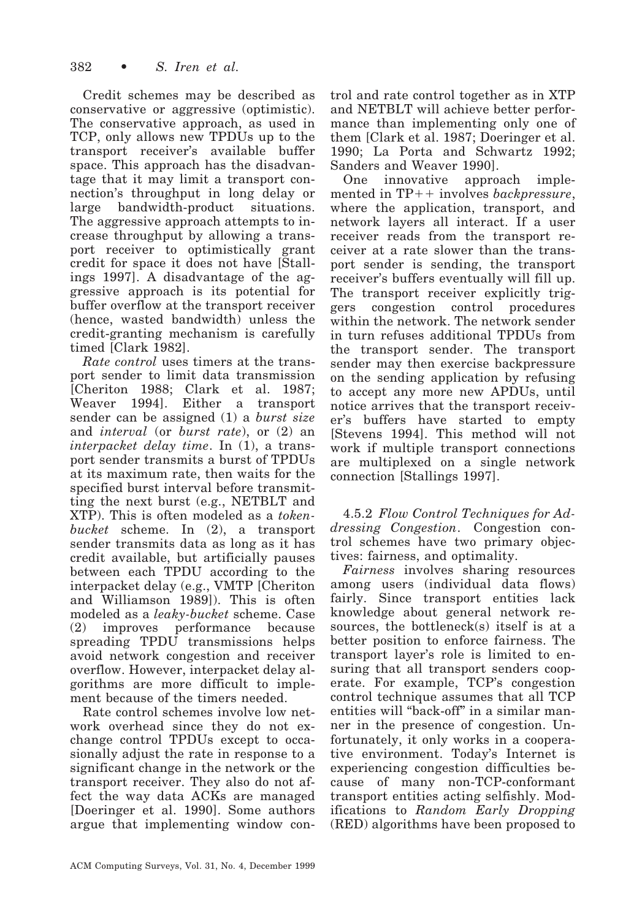Credit schemes may be described as conservative or aggressive (optimistic). The conservative approach, as used in TCP, only allows new TPDUs up to the transport receiver's available buffer space. This approach has the disadvantage that it may limit a transport connection's throughput in long delay or large bandwidth-product situations. The aggressive approach attempts to increase throughput by allowing a transport receiver to optimistically grant credit for space it does not have [Stallings 1997]. A disadvantage of the aggressive approach is its potential for buffer overflow at the transport receiver (hence, wasted bandwidth) unless the credit-granting mechanism is carefully timed [Clark 1982].

*Rate control* uses timers at the transport sender to limit data transmission [Cheriton 1988; Clark et al. 1987; Weaver 1994]. Either a transport sender can be assigned (1) a *burst size* and *interval* (or *burst rate*), or (2) an *interpacket delay time*. In (1), a transport sender transmits a burst of TPDUs at its maximum rate, then waits for the specified burst interval before transmitting the next burst (e.g., NETBLT and XTP). This is often modeled as a *tokenbucket* scheme. In (2), a transport sender transmits data as long as it has credit available, but artificially pauses between each TPDU according to the interpacket delay (e.g., VMTP [Cheriton and Williamson 1989]). This is often modeled as a *leaky-bucket* scheme. Case (2) improves performance because spreading TPDU transmissions helps avoid network congestion and receiver overflow. However, interpacket delay algorithms are more difficult to implement because of the timers needed.

Rate control schemes involve low network overhead since they do not exchange control TPDUs except to occasionally adjust the rate in response to a significant change in the network or the transport receiver. They also do not affect the way data ACKs are managed [Doeringer et al. 1990]. Some authors argue that implementing window control and rate control together as in XTP and NETBLT will achieve better performance than implementing only one of them [Clark et al. 1987; Doeringer et al. 1990; La Porta and Schwartz 1992; Sanders and Weaver 1990].

One innovative approach implemented in TP<sup>++</sup> involves *backpressure*, where the application, transport, and network layers all interact. If a user receiver reads from the transport receiver at a rate slower than the transport sender is sending, the transport receiver's buffers eventually will fill up. The transport receiver explicitly triggers congestion control procedures within the network. The network sender in turn refuses additional TPDUs from the transport sender. The transport sender may then exercise backpressure on the sending application by refusing to accept any more new APDUs, until notice arrives that the transport receiver's buffers have started to empty [Stevens 1994]. This method will not work if multiple transport connections are multiplexed on a single network connection [Stallings 1997].

4.5.2 *Flow Control Techniques for Addressing Congestion*. Congestion control schemes have two primary objectives: fairness, and optimality.

*Fairness* involves sharing resources among users (individual data flows) fairly. Since transport entities lack knowledge about general network resources, the bottleneck(s) itself is at a better position to enforce fairness. The transport layer's role is limited to ensuring that all transport senders cooperate. For example, TCP's congestion control technique assumes that all TCP entities will "back-off" in a similar manner in the presence of congestion. Unfortunately, it only works in a cooperative environment. Today's Internet is experiencing congestion difficulties because of many non-TCP-conformant transport entities acting selfishly. Modifications to *Random Early Dropping* (RED) algorithms have been proposed to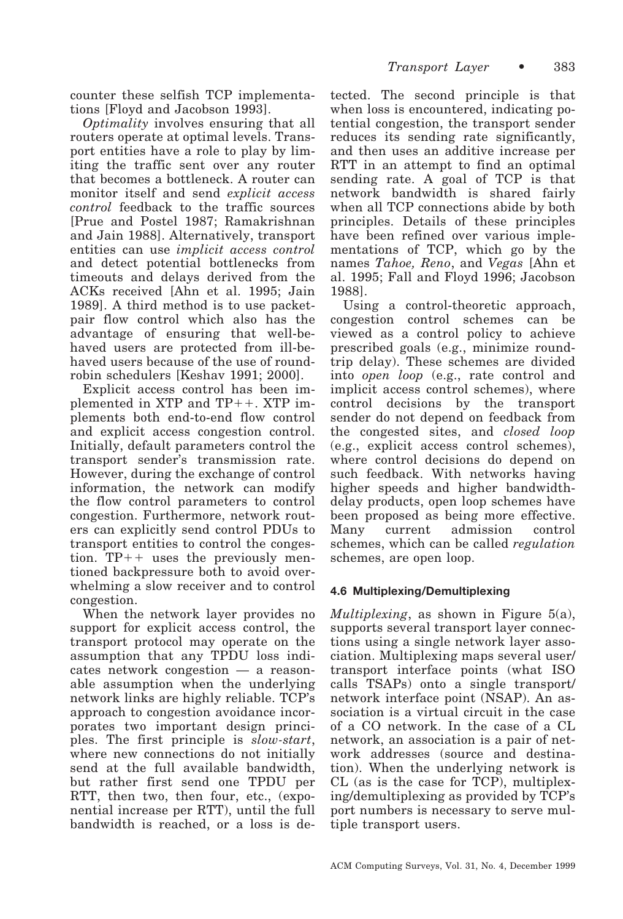counter these selfish TCP implementations [Floyd and Jacobson 1993].

*Optimality* involves ensuring that all routers operate at optimal levels. Transport entities have a role to play by limiting the traffic sent over any router that becomes a bottleneck. A router can monitor itself and send *explicit access control* feedback to the traffic sources [Prue and Postel 1987; Ramakrishnan and Jain 1988]. Alternatively, transport entities can use *implicit access control* and detect potential bottlenecks from timeouts and delays derived from the ACKs received [Ahn et al. 1995; Jain 1989]. A third method is to use packetpair flow control which also has the advantage of ensuring that well-behaved users are protected from ill-behaved users because of the use of roundrobin schedulers [Keshav 1991; 2000].

Explicit access control has been implemented in XTP and  $TP++$ . XTP implements both end-to-end flow control and explicit access congestion control. Initially, default parameters control the transport sender's transmission rate. However, during the exchange of control information, the network can modify the flow control parameters to control congestion. Furthermore, network routers can explicitly send control PDUs to transport entities to control the congestion.  $TP++$  uses the previously mentioned backpressure both to avoid overwhelming a slow receiver and to control congestion.

When the network layer provides no support for explicit access control, the transport protocol may operate on the assumption that any TPDU loss indicates network congestion — a reasonable assumption when the underlying network links are highly reliable. TCP's approach to congestion avoidance incorporates two important design principles. The first principle is *slow-start*, where new connections do not initially send at the full available bandwidth, but rather first send one TPDU per RTT, then two, then four, etc., (exponential increase per RTT), until the full bandwidth is reached, or a loss is detected. The second principle is that when loss is encountered, indicating potential congestion, the transport sender reduces its sending rate significantly, and then uses an additive increase per RTT in an attempt to find an optimal sending rate. A goal of TCP is that network bandwidth is shared fairly when all TCP connections abide by both principles. Details of these principles have been refined over various implementations of TCP, which go by the names *Tahoe, Reno*, and *Vegas* [Ahn et al. 1995; Fall and Floyd 1996; Jacobson 1988].

Using a control-theoretic approach, congestion control schemes can be viewed as a control policy to achieve prescribed goals (e.g., minimize roundtrip delay). These schemes are divided into *open loop* (e.g., rate control and implicit access control schemes), where control decisions by the transport sender do not depend on feedback from the congested sites, and *closed loop* (e.g., explicit access control schemes), where control decisions do depend on such feedback. With networks having higher speeds and higher bandwidthdelay products, open loop schemes have been proposed as being more effective. Many current admission control schemes, which can be called *regulation* schemes, are open loop.

## **4.6 Multiplexing/Demultiplexing**

*Multiplexing*, as shown in Figure 5(a), supports several transport layer connections using a single network layer association. Multiplexing maps several user/ transport interface points (what ISO calls TSAPs) onto a single transport/ network interface point (NSAP). An association is a virtual circuit in the case of a CO network. In the case of a CL network, an association is a pair of network addresses (source and destination). When the underlying network is CL (as is the case for TCP), multiplexing/demultiplexing as provided by TCP's port numbers is necessary to serve multiple transport users.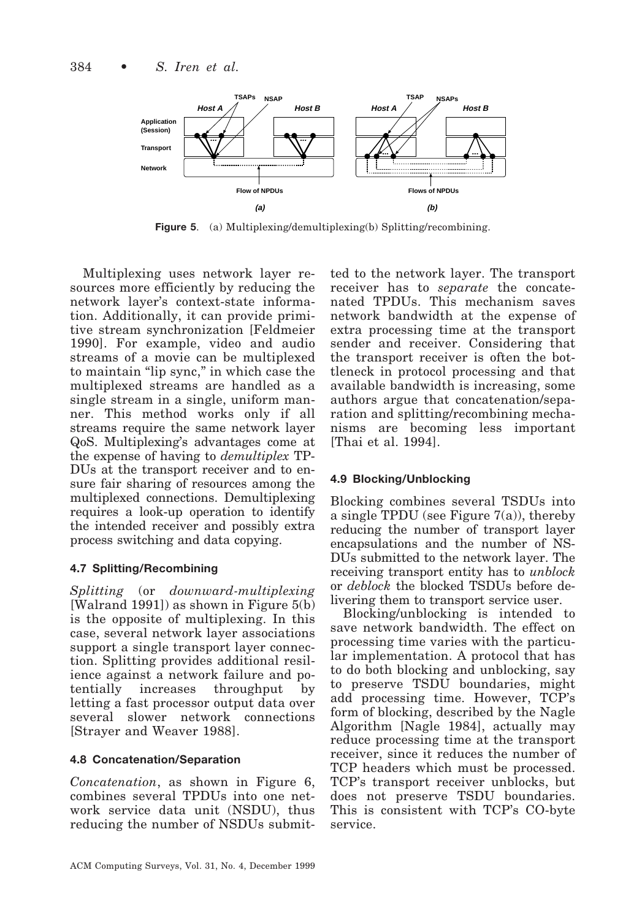

**Figure 5**. (a) Multiplexing/demultiplexing(b) Splitting/recombining.

Multiplexing uses network layer resources more efficiently by reducing the network layer's context-state information. Additionally, it can provide primitive stream synchronization [Feldmeier 1990]. For example, video and audio streams of a movie can be multiplexed to maintain "lip sync," in which case the multiplexed streams are handled as a single stream in a single, uniform manner. This method works only if all streams require the same network layer QoS. Multiplexing's advantages come at the expense of having to *demultiplex* TP-DUs at the transport receiver and to ensure fair sharing of resources among the multiplexed connections. Demultiplexing requires a look-up operation to identify the intended receiver and possibly extra process switching and data copying.

#### **4.7 Splitting/Recombining**

*Splitting* (or *downward-multiplexing* [Walrand 1991]) as shown in Figure 5(b) is the opposite of multiplexing. In this case, several network layer associations support a single transport layer connection. Splitting provides additional resilience against a network failure and potentially increases throughput by letting a fast processor output data over several slower network connections [Strayer and Weaver 1988].

#### **4.8 Concatenation/Separation**

*Concatenation*, as shown in Figure 6, combines several TPDUs into one network service data unit (NSDU), thus reducing the number of NSDUs submitted to the network layer. The transport receiver has to *separate* the concatenated TPDUs. This mechanism saves network bandwidth at the expense of extra processing time at the transport sender and receiver. Considering that the transport receiver is often the bottleneck in protocol processing and that available bandwidth is increasing, some authors argue that concatenation/separation and splitting/recombining mechanisms are becoming less important [Thai et al. 1994].

#### **4.9 Blocking/Unblocking**

Blocking combines several TSDUs into a single TPDU (see Figure  $7(a)$ ), thereby reducing the number of transport layer encapsulations and the number of NS-DUs submitted to the network layer. The receiving transport entity has to *unblock* or *deblock* the blocked TSDUs before delivering them to transport service user.

Blocking/unblocking is intended to save network bandwidth. The effect on processing time varies with the particular implementation. A protocol that has to do both blocking and unblocking, say to preserve TSDU boundaries, might add processing time. However, TCP's form of blocking, described by the Nagle Algorithm [Nagle 1984], actually may reduce processing time at the transport receiver, since it reduces the number of TCP headers which must be processed. TCP's transport receiver unblocks, but does not preserve TSDU boundaries. This is consistent with TCP's CO-byte service.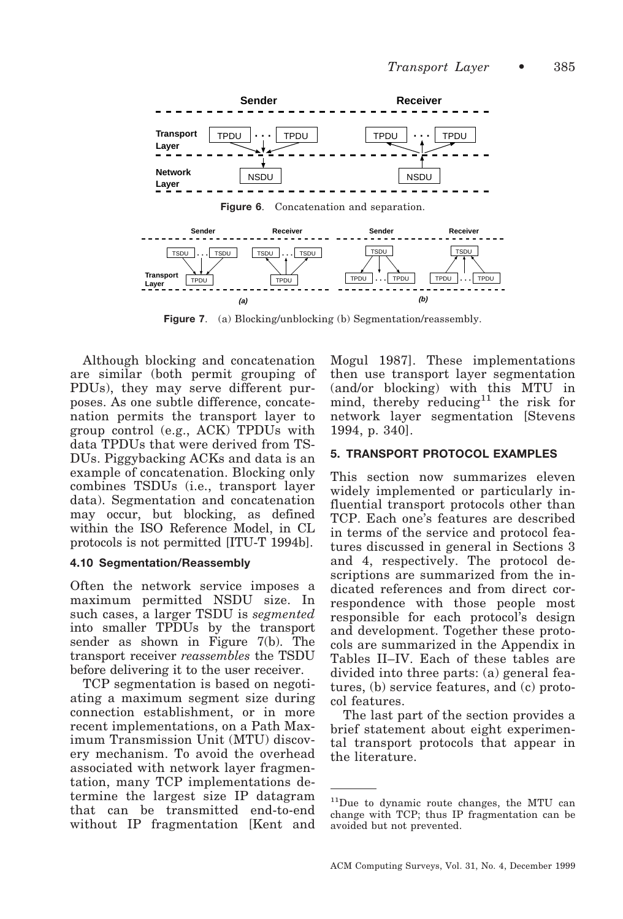

**Figure 7.** (a) Blocking/unblocking (b) Segmentation/reassembly.

Although blocking and concatenation are similar (both permit grouping of PDUs), they may serve different purposes. As one subtle difference, concatenation permits the transport layer to group control (e.g., ACK) TPDUs with data TPDUs that were derived from TS-DUs. Piggybacking ACKs and data is an example of concatenation. Blocking only combines TSDUs (i.e., transport layer data). Segmentation and concatenation may occur, but blocking, as defined within the ISO Reference Model, in CL protocols is not permitted [ITU-T 1994b].

#### **4.10 Segmentation/Reassembly**

Often the network service imposes a maximum permitted NSDU size. In such cases, a larger TSDU is *segmented* into smaller TPDUs by the transport sender as shown in Figure 7(b). The transport receiver *reassembles* the TSDU before delivering it to the user receiver.

TCP segmentation is based on negotiating a maximum segment size during connection establishment, or in more recent implementations, on a Path Maximum Transmission Unit (MTU) discovery mechanism. To avoid the overhead associated with network layer fragmentation, many TCP implementations determine the largest size IP datagram that can be transmitted end-to-end without IP fragmentation [Kent and

Mogul 1987]. These implementations then use transport layer segmentation (and/or blocking) with this MTU in mind, thereby reducing<sup>11</sup> the risk for network layer segmentation [Stevens 1994, p. 340].

#### **5. TRANSPORT PROTOCOL EXAMPLES**

This section now summarizes eleven widely implemented or particularly influential transport protocols other than TCP. Each one's features are described in terms of the service and protocol features discussed in general in Sections 3 and 4, respectively. The protocol descriptions are summarized from the indicated references and from direct correspondence with those people most responsible for each protocol's design and development. Together these protocols are summarized in the Appendix in Tables II–IV. Each of these tables are divided into three parts: (a) general features, (b) service features, and (c) protocol features.

The last part of the section provides a brief statement about eight experimental transport protocols that appear in the literature.

 $11$ Due to dynamic route changes, the MTU can change with TCP; thus IP fragmentation can be avoided but not prevented.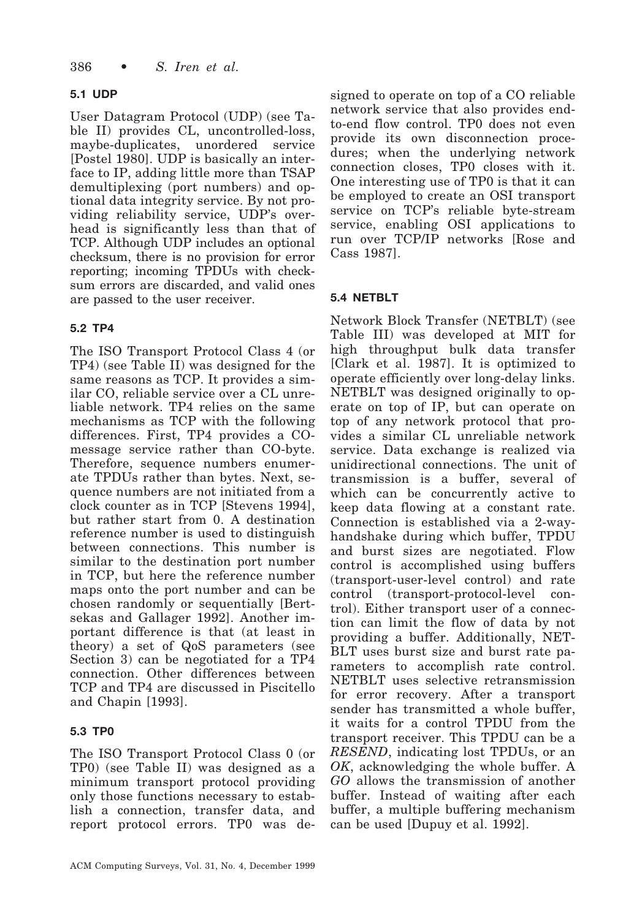## **5.1 UDP**

User Datagram Protocol (UDP) (see Table II) provides CL, uncontrolled-loss, maybe-duplicates, unordered service [Postel 1980]. UDP is basically an interface to IP, adding little more than TSAP demultiplexing (port numbers) and optional data integrity service. By not providing reliability service, UDP's overhead is significantly less than that of TCP. Although UDP includes an optional checksum, there is no provision for error reporting; incoming TPDUs with checksum errors are discarded, and valid ones are passed to the user receiver.

## **5.2 TP4**

The ISO Transport Protocol Class 4 (or TP4) (see Table II) was designed for the same reasons as TCP. It provides a similar CO, reliable service over a CL unreliable network. TP4 relies on the same mechanisms as TCP with the following differences. First, TP4 provides a COmessage service rather than CO-byte. Therefore, sequence numbers enumerate TPDUs rather than bytes. Next, sequence numbers are not initiated from a clock counter as in TCP [Stevens 1994], but rather start from 0. A destination reference number is used to distinguish between connections. This number is similar to the destination port number in TCP, but here the reference number maps onto the port number and can be chosen randomly or sequentially [Bertsekas and Gallager 1992]. Another important difference is that (at least in theory) a set of QoS parameters (see Section 3) can be negotiated for a TP4 connection. Other differences between TCP and TP4 are discussed in Piscitello and Chapin [1993].

## **5.3 TP0**

The ISO Transport Protocol Class 0 (or TP0) (see Table II) was designed as a minimum transport protocol providing only those functions necessary to establish a connection, transfer data, and report protocol errors. TP0 was designed to operate on top of a CO reliable network service that also provides endto-end flow control. TP0 does not even provide its own disconnection procedures; when the underlying network connection closes, TP0 closes with it. One interesting use of TP0 is that it can be employed to create an OSI transport service on TCP's reliable byte-stream service, enabling OSI applications to run over TCP/IP networks [Rose and Cass 1987].

## **5.4 NETBLT**

Network Block Transfer (NETBLT) (see Table III) was developed at MIT for high throughput bulk data transfer [Clark et al. 1987]. It is optimized to operate efficiently over long-delay links. NETBLT was designed originally to operate on top of IP, but can operate on top of any network protocol that provides a similar CL unreliable network service. Data exchange is realized via unidirectional connections. The unit of transmission is a buffer, several of which can be concurrently active to keep data flowing at a constant rate. Connection is established via a 2-wayhandshake during which buffer, TPDU and burst sizes are negotiated. Flow control is accomplished using buffers (transport-user-level control) and rate control (transport-protocol-level control). Either transport user of a connection can limit the flow of data by not providing a buffer. Additionally, NET-BLT uses burst size and burst rate parameters to accomplish rate control. NETBLT uses selective retransmission for error recovery. After a transport sender has transmitted a whole buffer, it waits for a control TPDU from the transport receiver. This TPDU can be a *RESEND*, indicating lost TPDUs, or an *OK*, acknowledging the whole buffer. A *GO* allows the transmission of another buffer. Instead of waiting after each buffer, a multiple buffering mechanism can be used [Dupuy et al. 1992].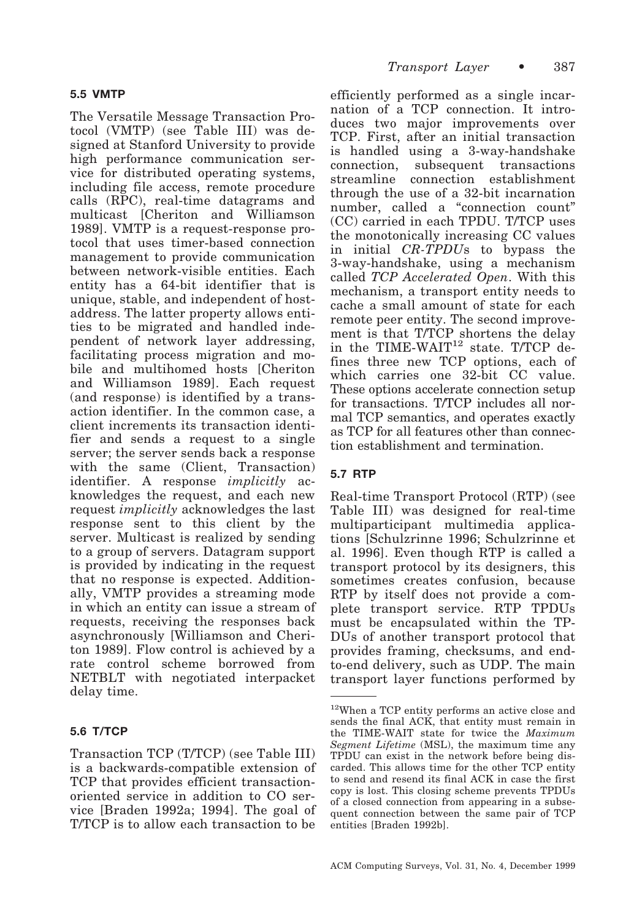#### **5.5 VMTP**

The Versatile Message Transaction Protocol (VMTP) (see Table III) was designed at Stanford University to provide high performance communication service for distributed operating systems, including file access, remote procedure calls (RPC), real-time datagrams and multicast [Cheriton and Williamson 1989]. VMTP is a request-response protocol that uses timer-based connection management to provide communication between network-visible entities. Each entity has a 64-bit identifier that is unique, stable, and independent of hostaddress. The latter property allows entities to be migrated and handled independent of network layer addressing, facilitating process migration and mobile and multihomed hosts [Cheriton and Williamson 1989]. Each request (and response) is identified by a transaction identifier. In the common case, a client increments its transaction identifier and sends a request to a single server; the server sends back a response with the same (Client, Transaction) identifier. A response *implicitly* acknowledges the request, and each new request *implicitly* acknowledges the last response sent to this client by the server. Multicast is realized by sending to a group of servers. Datagram support is provided by indicating in the request that no response is expected. Additionally, VMTP provides a streaming mode in which an entity can issue a stream of requests, receiving the responses back asynchronously [Williamson and Cheriton 1989]. Flow control is achieved by a rate control scheme borrowed from NETBLT with negotiated interpacket delay time.

### **5.6 T/TCP**

Transaction TCP (T/TCP) (see Table III) is a backwards-compatible extension of TCP that provides efficient transactionoriented service in addition to CO service [Braden 1992a; 1994]. The goal of T/TCP is to allow each transaction to be

efficiently performed as a single incarnation of a TCP connection. It introduces two major improvements over TCP. First, after an initial transaction is handled using a 3-way-handshake connection, subsequent transactions streamline connection establishment through the use of a 32-bit incarnation number, called a "connection count" (CC) carried in each TPDU. T/TCP uses the monotonically increasing CC values in initial *CR-TPDU*s to bypass the 3-way-handshake, using a mechanism called *TCP Accelerated Open*. With this mechanism, a transport entity needs to cache a small amount of state for each remote peer entity. The second improvement is that T/TCP shortens the delay in the TIME-WAIT $12$  state. T/TCP defines three new TCP options, each of which carries one 32-bit CC value. These options accelerate connection setup for transactions. T/TCP includes all normal TCP semantics, and operates exactly as TCP for all features other than connection establishment and termination.

### **5.7 RTP**

Real-time Transport Protocol (RTP) (see Table III) was designed for real-time multiparticipant multimedia applications [Schulzrinne 1996; Schulzrinne et al. 1996]. Even though RTP is called a transport protocol by its designers, this sometimes creates confusion, because RTP by itself does not provide a complete transport service. RTP TPDUs must be encapsulated within the TP-DUs of another transport protocol that provides framing, checksums, and endto-end delivery, such as UDP. The main transport layer functions performed by

<sup>12</sup>When a TCP entity performs an active close and sends the final ACK, that entity must remain in the TIME-WAIT state for twice the *Maximum Segment Lifetime* (MSL), the maximum time any TPDU can exist in the network before being discarded. This allows time for the other TCP entity to send and resend its final ACK in case the first copy is lost. This closing scheme prevents TPDUs of a closed connection from appearing in a subsequent connection between the same pair of TCP entities [Braden 1992b].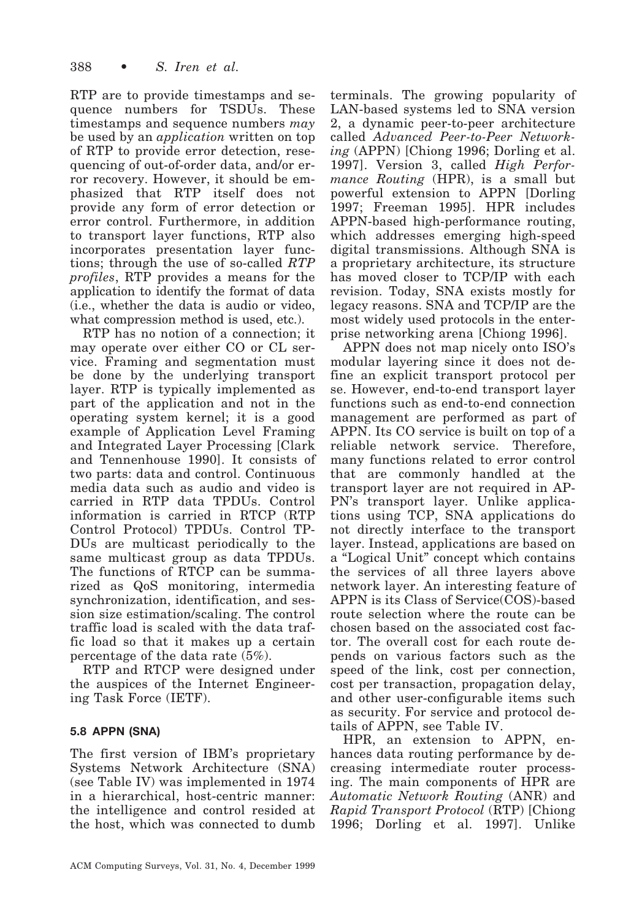RTP are to provide timestamps and sequence numbers for TSDUs. These timestamps and sequence numbers *may* be used by an *application* written on top of RTP to provide error detection, resequencing of out-of-order data, and/or error recovery. However, it should be emphasized that RTP itself does not provide any form of error detection or error control. Furthermore, in addition to transport layer functions, RTP also incorporates presentation layer functions; through the use of so-called *RTP profiles*, RTP provides a means for the application to identify the format of data (i.e., whether the data is audio or video, what compression method is used, etc.).

RTP has no notion of a connection; it may operate over either CO or CL service. Framing and segmentation must be done by the underlying transport layer. RTP is typically implemented as part of the application and not in the operating system kernel; it is a good example of Application Level Framing and Integrated Layer Processing [Clark and Tennenhouse 1990]. It consists of two parts: data and control. Continuous media data such as audio and video is carried in RTP data TPDUs. Control information is carried in RTCP (RTP Control Protocol) TPDUs. Control TP-DUs are multicast periodically to the same multicast group as data TPDUs. The functions of RTCP can be summarized as QoS monitoring, intermedia synchronization, identification, and session size estimation/scaling. The control traffic load is scaled with the data traffic load so that it makes up a certain percentage of the data rate (5%).

RTP and RTCP were designed under the auspices of the Internet Engineering Task Force (IETF).

## **5.8 APPN (SNA)**

The first version of IBM's proprietary Systems Network Architecture (SNA) (see Table IV) was implemented in 1974 in a hierarchical, host-centric manner: the intelligence and control resided at the host, which was connected to dumb terminals. The growing popularity of LAN-based systems led to SNA version 2, a dynamic peer-to-peer architecture called *Advanced Peer-to-Peer Networking* (APPN) [Chiong 1996; Dorling et al. 1997]. Version 3, called *High Performance Routing* (HPR), is a small but powerful extension to APPN [Dorling 1997; Freeman 1995]. HPR includes APPN-based high-performance routing, which addresses emerging high-speed digital transmissions. Although SNA is a proprietary architecture, its structure has moved closer to TCP/IP with each revision. Today, SNA exists mostly for legacy reasons. SNA and TCP/IP are the most widely used protocols in the enterprise networking arena [Chiong 1996].

APPN does not map nicely onto ISO's modular layering since it does not define an explicit transport protocol per se. However, end-to-end transport layer functions such as end-to-end connection management are performed as part of APPN. Its CO service is built on top of a reliable network service. Therefore, many functions related to error control that are commonly handled at the transport layer are not required in AP-PN's transport layer. Unlike applications using TCP, SNA applications do not directly interface to the transport layer. Instead, applications are based on a "Logical Unit" concept which contains the services of all three layers above network layer. An interesting feature of APPN is its Class of Service(COS)-based route selection where the route can be chosen based on the associated cost factor. The overall cost for each route depends on various factors such as the speed of the link, cost per connection, cost per transaction, propagation delay, and other user-configurable items such as security. For service and protocol details of APPN, see Table IV.

HPR, an extension to APPN, enhances data routing performance by decreasing intermediate router processing. The main components of HPR are *Automatic Network Routing* (ANR) and *Rapid Transport Protocol* (RTP) [Chiong 1996; Dorling et al. 1997]. Unlike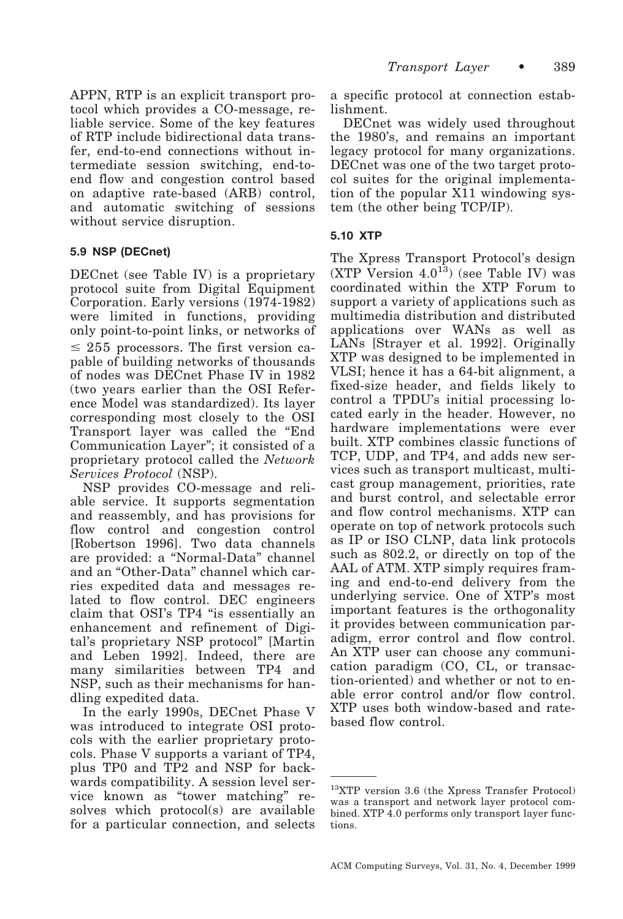on adaptive rate-based (ARB) control, and automatic switching of sessions without service disruption.

## **5.9 NSP (DECnet)**

DECnet (see Table IV) is a proprietary protocol suite from Digital Equipment Corporation. Early versions (1974-1982) were limited in functions, providing only point-to-point links, or networks of  $\leq$  255 processors. The first version capable of building networks of thousands of nodes was DECnet Phase IV in 1982 (two years earlier than the OSI Reference Model was standardized). Its layer corresponding most closely to the OSI Transport layer was called the "End Communication Layer"; it consisted of a proprietary protocol called the *Network Services Protocol* (NSP).

NSP provides CO-message and reliable service. It supports segmentation and reassembly, and has provisions for flow control and congestion control [Robertson 1996]. Two data channels are provided: a "Normal-Data" channel and an "Other-Data" channel which carries expedited data and messages related to flow control. DEC engineers claim that OSI's TP4 "is essentially an enhancement and refinement of Digital's proprietary NSP protocol" [Martin and Leben 1992]. Indeed, there are many similarities between TP4 and NSP, such as their mechanisms for handling expedited data.

In the early 1990s, DECnet Phase V was introduced to integrate OSI protocols with the earlier proprietary protocols. Phase V supports a variant of TP4, plus TP0 and TP2 and NSP for backwards compatibility. A session level service known as "tower matching" resolves which protocol(s) are available for a particular connection, and selects a specific protocol at connection establishment.

DECnet was widely used throughout the 1980's, and remains an important legacy protocol for many organizations. DECnet was one of the two target protocol suites for the original implementation of the popular X11 windowing system (the other being TCP/IP).

## **5.10 XTP**

The Xpress Transport Protocol's design (XTP Version  $4.0^{13}$ ) (see Table IV) was coordinated within the XTP Forum to support a variety of applications such as multimedia distribution and distributed applications over WANs as well as LANs [Strayer et al. 1992]. Originally XTP was designed to be implemented in VLSI; hence it has a 64-bit alignment, a fixed-size header, and fields likely to control a TPDU's initial processing located early in the header. However, no hardware implementations were ever built. XTP combines classic functions of TCP, UDP, and TP4, and adds new services such as transport multicast, multicast group management, priorities, rate and burst control, and selectable error and flow control mechanisms. XTP can operate on top of network protocols such as IP or ISO CLNP, data link protocols such as 802.2, or directly on top of the AAL of ATM. XTP simply requires framing and end-to-end delivery from the underlying service. One of XTP's most important features is the orthogonality it provides between communication paradigm, error control and flow control. An XTP user can choose any communication paradigm (CO, CL, or transaction-oriented) and whether or not to enable error control and/or flow control. XTP uses both window-based and ratebased flow control.

<sup>13</sup>XTP version 3.6 (the Xpress Transfer Protocol) was a transport and network layer protocol combined. XTP 4.0 performs only transport layer functions.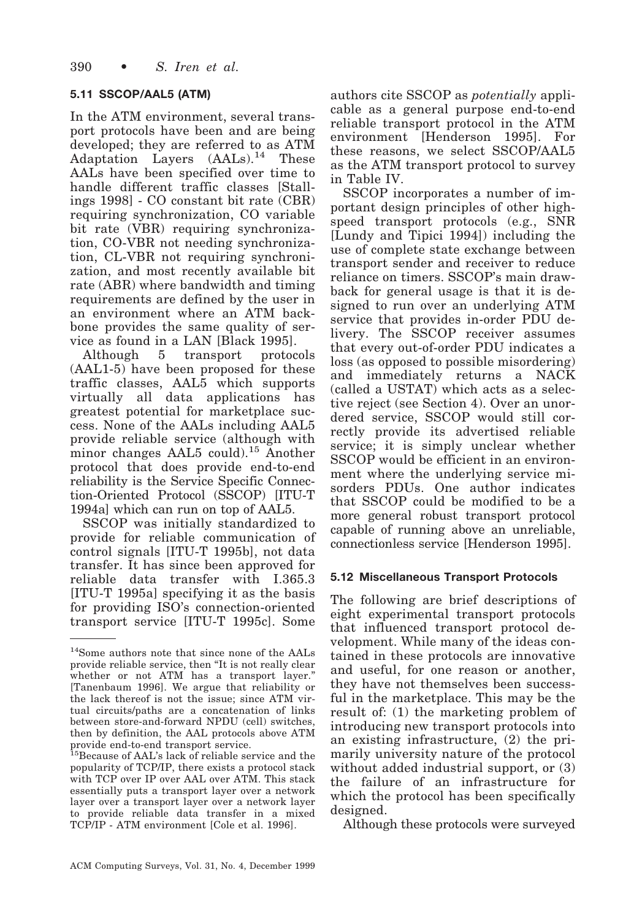#### **5.11 SSCOP/AAL5 (ATM)**

In the ATM environment, several transport protocols have been and are being developed; they are referred to as ATM  $Adaptation$  Layers  $(AALs).<sup>14</sup>$  These AALs have been specified over time to handle different traffic classes [Stallings 1998] - CO constant bit rate (CBR) requiring synchronization, CO variable bit rate (VBR) requiring synchronization, CO-VBR not needing synchronization, CL-VBR not requiring synchronization, and most recently available bit rate (ABR) where bandwidth and timing requirements are defined by the user in an environment where an ATM backbone provides the same quality of service as found in a LAN [Black 1995].

Although 5 transport protocols (AAL1-5) have been proposed for these traffic classes, AAL5 which supports virtually all data applications has greatest potential for marketplace success. None of the AALs including AAL5 provide reliable service (although with minor changes AAL5 could).<sup>15</sup> Another protocol that does provide end-to-end reliability is the Service Specific Connection-Oriented Protocol (SSCOP) [ITU-T 1994a] which can run on top of AAL5.

SSCOP was initially standardized to provide for reliable communication of control signals [ITU-T 1995b], not data transfer. It has since been approved for reliable data transfer with I.365.3 [ITU-T 1995a] specifying it as the basis for providing ISO's connection-oriented transport service [ITU-T 1995c]. Some

authors cite SSCOP as *potentially* applicable as a general purpose end-to-end reliable transport protocol in the ATM environment [Henderson 1995]. For these reasons, we select SSCOP/AAL5 as the ATM transport protocol to survey in Table IV.

SSCOP incorporates a number of important design principles of other highspeed transport protocols (e.g., SNR [Lundy and Tipici 1994]) including the use of complete state exchange between transport sender and receiver to reduce reliance on timers. SSCOP's main drawback for general usage is that it is designed to run over an underlying ATM service that provides in-order PDU delivery. The SSCOP receiver assumes that every out-of-order PDU indicates a loss (as opposed to possible misordering) and immediately returns a NACK (called a USTAT) which acts as a selective reject (see Section 4). Over an unordered service, SSCOP would still correctly provide its advertised reliable service; it is simply unclear whether SSCOP would be efficient in an environment where the underlying service misorders PDUs. One author indicates that SSCOP could be modified to be a more general robust transport protocol capable of running above an unreliable, connectionless service [Henderson 1995].

#### **5.12 Miscellaneous Transport Protocols**

The following are brief descriptions of eight experimental transport protocols that influenced transport protocol development. While many of the ideas contained in these protocols are innovative and useful, for one reason or another, they have not themselves been successful in the marketplace. This may be the result of: (1) the marketing problem of introducing new transport protocols into an existing infrastructure, (2) the primarily university nature of the protocol without added industrial support, or (3) the failure of an infrastructure for which the protocol has been specifically designed.

Although these protocols were surveyed

<sup>14</sup>Some authors note that since none of the AALs provide reliable service, then "It is not really clear whether or not ATM has a transport layer." [Tanenbaum 1996]. We argue that reliability or the lack thereof is not the issue; since ATM virtual circuits/paths are a concatenation of links between store-and-forward NPDU (cell) switches, then by definition, the AAL protocols above ATM

provide end-to-end transport service. 15Because of AAL's lack of reliable service and the popularity of TCP/IP, there exists a protocol stack with TCP over IP over AAL over ATM. This stack essentially puts a transport layer over a network layer over a transport layer over a network layer to provide reliable data transfer in a mixed TCP/IP - ATM environment [Cole et al. 1996].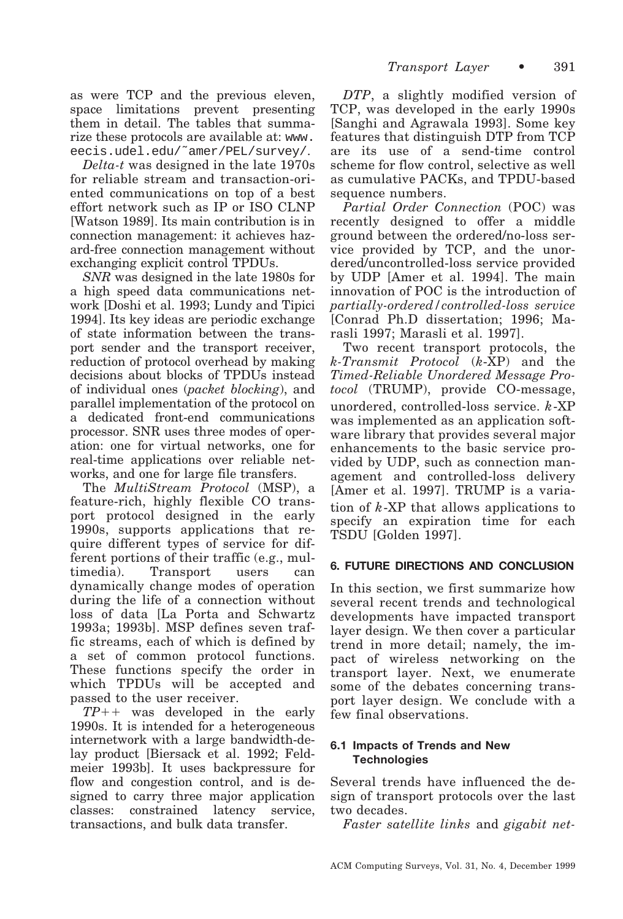as were TCP and the previous eleven, space limitations prevent presenting them in detail. The tables that summarize these protocols are available at: www. eecis.udel.edu/˜amer/PEL/survey/.

*Delta-t* was designed in the late 1970s for reliable stream and transaction-oriented communications on top of a best effort network such as IP or ISO CLNP [Watson 1989]. Its main contribution is in connection management: it achieves hazard-free connection management without exchanging explicit control TPDUs.

*SNR* was designed in the late 1980s for a high speed data communications network [Doshi et al. 1993; Lundy and Tipici 1994]. Its key ideas are periodic exchange of state information between the transport sender and the transport receiver, reduction of protocol overhead by making decisions about blocks of TPDUs instead of individual ones (*packet blocking*), and parallel implementation of the protocol on a dedicated front-end communications processor. SNR uses three modes of operation: one for virtual networks, one for real-time applications over reliable networks, and one for large file transfers.

The *MultiStream Protocol* (MSP), a feature-rich, highly flexible CO transport protocol designed in the early 1990s, supports applications that require different types of service for different portions of their traffic (e.g., multimedia). Transport users can dynamically change modes of operation during the life of a connection without loss of data [La Porta and Schwartz 1993a; 1993b]. MSP defines seven traffic streams, each of which is defined by a set of common protocol functions. These functions specify the order in which TPDUs will be accepted and passed to the user receiver.

 $TP++$  was developed in the early 1990s. It is intended for a heterogeneous internetwork with a large bandwidth-delay product [Biersack et al. 1992; Feldmeier 1993b]. It uses backpressure for flow and congestion control, and is designed to carry three major application classes: constrained latency service, transactions, and bulk data transfer.

*DTP*, a slightly modified version of TCP, was developed in the early 1990s [Sanghi and Agrawala 1993]. Some key features that distinguish DTP from TCP are its use of a send-time control scheme for flow control, selective as well as cumulative PACKs, and TPDU-based sequence numbers.

*Partial Order Connection* (POC) was recently designed to offer a middle ground between the ordered/no-loss service provided by TCP, and the unordered/uncontrolled-loss service provided by UDP [Amer et al. 1994]. The main innovation of POC is the introduction of *partially-ordered/controlled-loss service* [Conrad Ph.D dissertation; 1996; Marasli 1997; Marasli et al. 1997].

Two recent transport protocols, the *k-Transmit Protocol* (*k*-XP) and the *Timed-Reliable Unordered Message Protocol* (TRUMP), provide CO-message, unordered, controlled-loss service. *k*-XP was implemented as an application software library that provides several major enhancements to the basic service provided by UDP, such as connection management and controlled-loss delivery [Amer et al. 1997]. TRUMP is a variation of *k*-XP that allows applications to specify an expiration time for each TSDU [Golden 1997].

## **6. FUTURE DIRECTIONS AND CONCLUSION**

In this section, we first summarize how several recent trends and technological developments have impacted transport layer design. We then cover a particular trend in more detail; namely, the impact of wireless networking on the transport layer. Next, we enumerate some of the debates concerning transport layer design. We conclude with a few final observations.

#### **6.1 Impacts of Trends and New Technologies**

Several trends have influenced the design of transport protocols over the last two decades.

*Faster satellite links* and *gigabit net-*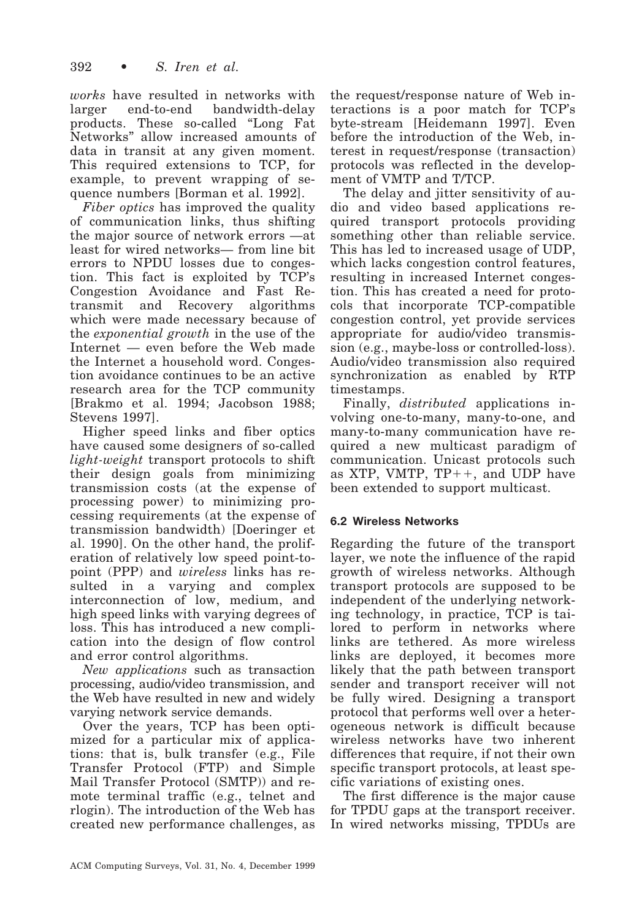*works* have resulted in networks with larger end-to-end bandwidth-delay products. These so-called "Long Fat Networks" allow increased amounts of data in transit at any given moment. This required extensions to TCP, for example, to prevent wrapping of sequence numbers [Borman et al. 1992].

*Fiber optics* has improved the quality of communication links, thus shifting the major source of network errors —at least for wired networks— from line bit errors to NPDU losses due to congestion. This fact is exploited by TCP's Congestion Avoidance and Fast Retransmit and Recovery algorithms which were made necessary because of the *exponential growth* in the use of the Internet — even before the Web made the Internet a household word. Congestion avoidance continues to be an active research area for the TCP community [Brakmo et al. 1994; Jacobson 1988; Stevens 1997].

Higher speed links and fiber optics have caused some designers of so-called *light-weight* transport protocols to shift their design goals from minimizing transmission costs (at the expense of processing power) to minimizing processing requirements (at the expense of transmission bandwidth) [Doeringer et al. 1990]. On the other hand, the proliferation of relatively low speed point-topoint (PPP) and *wireless* links has resulted in a varying and complex interconnection of low, medium, and high speed links with varying degrees of loss. This has introduced a new complication into the design of flow control and error control algorithms.

*New applications* such as transaction processing, audio/video transmission, and the Web have resulted in new and widely varying network service demands.

Over the years, TCP has been optimized for a particular mix of applications: that is, bulk transfer (e.g., File Transfer Protocol (FTP) and Simple Mail Transfer Protocol (SMTP)) and remote terminal traffic (e.g., telnet and rlogin). The introduction of the Web has created new performance challenges, as

the request/response nature of Web interactions is a poor match for TCP's byte-stream [Heidemann 1997]. Even before the introduction of the Web, interest in request/response (transaction) protocols was reflected in the development of VMTP and T/TCP.

The delay and jitter sensitivity of audio and video based applications required transport protocols providing something other than reliable service. This has led to increased usage of UDP, which lacks congestion control features, resulting in increased Internet congestion. This has created a need for protocols that incorporate TCP-compatible congestion control, yet provide services appropriate for audio/video transmission (e.g., maybe-loss or controlled-loss). Audio/video transmission also required synchronization as enabled by RTP timestamps.

Finally, *distributed* applications involving one-to-many, many-to-one, and many-to-many communication have required a new multicast paradigm of communication. Unicast protocols such as XTP, VMTP,  $TP++$ , and UDP have been extended to support multicast.

## **6.2 Wireless Networks**

Regarding the future of the transport layer, we note the influence of the rapid growth of wireless networks. Although transport protocols are supposed to be independent of the underlying networking technology, in practice, TCP is tailored to perform in networks where links are tethered. As more wireless links are deployed, it becomes more likely that the path between transport sender and transport receiver will not be fully wired. Designing a transport protocol that performs well over a heterogeneous network is difficult because wireless networks have two inherent differences that require, if not their own specific transport protocols, at least specific variations of existing ones.

The first difference is the major cause for TPDU gaps at the transport receiver. In wired networks missing, TPDUs are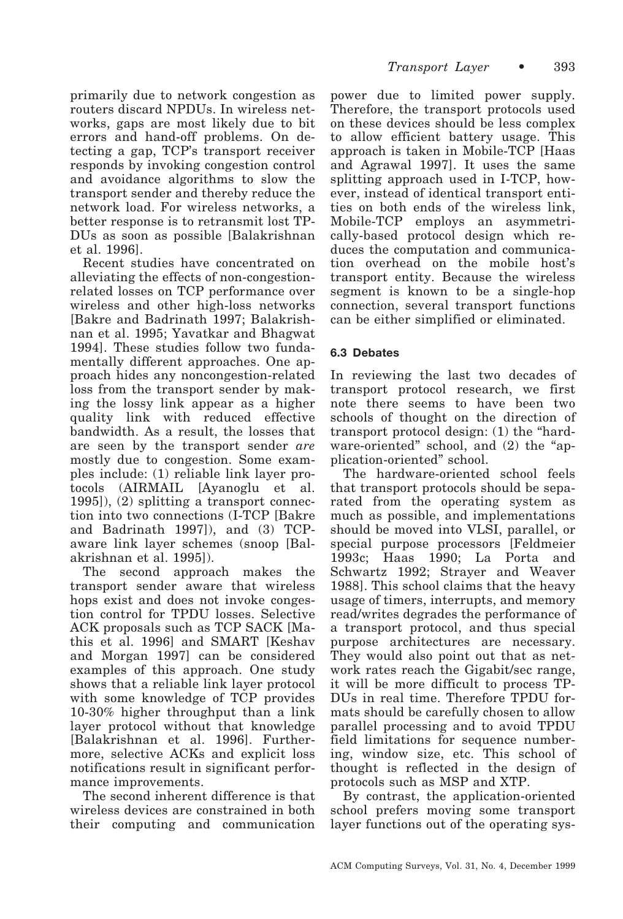primarily due to network congestion as routers discard NPDUs. In wireless networks, gaps are most likely due to bit errors and hand-off problems. On detecting a gap, TCP's transport receiver responds by invoking congestion control and avoidance algorithms to slow the transport sender and thereby reduce the network load. For wireless networks, a better response is to retransmit lost TP-DUs as soon as possible [Balakrishnan

et al. 1996]. Recent studies have concentrated on alleviating the effects of non-congestionrelated losses on TCP performance over wireless and other high-loss networks [Bakre and Badrinath 1997; Balakrishnan et al. 1995; Yavatkar and Bhagwat 1994]. These studies follow two fundamentally different approaches. One approach hides any noncongestion-related loss from the transport sender by making the lossy link appear as a higher quality link with reduced effective bandwidth. As a result, the losses that are seen by the transport sender *are* mostly due to congestion. Some examples include: (1) reliable link layer protocols (AIRMAIL [Ayanoglu et al. 1995]), (2) splitting a transport connection into two connections (I-TCP [Bakre and Badrinath 1997]), and (3) TCPaware link layer schemes (snoop [Balakrishnan et al. 1995]).

The second approach makes the transport sender aware that wireless hops exist and does not invoke congestion control for TPDU losses. Selective ACK proposals such as TCP SACK [Mathis et al. 1996] and SMART [Keshav and Morgan 1997] can be considered examples of this approach. One study shows that a reliable link layer protocol with some knowledge of TCP provides 10-30% higher throughput than a link layer protocol without that knowledge [Balakrishnan et al. 1996]. Furthermore, selective ACKs and explicit loss notifications result in significant performance improvements.

The second inherent difference is that wireless devices are constrained in both their computing and communication

power due to limited power supply. Therefore, the transport protocols used on these devices should be less complex to allow efficient battery usage. This approach is taken in Mobile-TCP [Haas and Agrawal 1997]. It uses the same splitting approach used in I-TCP, however, instead of identical transport entities on both ends of the wireless link, Mobile-TCP employs an asymmetrically-based protocol design which reduces the computation and communication overhead on the mobile host's transport entity. Because the wireless segment is known to be a single-hop connection, several transport functions can be either simplified or eliminated.

### **6.3 Debates**

In reviewing the last two decades of transport protocol research, we first note there seems to have been two schools of thought on the direction of transport protocol design: (1) the "hardware-oriented" school, and (2) the "application-oriented" school.

The hardware-oriented school feels that transport protocols should be separated from the operating system as much as possible, and implementations should be moved into VLSI, parallel, or special purpose processors [Feldmeier 1993c; Haas 1990; La Porta and Schwartz 1992; Strayer and Weaver 1988]. This school claims that the heavy usage of timers, interrupts, and memory read/writes degrades the performance of a transport protocol, and thus special purpose architectures are necessary. They would also point out that as network rates reach the Gigabit/sec range, it will be more difficult to process TP-DUs in real time. Therefore TPDU formats should be carefully chosen to allow parallel processing and to avoid TPDU field limitations for sequence numbering, window size, etc. This school of thought is reflected in the design of protocols such as MSP and XTP.

By contrast, the application-oriented school prefers moving some transport layer functions out of the operating sys-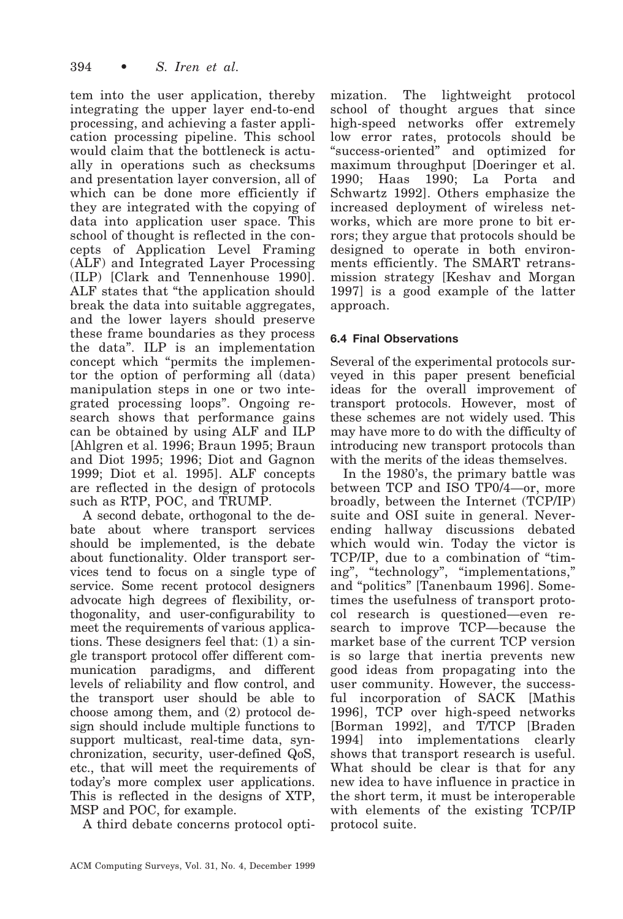tem into the user application, thereby integrating the upper layer end-to-end processing, and achieving a faster application processing pipeline. This school would claim that the bottleneck is actually in operations such as checksums and presentation layer conversion, all of which can be done more efficiently if they are integrated with the copying of data into application user space. This school of thought is reflected in the concepts of Application Level Framing (ALF) and Integrated Layer Processing (ILP) [Clark and Tennenhouse 1990]. ALF states that "the application should break the data into suitable aggregates, and the lower layers should preserve these frame boundaries as they process the data". ILP is an implementation concept which "permits the implementor the option of performing all (data) manipulation steps in one or two integrated processing loops". Ongoing research shows that performance gains can be obtained by using ALF and ILP [Ahlgren et al. 1996; Braun 1995; Braun and Diot 1995; 1996; Diot and Gagnon 1999; Diot et al. 1995]. ALF concepts are reflected in the design of protocols such as RTP, POC, and TRUMP.

A second debate, orthogonal to the debate about where transport services should be implemented, is the debate about functionality. Older transport services tend to focus on a single type of service. Some recent protocol designers advocate high degrees of flexibility, orthogonality, and user-configurability to meet the requirements of various applications. These designers feel that: (1) a single transport protocol offer different communication paradigms, and different levels of reliability and flow control, and the transport user should be able to choose among them, and (2) protocol design should include multiple functions to support multicast, real-time data, synchronization, security, user-defined QoS, etc., that will meet the requirements of today's more complex user applications. This is reflected in the designs of XTP, MSP and POC, for example.

A third debate concerns protocol opti-

mization. The lightweight protocol school of thought argues that since high-speed networks offer extremely low error rates, protocols should be "success-oriented" and optimized for maximum throughput [Doeringer et al. 1990; Haas 1990; La Porta and Schwartz 1992]. Others emphasize the increased deployment of wireless networks, which are more prone to bit errors; they argue that protocols should be designed to operate in both environments efficiently. The SMART retransmission strategy [Keshav and Morgan 1997] is a good example of the latter approach.

## **6.4 Final Observations**

Several of the experimental protocols surveyed in this paper present beneficial ideas for the overall improvement of transport protocols. However, most of these schemes are not widely used. This may have more to do with the difficulty of introducing new transport protocols than with the merits of the ideas themselves.

In the 1980's, the primary battle was between TCP and ISO TP0/4—or, more broadly, between the Internet (TCP/IP) suite and OSI suite in general. Neverending hallway discussions debated which would win. Today the victor is TCP/IP, due to a combination of "timing", "technology", "implementations," and "politics" [Tanenbaum 1996]. Sometimes the usefulness of transport protocol research is questioned—even research to improve TCP—because the market base of the current TCP version is so large that inertia prevents new good ideas from propagating into the user community. However, the successful incorporation of SACK [Mathis 1996], TCP over high-speed networks [Borman 1992], and T/TCP [Braden 1994] into implementations clearly shows that transport research is useful. What should be clear is that for any new idea to have influence in practice in the short term, it must be interoperable with elements of the existing TCP/IP protocol suite.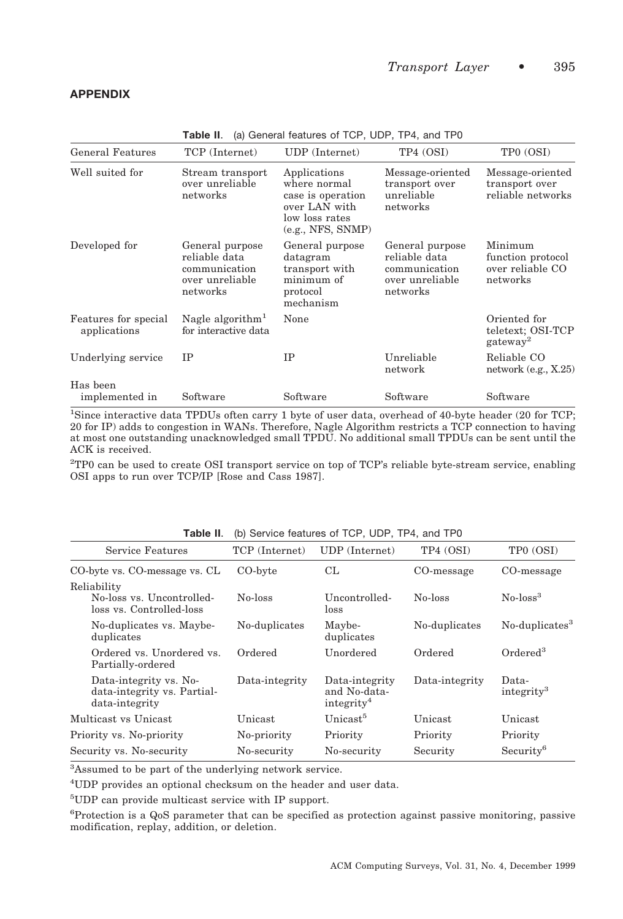## **APPENDIX**

| General Features                     | TCP (Internet)                                                                   | UDP (Internet)                                                                                            | TP4 (OSI)                                                                        | TP0 (OSI)                                                    |
|--------------------------------------|----------------------------------------------------------------------------------|-----------------------------------------------------------------------------------------------------------|----------------------------------------------------------------------------------|--------------------------------------------------------------|
| Well suited for                      | Stream transport<br>over unreliable<br>networks                                  | Applications<br>where normal<br>case is operation<br>over LAN with<br>low loss rates<br>(e.g., NFS, SNMP) | Message-oriented<br>transport over<br>unreliable<br>networks                     | Message-oriented<br>transport over<br>reliable networks      |
| Developed for                        | General purpose<br>reliable data<br>communication<br>over unreliable<br>networks | General purpose<br>datagram<br>transport with<br>minimum of<br>protocol<br>mechanism                      | General purpose<br>reliable data<br>communication<br>over unreliable<br>networks | Minimum<br>function protocol<br>over reliable CO<br>networks |
| Features for special<br>applications | Nagle algorithm <sup>1</sup><br>for interactive data                             | None                                                                                                      |                                                                                  | Oriented for<br>teletext; OSI-TCP<br>gateway <sup>2</sup>    |
| Underlying service                   | <b>IP</b>                                                                        | IP                                                                                                        | Unreliable<br>network                                                            | Reliable CO<br>network $(e.g., X.25)$                        |
| Has been<br>implemented in           | Software                                                                         | Software                                                                                                  | Software                                                                         | Software                                                     |

**Table II**. (a) General features of TCP, UDP, TP4, and TP0

<sup>1</sup>Since interactive data TPDUs often carry 1 byte of user data, overhead of 40-byte header (20 for TCP; 20 for IP) adds to congestion in WANs. Therefore, Nagle Algorithm restricts a TCP connection to having at most one outstanding unacknowledged small TPDU. No additional small TPDUs can be sent until the ACK is received.

2 TP0 can be used to create OSI transport service on top of TCP's reliable byte-stream service, enabling OSI apps to run over TCP/IP [Rose and Cass 1987].

| Service Features                                                        | TCP (Internet) | UDP (Internet)                                           | TP4 (OSI)      | TP0 (OSI)                       |
|-------------------------------------------------------------------------|----------------|----------------------------------------------------------|----------------|---------------------------------|
| CO-byte vs. CO-message vs. CL                                           | CO-byte        | CL                                                       | CO-message     | CO-message                      |
| Reliability<br>No-loss vs. Uncontrolled-<br>loss vs. Controlled-loss    | No-loss        | Uncontrolled-<br>loss                                    | No-loss        | $No-loss3$                      |
| No-duplicates vs. Maybe-<br>duplicates                                  | No-duplicates  | Maybe-<br>duplicates                                     | No-duplicates  | $No$ -duplicates <sup>3</sup>   |
| Ordered vs. Unordered vs.<br>Partially-ordered                          | Ordered        | Unordered                                                | Ordered        | $O$ rdered <sup>3</sup>         |
| Data-integrity vs. No-<br>data-integrity vs. Partial-<br>data-integrity | Data-integrity | Data-integrity<br>and No-data-<br>integrity <sup>4</sup> | Data-integrity | Data-<br>integrity <sup>3</sup> |
| Multicast vs Unicast                                                    | Unicast        | Unicast <sup>5</sup>                                     | Unicast        | Unicast                         |
| Priority vs. No-priority                                                | No-priority    | Priority                                                 | Priority       | Priority                        |
| Security vs. No-security                                                | No-security    | No-security                                              | Security       | Security <sup>6</sup>           |

**Table II**. (b) Service features of TCP, UDP, TP4, and TP0

3 Assumed to be part of the underlying network service.

4 UDP provides an optional checksum on the header and user data.

5 UDP can provide multicast service with IP support.

<sup>6</sup>Protection is a QoS parameter that can be specified as protection against passive monitoring, passive modification, replay, addition, or deletion.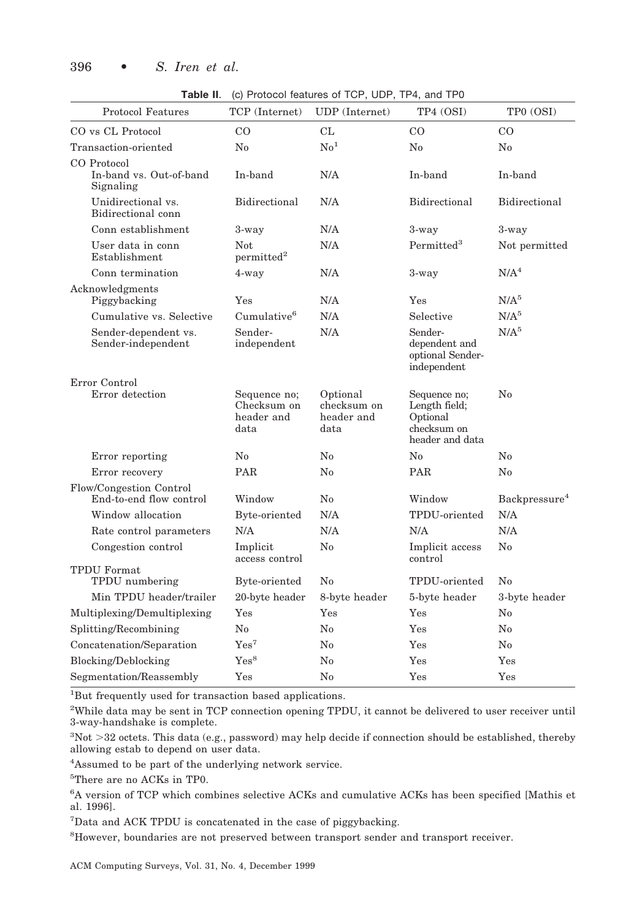## 396 • *S. Iren et al.*

**Table II**. (c) Protocol features of TCP, UDP, TP4, and TP0

| <b>Protocol Features</b>                            | TCP (Internet)                                    | UDP (Internet)                                | TP4 (OSI)                                                                   | TP0 (OSI)                 |
|-----------------------------------------------------|---------------------------------------------------|-----------------------------------------------|-----------------------------------------------------------------------------|---------------------------|
| CO vs CL Protocol                                   | CO.                                               | CL                                            | $\rm CO$                                                                    | CO                        |
| Transaction-oriented                                | $\rm No$                                          | No <sup>1</sup>                               | No                                                                          | $\rm No$                  |
| CO Protocol<br>In-band vs. Out-of-band<br>Signaling | In-band                                           | N/A                                           | In-band                                                                     | In-band                   |
| Unidirectional vs.<br>Bidirectional conn            | Bidirectional                                     | N/A                                           | <b>Bidirectional</b>                                                        | Bidirectional             |
| Conn establishment                                  | $3$ -way                                          | N/A                                           | 3-way                                                                       | $3$ -way                  |
| User data in conn<br>Establishment                  | Not<br>permitted <sup>2</sup>                     | $\rm N/A$                                     | Permitted <sup>3</sup>                                                      | Not permitted             |
| Conn termination                                    | $4$ -way                                          | N/A                                           | $3$ -way                                                                    | $\rm N/A^4$               |
| Acknowledgments<br>Piggybacking                     | Yes                                               | N/A                                           | Yes                                                                         | N/A <sup>5</sup>          |
| Cumulative vs. Selective                            | Cumulative <sup>6</sup>                           | N/A                                           | Selective                                                                   | N/A <sup>5</sup>          |
| Sender-dependent vs.<br>Sender-independent          | Sender-<br>independent                            | N/A                                           | Sender-<br>dependent and<br>optional Sender-<br>independent                 | N/A <sup>5</sup>          |
| Error Control<br>Error detection                    | Sequence no;<br>Checksum on<br>header and<br>data | Optional<br>checksum on<br>header and<br>data | Sequence no;<br>Length field;<br>Optional<br>checksum on<br>header and data | No                        |
| Error reporting                                     | $\rm No$                                          | No                                            | No                                                                          | $\rm No$                  |
| Error recovery                                      | <b>PAR</b>                                        | No                                            | PAR                                                                         | No                        |
| Flow/Congestion Control<br>End-to-end flow control  | Window                                            | No                                            | Window                                                                      | Backpressure <sup>4</sup> |
| Window allocation                                   | <b>Byte-oriented</b>                              | N/A                                           | TPDU-oriented                                                               | N/A                       |
| Rate control parameters                             | N/A                                               | N/A                                           | N/A                                                                         | N/A                       |
| Congestion control                                  | Implicit<br>access control                        | No                                            | Implicit access<br>control                                                  | No                        |
| TPDU Format<br>TPDU numbering                       | Byte-oriented                                     | No                                            | TPDU-oriented                                                               | $\rm No$                  |
| Min TPDU header/trailer                             | 20-byte header                                    | 8-byte header                                 | 5-byte header                                                               | 3-byte header             |
| Multiplexing/Demultiplexing                         | Yes                                               | Yes                                           | Yes                                                                         | $\rm No$                  |
| Splitting/Recombining                               | No                                                | No                                            | Yes                                                                         | No                        |
| Concatenation/Separation                            | Yes <sup>7</sup>                                  | No                                            | Yes                                                                         | No                        |
| Blocking/Deblocking                                 | Yes <sup>8</sup>                                  | No                                            | Yes                                                                         | Yes                       |
| Segmentation/Reassembly                             | Yes                                               | $\rm No$                                      | Yes                                                                         | Yes                       |

1 But frequently used for transaction based applications.

<sup>2</sup>While data may be sent in TCP connection opening TPDU, it cannot be delivered to user receiver until 3-way-handshake is complete.

 $3$ Not >32 octets. This data (e.g., password) may help decide if connection should be established, thereby allowing estab to depend on user data.

4 Assumed to be part of the underlying network service.

5 There are no ACKs in TP0.

6 A version of TCP which combines selective ACKs and cumulative ACKs has been specified [Mathis et al. 1996].

7 Data and ACK TPDU is concatenated in the case of piggybacking.

8 However, boundaries are not preserved between transport sender and transport receiver.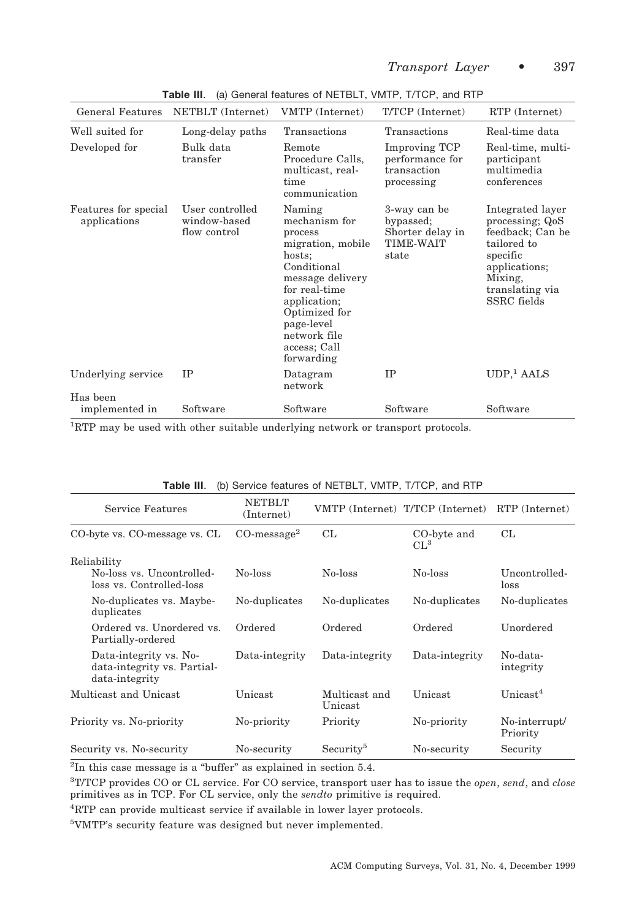| General Features                     | NETBLT (Internet) VMTP (Internet)               |                                                                                                                                                                                                                    | T/TCP (Internet)                                                           | RTP (Internet)                                                                                                                                          |
|--------------------------------------|-------------------------------------------------|--------------------------------------------------------------------------------------------------------------------------------------------------------------------------------------------------------------------|----------------------------------------------------------------------------|---------------------------------------------------------------------------------------------------------------------------------------------------------|
| Well suited for                      | Long-delay paths                                | Transactions                                                                                                                                                                                                       | Transactions                                                               | Real-time data                                                                                                                                          |
| Developed for                        | Bulk data<br>transfer                           | Remote<br>Procedure Calls,<br>multicast, real-<br>time<br>communication                                                                                                                                            | Improving TCP<br>performance for<br>transaction<br>processing              | Real-time, multi-<br>participant<br>multimedia<br>conferences                                                                                           |
| Features for special<br>applications | User controlled<br>window-based<br>flow control | Naming<br>mechanism for<br>process<br>migration, mobile<br>hosts;<br>Conditional<br>message delivery<br>for real-time<br>application;<br>Optimized for<br>page-level<br>network file<br>access; Call<br>forwarding | 3-way can be<br>bypassed;<br>Shorter delay in<br><b>TIME-WAIT</b><br>state | Integrated layer<br>processing; QoS<br>feedback; Can be<br>tailored to<br>specific<br>applications;<br>Mixing,<br>translating via<br><b>SSRC</b> fields |
| Underlying service                   | IP                                              | Datagram<br>network                                                                                                                                                                                                | IP                                                                         | UDP <sup>1</sup> AALS                                                                                                                                   |
| Has been<br>implemented in           | Software                                        | Software                                                                                                                                                                                                           | Software                                                                   | Software                                                                                                                                                |

| <b>Table III.</b> (a) General features of NETBLT, VMTP, T/TCP, and RTP |  |  |  |  |  |  |  |  |
|------------------------------------------------------------------------|--|--|--|--|--|--|--|--|
|------------------------------------------------------------------------|--|--|--|--|--|--|--|--|

1 RTP may be used with other suitable underlying network or transport protocols.

| Service Features                                                        | <b>NETBLT</b><br>(Internet) |                          | VMTP (Internet) T/TCP (Internet) RTP (Internet) |                           |
|-------------------------------------------------------------------------|-----------------------------|--------------------------|-------------------------------------------------|---------------------------|
| CO-byte vs. CO-message vs. CL                                           | $CO$ -message <sup>2</sup>  | CL                       | CO-byte and<br>CL <sup>3</sup>                  | CL                        |
| Reliability<br>No-loss vs. Uncontrolled-<br>loss vs. Controlled-loss    | No-loss                     | No-loss                  | No-loss                                         | Uncontrolled-<br>loss     |
| No-duplicates vs. Maybe-<br>duplicates                                  | No-duplicates               | No-duplicates            | No-duplicates                                   | No-duplicates             |
| Ordered vs. Unordered vs.<br>Partially-ordered                          | Ordered                     | Ordered                  | Ordered                                         | Unordered                 |
| Data-integrity vs. No-<br>data-integrity vs. Partial-<br>data-integrity | Data-integrity              | Data-integrity           | Data-integrity                                  | No-data-<br>integrity     |
| Multicast and Unicast                                                   | Unicast                     | Multicast and<br>Unicast | Unicast                                         | Unicast $4$               |
| Priority vs. No-priority                                                | No-priority                 | Priority                 | No-priority                                     | No-interrupt/<br>Priority |
| Security vs. No-security                                                | No-security                 | Security <sup>5</sup>    | No-security                                     | Security                  |

#### **Table III**. (b) Service features of NETBLT, VMTP, T/TCP, and RTP

 $2$ In this case message is a "buffer" as explained in section 5.4.

3 T/TCP provides CO or CL service. For CO service, transport user has to issue the *open*, *send*, and *close* primitives as in TCP. For CL service, only the *sendto* primitive is required.

4 RTP can provide multicast service if available in lower layer protocols.

5 VMTP's security feature was designed but never implemented.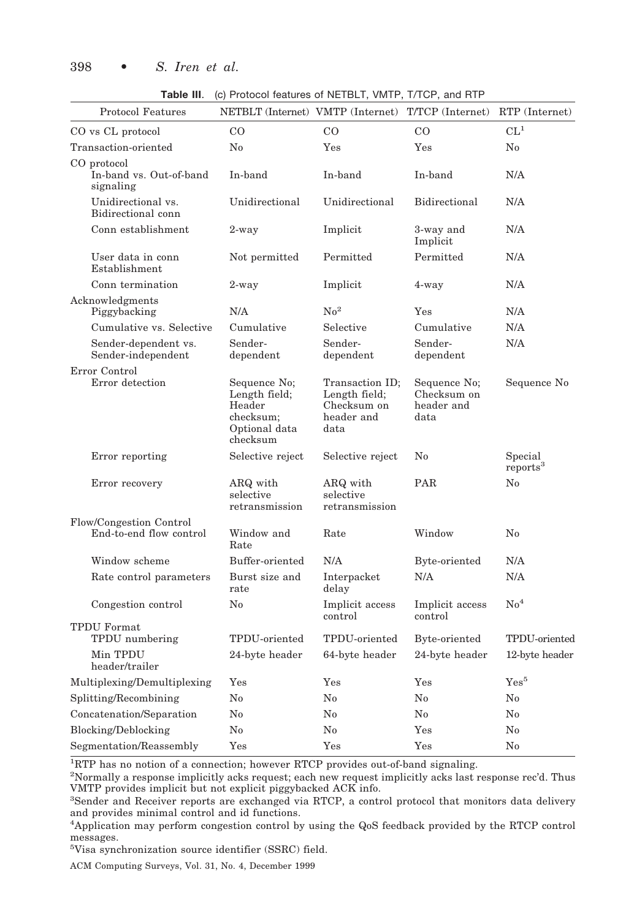## 398 • *S. Iren et al.*

**Table III**. (c) Protocol features of NETBLT, VMTP, T/TCP, and RTP

| <b>Protocol Features</b>                            | NETBLT (Internet) VMTP (Internet)                                                 |                                                                       | T/TCP (Internet)                                  | RTP (Internet)                  |
|-----------------------------------------------------|-----------------------------------------------------------------------------------|-----------------------------------------------------------------------|---------------------------------------------------|---------------------------------|
| CO vs CL protocol                                   | CO                                                                                | CO                                                                    | CO                                                | CL <sup>1</sup>                 |
| Transaction-oriented                                | No                                                                                | Yes                                                                   | Yes                                               | No                              |
| CO protocol<br>In-band vs. Out-of-band<br>signaling | In-band                                                                           | In-band                                                               | In-band                                           | N/A                             |
| Unidirectional vs.<br>Bidirectional conn            | Unidirectional                                                                    | Unidirectional                                                        | Bidirectional                                     | N/A                             |
| Conn establishment                                  | $2$ -way                                                                          | Implicit                                                              | 3-way and<br>Implicit                             | N/A                             |
| User data in conn<br>Establishment                  | Not permitted                                                                     | Permitted                                                             | Permitted                                         | N/A                             |
| Conn termination                                    | 2-way                                                                             | Implicit                                                              | $4$ -way                                          | N/A                             |
| Acknowledgments<br>Piggybacking                     | N/A                                                                               | $\mathrm{No}^2$                                                       | Yes                                               | N/A                             |
| Cumulative vs. Selective                            | Cumulative                                                                        | Selective                                                             | Cumulative                                        | N/A                             |
| Sender-dependent vs.<br>Sender-independent          | Sender-<br>dependent                                                              | Sender-<br>dependent                                                  | Sender-<br>dependent                              | N/A                             |
| Error Control                                       |                                                                                   |                                                                       |                                                   |                                 |
| Error detection                                     | Sequence No;<br>Length field;<br>Header<br>checksum;<br>Optional data<br>checksum | Transaction ID;<br>Length field;<br>Checksum on<br>header and<br>data | Sequence No;<br>Checksum on<br>header and<br>data | Sequence No                     |
| Error reporting                                     | Selective reject                                                                  | Selective reject                                                      | $\rm No$                                          | Special<br>reports <sup>3</sup> |
| Error recovery                                      | ARQ with<br>selective<br>retransmission                                           | ARQ with<br>selective<br>retransmission                               | PAR                                               | No                              |
| Flow/Congestion Control<br>End-to-end flow control  | Window and<br>Rate                                                                | Rate                                                                  | Window                                            | No                              |
| Window scheme                                       | Buffer-oriented                                                                   | N/A                                                                   | Byte-oriented                                     | N/A                             |
| Rate control parameters                             | Burst size and<br>rate                                                            | Interpacket<br>delay                                                  | N/A                                               | N/A                             |
| Congestion control                                  | No                                                                                | Implicit access<br>control                                            | Implicit access<br>control                        | $\mathrm{No}^4$                 |
| <b>TPDU</b> Format<br>TPDU numbering                | TPDU-oriented                                                                     | TPDU-oriented                                                         | Byte-oriented                                     | TPDU-oriented                   |
| Min TPDU<br>header/trailer                          | 24-byte header                                                                    | 64-byte header                                                        | 24-byte header                                    | 12-byte header                  |
| Multiplexing/Demultiplexing                         | Yes                                                                               | Yes                                                                   | Yes                                               | Yes <sup>5</sup>                |
| Splitting/Recombining                               | $\rm No$                                                                          | No                                                                    | No                                                | No                              |
| Concatenation/Separation                            | No                                                                                | $\rm No$                                                              | No                                                | No                              |
| Blocking/Deblocking                                 | No                                                                                | $\rm No$                                                              | Yes                                               | No                              |
| Segmentation/Reassembly                             | Yes                                                                               | Yes                                                                   | Yes                                               | $\rm No$                        |

<sup>1</sup>RTP has no notion of a connection; however RTCP provides out-of-band signaling.

2 Normally a response implicitly acks request; each new request implicitly acks last response rec'd. Thus VMTP provides implicit but not explicit piggybacked ACK info.

3 Sender and Receiver reports are exchanged via RTCP, a control protocol that monitors data delivery and provides minimal control and id functions.

4 Application may perform congestion control by using the QoS feedback provided by the RTCP control messages.

5 Visa synchronization source identifier (SSRC) field.

ACM Computing Surveys, Vol. 31, No. 4, December 1999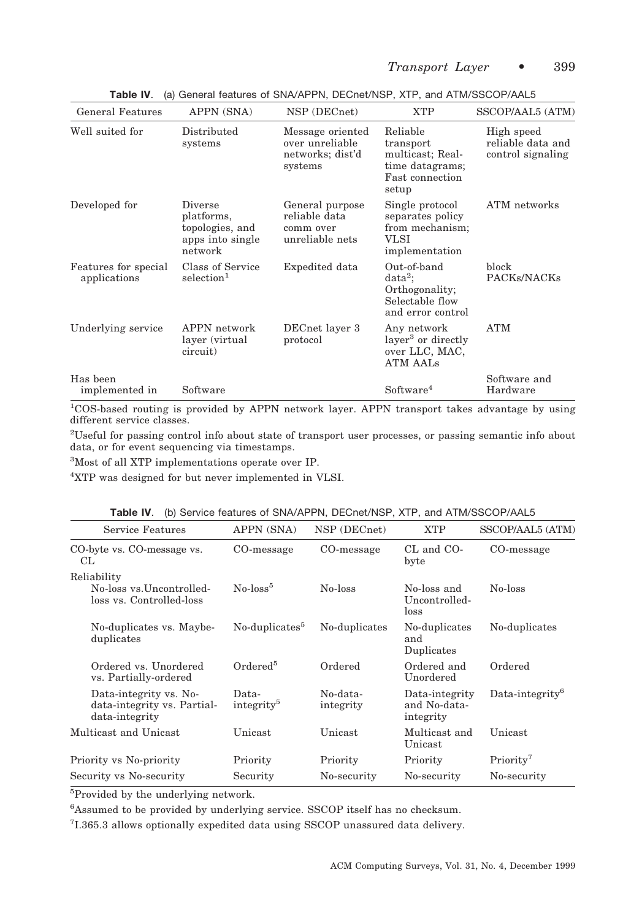| General Features                     | APPN (SNA)                                                              | NSP (DECnet)                                                       | <b>XTP</b>                                                                                      | SSCOP/AAL5 (ATM)                                     |
|--------------------------------------|-------------------------------------------------------------------------|--------------------------------------------------------------------|-------------------------------------------------------------------------------------------------|------------------------------------------------------|
| Well suited for                      | Distributed<br>systems                                                  | Message oriented<br>over unreliable<br>networks; dist'd<br>systems | Reliable<br>transport<br>multicast; Real-<br>time datagrams;<br><b>Fast connection</b><br>setup | High speed<br>reliable data and<br>control signaling |
| Developed for                        | Diverse<br>platforms,<br>topologies, and<br>apps into single<br>network | General purpose<br>reliable data<br>comm over<br>unreliable nets   | Single protocol<br>separates policy<br>from mechanism;<br>VLSI<br>implementation                | ATM networks                                         |
| Features for special<br>applications | Class of Service<br>selection <sup>1</sup>                              | Expedited data                                                     | Out-of-band<br>$data2$ ;<br>Orthogonality;<br>Selectable flow<br>and error control              | block<br>PACKs/NACKs                                 |
| Underlying service                   | APPN network<br>layer (virtual<br>circuit)                              | DECnet layer 3<br>protocol                                         | Any network<br>layer <sup>3</sup> or directly<br>over LLC, MAC,<br><b>ATM AALS</b>              | <b>ATM</b>                                           |
| Has been<br>implemented in           | Software                                                                |                                                                    | Software <sup>4</sup>                                                                           | Software and<br>Hardware                             |

**Table IV**. (a) General features of SNA/APPN, DECnet/NSP, XTP, and ATM/SSCOP/AAL5

1 COS-based routing is provided by APPN network layer. APPN transport takes advantage by using different service classes.

<sup>2</sup>Useful for passing control info about state of transport user processes, or passing semantic info about data, or for event sequencing via timestamps.

3 Most of all XTP implementations operate over IP.

4 XTP was designed for but never implemented in VLSI.

|  |  |  |  |  |  | <b>Table IV.</b> (b) Service features of SNA/APPN, DECnet/NSP, XTP, and ATM/SSCOP/AAL5 |
|--|--|--|--|--|--|----------------------------------------------------------------------------------------|
|--|--|--|--|--|--|----------------------------------------------------------------------------------------|

| Service Features                                                        | APPN (SNA)                      | NSP (DECnet)          | <b>XTP</b>                                  | SSCOP/AAL5 (ATM)            |
|-------------------------------------------------------------------------|---------------------------------|-----------------------|---------------------------------------------|-----------------------------|
| CO-byte vs. CO-message vs.<br>CL.                                       | CO-message                      | CO-message            | $CL$ and $CO-$<br>byte                      | CO-message                  |
| Reliability<br>No-loss vs. Uncontrolled-<br>loss vs. Controlled-loss    | $No-loss5$                      | No-loss               | No-loss and<br>Uncontrolled-<br>loss        | No-loss                     |
| No-duplicates vs. Maybe-<br>duplicates                                  | No-duplicates <sup>5</sup>      | No-duplicates         | No-duplicates<br>and<br>Duplicates          | No-duplicates               |
| Ordered vs. Unordered<br>vs. Partially-ordered                          | Ordered <sup>5</sup>            | Ordered               | Ordered and<br>Unordered                    | Ordered                     |
| Data-integrity vs. No-<br>data-integrity vs. Partial-<br>data-integrity | Data-<br>integrity <sup>5</sup> | No-data-<br>integrity | Data-integrity<br>and No-data-<br>integrity | Data-integrity <sup>6</sup> |
| Multicast and Unicast                                                   | Unicast                         | Unicast               | Multicast and<br>Unicast                    | Unicast                     |
| Priority vs No-priority                                                 | Priority                        | Priority              | Priority                                    | Priority <sup>7</sup>       |
| Security vs No-security                                                 | Security                        | No-security           | No-security                                 | No-security                 |

5 Provided by the underlying network.

6 Assumed to be provided by underlying service. SSCOP itself has no checksum.

<sup>7</sup>I.365.3 allows optionally expedited data using SSCOP unassured data delivery.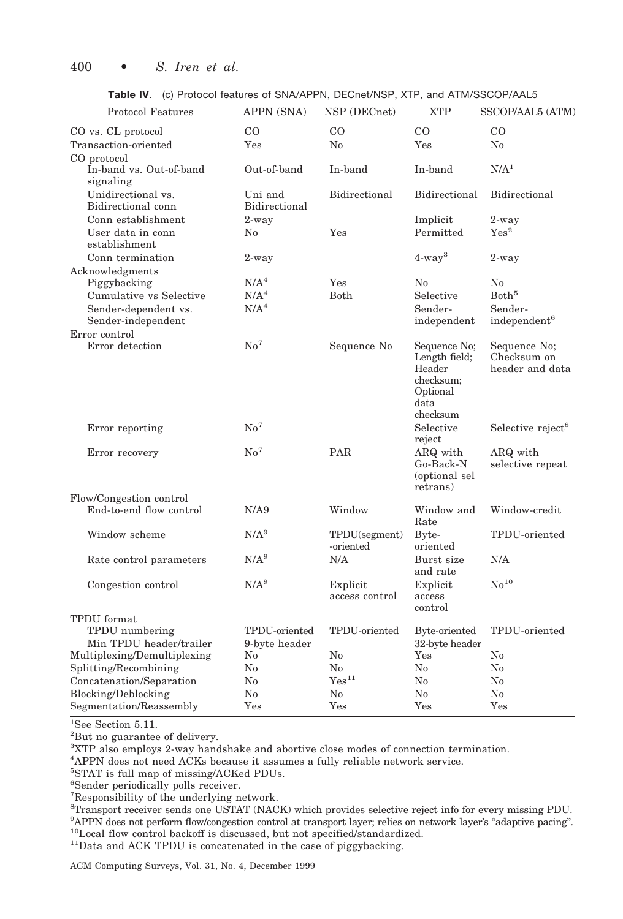## 400 • *S. Iren et al.*

|  | <b>Table IV.</b> (c) Protocol features of SNA/APPN, DECnet/NSP, XTP, and ATM/SSCOP/AAL5 |  |  |  |
|--|-----------------------------------------------------------------------------------------|--|--|--|
|--|-----------------------------------------------------------------------------------------|--|--|--|

| Protocol Features                          | APPN (SNA)               | NSP (DECnet)               | <b>XTP</b>                                          | SSCOP/AAL5 (ATM)                    |
|--------------------------------------------|--------------------------|----------------------------|-----------------------------------------------------|-------------------------------------|
| CO vs. CL protocol                         | CO                       | CO                         | CO                                                  | CO.                                 |
| Transaction-oriented                       | Yes                      | $\rm No$                   | Yes                                                 | No                                  |
| CO protocol                                |                          |                            |                                                     |                                     |
| In-band vs. Out-of-band<br>signaling       | Out-of-band              | In-band                    | In-band                                             | N/A <sup>1</sup>                    |
| Unidirectional vs.<br>Bidirectional conn   | Uni and<br>Bidirectional | <b>Bidirectional</b>       | Bidirectional                                       | Bidirectional                       |
| Conn establishment                         | $2$ -way                 |                            | Implicit                                            | $2$ -way                            |
| User data in conn<br>establishment         | $\rm No$                 | Yes                        | Permitted                                           | Yes <sup>2</sup>                    |
| Conn termination                           | $2$ -way                 |                            | $4$ -way $^3$                                       | $2$ -way                            |
| Acknowledgments                            |                          |                            |                                                     |                                     |
| Piggybacking                               | N/A <sup>4</sup>         | Yes                        | $\rm No$                                            | $\rm No$                            |
| Cumulative vs Selective                    | N/A <sup>4</sup>         | Both                       | Selective                                           | Both <sup>5</sup>                   |
| Sender-dependent vs.<br>Sender-independent | N/A <sup>4</sup>         |                            | Sender-<br>independent                              | Sender-<br>independent <sup>6</sup> |
| Error control<br>Error detection           | $\mathrm{No}^7$          | Sequence No                | Sequence No;<br>Length field;                       | Sequence No;<br>Checksum on         |
|                                            |                          |                            | Header<br>checksum;<br>Optional<br>data<br>checksum | header and data                     |
| Error reporting                            | $\mathrm{No}^7$          |                            | Selective<br>reject                                 | Selective reject <sup>8</sup>       |
| Error recovery                             | $\mathrm{No}^7$          | <b>PAR</b>                 | ARQ with<br>Go-Back-N<br>(optional sel<br>retrans)  | ARQ with<br>selective repeat        |
| Flow/Congestion control                    |                          |                            |                                                     |                                     |
| End-to-end flow control                    | N/49                     | Window                     | Window and<br>Rate                                  | Window-credit                       |
| Window scheme                              | N/A <sup>9</sup>         | TPDU(segment)<br>-oriented | Byte-<br>oriented                                   | TPDU-oriented                       |
| Rate control parameters                    | N/A <sup>9</sup>         | N/A                        | Burst size<br>and rate                              | N/A                                 |
| Congestion control                         | N/A <sup>9</sup>         | Explicit<br>access control | Explicit<br>access<br>control                       | No <sup>10</sup>                    |
| TPDU format                                |                          |                            |                                                     |                                     |
| TPDU numbering                             | TPDU-oriented            | TPDU-oriented              | Byte-oriented                                       | TPDU-oriented                       |
| Min TPDU header/trailer                    | 9-byte header            |                            | 32-byte header                                      |                                     |
| Multiplexing/Demultiplexing                | No                       | $\rm No$                   | Yes                                                 | $\rm No$                            |
| Splitting/Recombining                      | $\rm No$                 | $\rm No$                   | $\rm No$                                            | $\rm No$                            |
| Concatenation/Separation                   | No                       | $\mathrm{Yes}^{11}$        | $\rm No$                                            | $\rm No$                            |
| Blocking/Deblocking                        | No                       | No                         | $\rm No$                                            | $\rm No$                            |
| Segmentation/Reassembly                    | Yes                      | Yes                        | Yes                                                 | Yes                                 |

1 See Section 5.11.

2 But no guarantee of delivery.

<sup>3</sup>XTP also employs 2-way handshake and abortive close modes of connection termination.

4 APPN does not need ACKs because it assumes a fully reliable network service.

5 STAT is full map of missing/ACKed PDUs.

6 Sender periodically polls receiver.

7 Responsibility of the underlying network.

8 Transport receiver sends one USTAT (NACK) which provides selective reject info for every missing PDU. 9 APPN does not perform flow/congestion control at transport layer; relies on network layer's "adaptive pacing". 10Local flow control backoff is discussed, but not specified/standardized.<br><sup>11</sup>Data and ACK TPDU is concatenated in the case of piggybacking.

ACM Computing Surveys, Vol. 31, No. 4, December 1999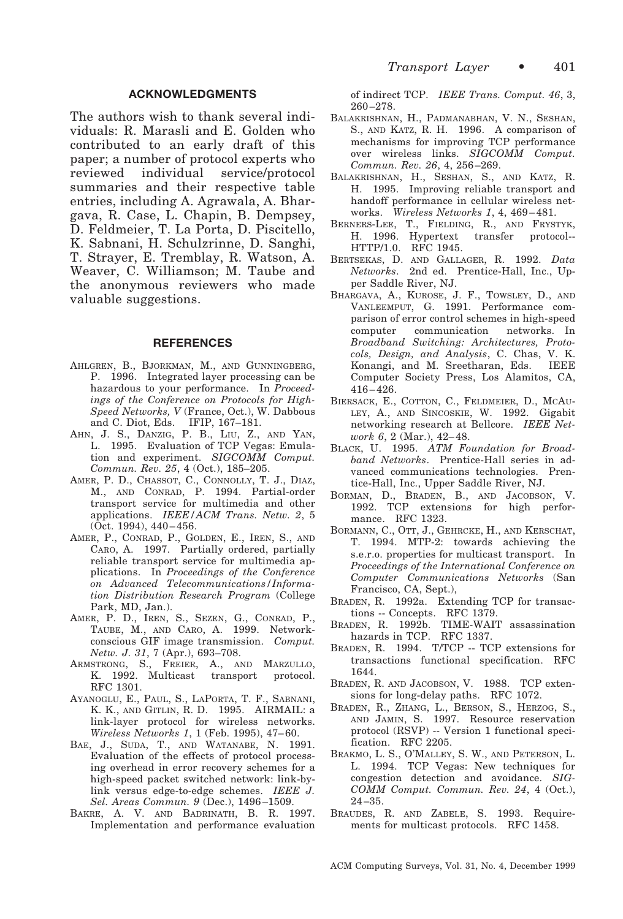### **ACKNOWLEDGMENTS**

The authors wish to thank several individuals: R. Marasli and E. Golden who contributed to an early draft of this paper; a number of protocol experts who reviewed individual service/protocol summaries and their respective table entries, including A. Agrawala, A. Bhargava, R. Case, L. Chapin, B. Dempsey, D. Feldmeier, T. La Porta, D. Piscitello, K. Sabnani, H. Schulzrinne, D. Sanghi, T. Strayer, E. Tremblay, R. Watson, A. Weaver, C. Williamson; M. Taube and the anonymous reviewers who made valuable suggestions.

#### **REFERENCES**

- AHLGREN, B., BJORKMAN, M., AND GUNNINGBERG, P. 1996. Integrated layer processing can be hazardous to your performance. In *Proceedings of the Conference on Protocols for High-Speed Networks, V* (France, Oct.), W. Dabbous and C. Diot, Eds. IFIP, 167–181.
- AHN, J. S., DANZIG, P. B., LIU, Z., AND YAN, L. 1995. Evaluation of TCP Vegas: Emulation and experiment. *SIGCOMM Comput. Commun. Rev. 25*, 4 (Oct.), 185–205.
- AMER, P. D., CHASSOT, C., CONNOLLY, T. J., DIAZ, M., AND CONRAD, P. 1994. Partial-order transport service for multimedia and other applications. *IEEE/ACM Trans. Netw. 2*, 5 (Oct. 1994), 440–456.
- AMER, P., CONRAD, P., GOLDEN, E., IREN, S., AND CARO, A. 1997. Partially ordered, partially reliable transport service for multimedia applications. In *Proceedings of the Conference on Advanced Telecommunications/Information Distribution Research Program* (College Park, MD, Jan.).
- AMER, P. D., IREN, S., SEZEN, G., CONRAD, P., TAUBE, M., AND CARO, A. 1999. Networkconscious GIF image transmission. *Comput. Netw. J. 31*, 7 (Apr.), 693–708.
- ARMSTRONG, S., FREIER, A., AND MARZULLO, K. 1992. Multicast transport protocol. RFC 1301.
- AYANOGLU, E., PAUL, S., LAPORTA, T. F., SABNANI, K. K., AND GITLIN, R. D. 1995. AIRMAIL: a link-layer protocol for wireless networks. *Wireless Networks 1*, 1 (Feb. 1995), 47–60.
- BAE, J., SUDA, T., AND WATANABE, N. 1991. Evaluation of the effects of protocol processing overhead in error recovery schemes for a high-speed packet switched network: link-bylink versus edge-to-edge schemes. *IEEE J. Sel. Areas Commun. 9* (Dec.), 1496–1509.
- BAKRE, A. V. AND BADRINATH, B. R. 1997. Implementation and performance evaluation

of indirect TCP. *IEEE Trans. Comput. 46*, 3, 260–278.

- BALAKRISHNAN, H., PADMANABHAN, V. N., SESHAN, S., AND KATZ, R. H. 1996. A comparison of mechanisms for improving TCP performance over wireless links. *SIGCOMM Comput. Commun. Rev. 26*, 4, 256–269.
- BALAKRISHNAN, H., SESHAN, S., AND KATZ, R. H. 1995. Improving reliable transport and handoff performance in cellular wireless networks. *Wireless Networks 1*, 4, 469–481.
- BERNERS-LEE, T., FIELDING, R., AND FRYSTYK, H. 1996. Hypertext transfer protocol-- HTTP/1.0. RFC 1945.
- BERTSEKAS, D. AND GALLAGER, R. 1992. *Data Networks*. 2nd ed. Prentice-Hall, Inc., Upper Saddle River, NJ.
- BHARGAVA, A., KUROSE, J. F., TOWSLEY, D., AND VANLEEMPUT, G. 1991. Performance comparison of error control schemes in high-speed computer communication networks. In *Broadband Switching: Architectures, Protocols, Design, and Analysis*, C. Chas, V. K. Konangi, and M. Sreetharan, Eds. IEEE Computer Society Press, Los Alamitos, CA, 416–426.
- BIERSACK, E., COTTON, C., FELDMEIER, D., MCAU-LEY, A., AND SINCOSKIE, W. 1992. Gigabit networking research at Bellcore. *IEEE Network 6*, 2 (Mar.), 42–48.
- BLACK, U. 1995. *ATM Foundation for Broadband Networks*. Prentice-Hall series in advanced communications technologies. Prentice-Hall, Inc., Upper Saddle River, NJ.
- BORMAN, D., BRADEN, B., AND JACOBSON, V. 1992. TCP extensions for high performance. RFC 1323.
- BORMANN, C., OTT, J., GEHRCKE, H., AND KERSCHAT, T. 1994. MTP-2: towards achieving the s.e.r.o. properties for multicast transport. In *Proceedings of the International Conference on Computer Communications Networks* (San Francisco, CA, Sept.),
- BRADEN, R. 1992a. Extending TCP for transactions -- Concepts. RFC 1379.
- BRADEN, R. 1992b. TIME-WAIT assassination hazards in TCP. RFC 1337.
- BRADEN, R. 1994. T/TCP -- TCP extensions for transactions functional specification. RFC 1644.
- BRADEN, R. AND JACOBSON, V. 1988. TCP extensions for long-delay paths. RFC 1072.
- BRADEN, R., ZHANG, L., BERSON, S., HERZOG, S., AND JAMIN, S. 1997. Resource reservation protocol (RSVP) -- Version 1 functional specification. RFC 2205.
- BRAKMO, L. S., O'MALLEY, S. W., AND PETERSON, L. L. 1994. TCP Vegas: New techniques for congestion detection and avoidance. *SIG-COMM Comput. Commun. Rev. 24*, 4 (Oct.), 24–35.
- BRAUDES, R. AND ZABELE, S. 1993. Requirements for multicast protocols. RFC 1458.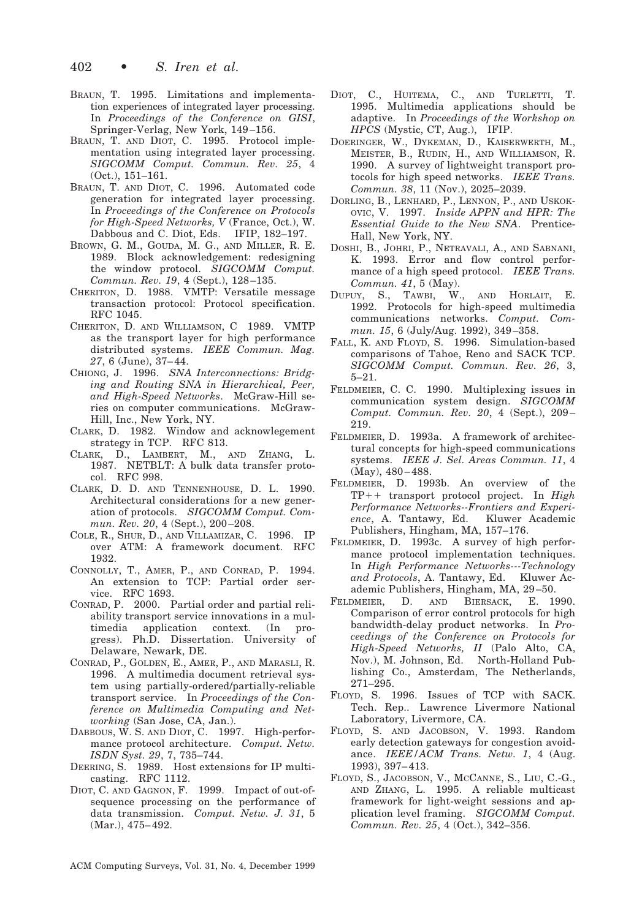- BRAUN, T. 1995. Limitations and implementation experiences of integrated layer processing. In *Proceedings of the Conference on GISI*, Springer-Verlag, New York, 149–156.
- BRAUN, T. AND DIOT, C. 1995. Protocol implementation using integrated layer processing. *SIGCOMM Comput. Commun. Rev. 25*, 4 (Oct.), 151–161.
- BRAUN, T. AND DIOT, C. 1996. Automated code generation for integrated layer processing. In *Proceedings of the Conference on Protocols for High-Speed Networks, V* (France, Oct.), W. Dabbous and C. Diot, Eds. IFIP, 182–197.
- BROWN, G. M., GOUDA, M. G., AND MILLER, R. E. 1989. Block acknowledgement: redesigning the window protocol. *SIGCOMM Comput. Commun. Rev. 19*, 4 (Sept.), 128–135.
- CHERITON, D. 1988. VMTP: Versatile message transaction protocol: Protocol specification. RFC 1045.
- CHERITON, D. AND WILLIAMSON, C 1989. VMTP as the transport layer for high performance distributed systems. *IEEE Commun. Mag. 27*, 6 (June), 37–44.
- CHIONG, J. 1996. *SNA Interconnections: Bridging and Routing SNA in Hierarchical, Peer, and High-Speed Networks*. McGraw-Hill series on computer communications. McGraw-Hill, Inc., New York, NY.
- CLARK, D. 1982. Window and acknowlegement strategy in TCP. RFC 813.
- CLARK, D., LAMBERT, M., AND ZHANG, L. 1987. NETBLT: A bulk data transfer protocol. RFC 998.
- CLARK, D. D. AND TENNENHOUSE, D. L. 1990. Architectural considerations for a new generation of protocols. *SIGCOMM Comput. Commun. Rev. 20*, 4 (Sept.), 200–208.
- COLE, R., SHUR, D., AND VILLAMIZAR, C. 1996. IP over ATM: A framework document. RFC 1932.
- CONNOLLY, T., AMER, P., AND CONRAD, P. 1994. An extension to TCP: Partial order service. RFC 1693.
- CONRAD, P. 2000. Partial order and partial reliability transport service innovations in a multimedia application context. (In progress). Ph.D. Dissertation. University of Delaware, Newark, DE.
- CONRAD, P., GOLDEN, E., AMER, P., AND MARASLI, R. 1996. A multimedia document retrieval system using partially-ordered/partially-reliable transport service. In *Proceedings of the Conference on Multimedia Computing and Networking* (San Jose, CA, Jan.).
- DABBOUS, W. S. AND DIOT, C. 1997. High-performance protocol architecture. *Comput. Netw. ISDN Syst. 29*, 7, 735–744.
- DEERING, S. 1989. Host extensions for IP multicasting. RFC 1112.
- DIOT, C. AND GAGNON, F. 1999. Impact of out-ofsequence processing on the performance of data transmission. *Comput. Netw. J. 31*, 5 (Mar.), 475–492.
- DIOT, C., HUITEMA, C., AND TURLETTI, T. 1995. Multimedia applications should be adaptive. In *Proceedings of the Workshop on HPCS* (Mystic, CT, Aug.), IFIP.
- DOERINGER, W., DYKEMAN, D., KAISERWERTH, M., MEISTER, B., RUDIN, H., AND WILLIAMSON, R. 1990. A survey of lightweight transport protocols for high speed networks. *IEEE Trans. Commun. 38*, 11 (Nov.), 2025–2039.
- DORLING, B., LENHARD, P., LENNON, P., AND USKOK-OVIC, V. 1997. *Inside APPN and HPR: The Essential Guide to the New SNA*. Prentice-Hall, New York, NY.
- DOSHI, B., JOHRI, P., NETRAVALI, A., AND SABNANI, K. 1993. Error and flow control performance of a high speed protocol. *IEEE Trans. Commun. 41*, 5 (May).
- DUPUY, S., TAWBI, W., AND HORLAIT, E. 1992. Protocols for high-speed multimedia communications networks. *Comput. Commun. 15*, 6 (July/Aug. 1992), 349–358.
- FALL, K. AND FLOYD, S. 1996. Simulation-based comparisons of Tahoe, Reno and SACK TCP. *SIGCOMM Comput. Commun. Rev. 26*, 3, 5–21.
- FELDMEIER, C. C. 1990. Multiplexing issues in communication system design. *SIGCOMM Comput. Commun. Rev. 20*, 4 (Sept.), 209– 219.
- FELDMEIER, D. 1993a. A framework of architectural concepts for high-speed communications systems. *IEEE J. Sel. Areas Commun. 11*, 4 (May), 480–488.
- FELDMEIER, D. 1993b. An overview of the TP11 transport protocol project. In *High Performance Networks--Frontiers and Experience*, A. Tantawy, Ed. Kluwer Academic Publishers, Hingham, MA, 157–176.
- FELDMEIER, D. 1993c. A survey of high performance protocol implementation techniques. In *High Performance Networks---Technology and Protocols*, A. Tantawy, Ed. Kluwer Ac-
- ademic Publishers, Hingham, MA, 29–50.<br>DMEIER, D. AND BIERSACK, E. 1990. FELDMEIER, D. AND BIERSACK, Comparison of error control protocols for high bandwidth-delay product networks. In *Proceedings of the Conference on Protocols for High-Speed Networks, II* (Palo Alto, CA, Nov.), M. Johnson, Ed. North-Holland Publishing Co., Amsterdam, The Netherlands, 271–295.
- FLOYD, S. 1996. Issues of TCP with SACK. Tech. Rep.. Lawrence Livermore National Laboratory, Livermore, CA.
- FLOYD, S. AND JACOBSON, V. 1993. Random early detection gateways for congestion avoidance. *IEEE/ACM Trans. Netw. 1*, 4 (Aug. 1993), 397–413.
- FLOYD, S., JACOBSON, V., MCCANNE, S., LIU, C.-G., AND ZHANG, L. 1995. A reliable multicast framework for light-weight sessions and application level framing. *SIGCOMM Comput. Commun. Rev. 25*, 4 (Oct.), 342–356.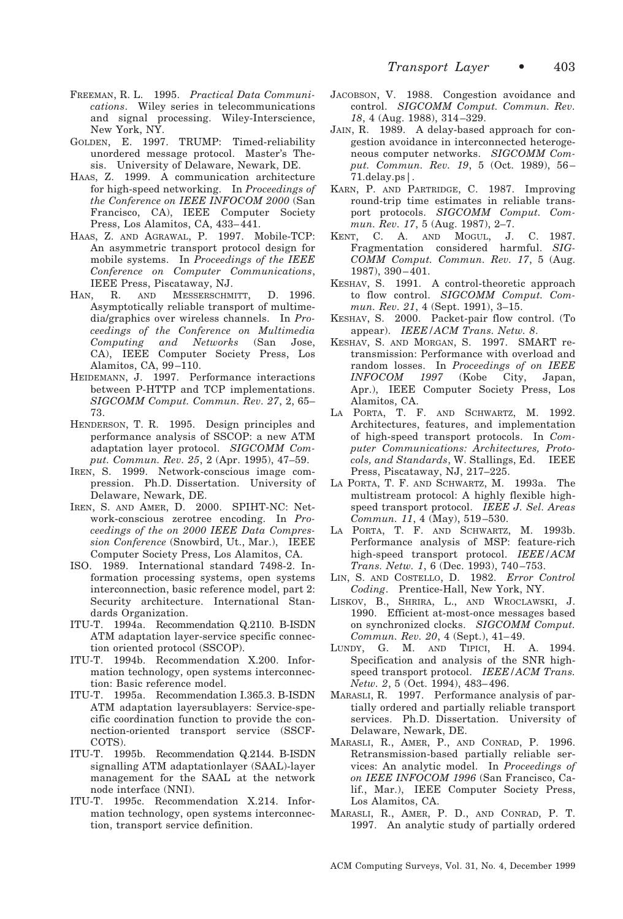- FREEMAN, R. L. 1995. *Practical Data Communications*. Wiley series in telecommunications and signal processing. Wiley-Interscience, New York, NY.
- GOLDEN, E. 1997. TRUMP: Timed-reliability unordered message protocol. Master's Thesis. University of Delaware, Newark, DE.
- HAAS, Z. 1999. A communication architecture for high-speed networking. In *Proceedings of the Conference on IEEE INFOCOM 2000* (San Francisco, CA), IEEE Computer Society Press, Los Alamitos, CA, 433–441.
- HAAS, Z. AND AGRAWAL, P. 1997. Mobile-TCP: An asymmetric transport protocol design for mobile systems. In *Proceedings of the IEEE Conference on Computer Communications*, IEEE Press, Piscataway, NJ.
- HAN, R. AND MESSERSCHMITT, D. 1996. Asymptotically reliable transport of multimedia/graphics over wireless channels. In *Proceedings of the Conference on Multimedia Computing and Networks* (San Jose, CA), IEEE Computer Society Press, Los Alamitos, CA, 99–110.
- HEIDEMANN, J. 1997. Performance interactions between P-HTTP and TCP implementations. *SIGCOMM Comput. Commun. Rev. 27*, 2, 65– 73.
- HENDERSON, T. R. 1995. Design principles and performance analysis of SSCOP: a new ATM adaptation layer protocol. *SIGCOMM Comput. Commun. Rev. 25*, 2 (Apr. 1995), 47–59.
- IREN, S. 1999. Network-conscious image compression. Ph.D. Dissertation. University of Delaware, Newark, DE.
- IREN, S. AND AMER, D. 2000. SPIHT-NC: Network-conscious zerotree encoding. In *Proceedings of the on 2000 IEEE Data Compression Conference* (Snowbird, Ut., Mar.), IEEE Computer Society Press, Los Alamitos, CA.
- ISO. 1989. International standard 7498-2. Information processing systems, open systems interconnection, basic reference model, part 2: Security architecture. International Standards Organization.
- ITU-T. 1994a. Recommendation Q.2110. B-ISDN ATM adaptation layer-service specific connection oriented protocol (SSCOP).
- ITU-T. 1994b. Recommendation X.200. Information technology, open systems interconnection: Basic reference model.
- ITU-T. 1995a. Recommendation I.365.3. B-ISDN ATM adaptation layersublayers: Service-specific coordination function to provide the connection-oriented transport service (SSCF-COTS).
- ITU-T. 1995b. Recommendation Q.2144. B-ISDN signalling ATM adaptationlayer (SAAL)-layer management for the SAAL at the network node interface (NNI).
- ITU-T. 1995c. Recommendation X.214. Information technology, open systems interconnection, transport service definition.
- JACOBSON, V. 1988. Congestion avoidance and control. *SIGCOMM Comput. Commun. Rev. 18*, 4 (Aug. 1988), 314–329.
- JAIN, R. 1989. A delay-based approach for congestion avoidance in interconnected heterogeneous computer networks. *SIGCOMM Comput. Commun. Rev. 19*, 5 (Oct. 1989), 56– 71.delay.ps|.
- KARN, P. AND PARTRIDGE, C. 1987. Improving round-trip time estimates in reliable transport protocols. *SIGCOMM Comput. Commun. Rev. 17*, 5 (Aug. 1987), 2–7.
- KENT, C. A. AND MOGUL, J. C. 1987. Fragmentation considered harmful. *SIG-COMM Comput. Commun. Rev. 17*, 5 (Aug. 1987), 390–401.
- KESHAV, S. 1991. A control-theoretic approach to flow control. *SIGCOMM Comput. Commun. Rev. 21*, 4 (Sept. 1991), 3–15.
- KESHAV, S. 2000. Packet-pair flow control. (To appear). *IEEE/ACM Trans. Netw. 8*.
- KESHAV, S. AND MORGAN, S. 1997. SMART retransmission: Performance with overload and random losses. In *Proceedings of on IEEE INFOCOM 1997* (Kobe City, Japan, Apr.), IEEE Computer Society Press, Los Alamitos, CA.
- LA PORTA, T. F. AND SCHWARTZ, M. 1992. Architectures, features, and implementation of high-speed transport protocols. In *Computer Communications: Architectures, Protocols, and Standards*, W. Stallings, Ed. IEEE Press, Piscataway, NJ, 217–225.
- LA PORTA, T. F. AND SCHWARTZ, M. 1993a. The multistream protocol: A highly flexible highspeed transport protocol. *IEEE J. Sel. Areas Commun. 11*, 4 (May), 519–530.
- LA PORTA, T. F. AND SCHWARTZ, M. 1993b. Performance analysis of MSP: feature-rich high-speed transport protocol. *IEEE/ACM Trans. Netw. 1*, 6 (Dec. 1993), 740–753.
- LIN, S. AND COSTELLO, D. 1982. *Error Control Coding*. Prentice-Hall, New York, NY.
- LISKOV, B., SHRIRA, L., AND WROCLAWSKI, J. 1990. Efficient at-most-once messages based on synchronized clocks. *SIGCOMM Comput. Commun. Rev. 20*, 4 (Sept.), 41–49.
- LUNDY, G. M. AND TIPICI, H. A. 1994. Specification and analysis of the SNR highspeed transport protocol. *IEEE/ACM Trans. Netw. 2*, 5 (Oct. 1994), 483–496.
- MARASLI, R. 1997. Performance analysis of partially ordered and partially reliable transport services. Ph.D. Dissertation. University of Delaware, Newark, DE.
- MARASLI, R., AMER, P., AND CONRAD, P. 1996. Retransmission-based partially reliable services: An analytic model. In *Proceedings of on IEEE INFOCOM 1996* (San Francisco, Calif., Mar.), IEEE Computer Society Press, Los Alamitos, CA.
- MARASLI, R., AMER, P. D., AND CONRAD, P. T. 1997. An analytic study of partially ordered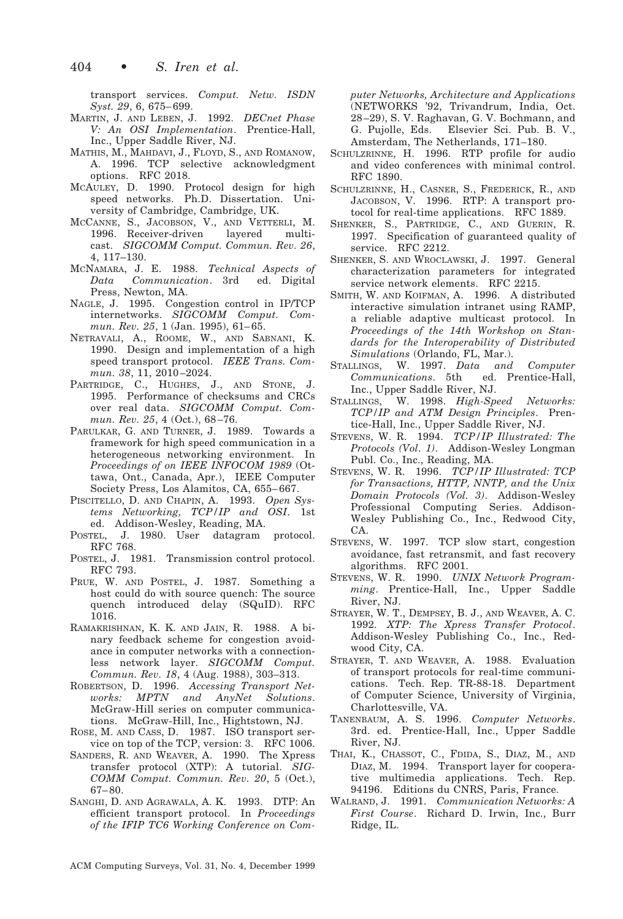transport services. *Comput. Netw. ISDN Syst. 29*, 6, 675–699.

- MARTIN, J. AND LEBEN, J. 1992. *DECnet Phase V: An OSI Implementation*. Prentice-Hall, Inc., Upper Saddle River, NJ.
- MATHIS, M., MAHDAVI, J., FLOYD, S., AND ROMANOW, A. 1996. TCP selective acknowledgment options. RFC 2018.
- MCAULEY, D. 1990. Protocol design for high speed networks. Ph.D. Dissertation. University of Cambridge, Cambridge, UK.
- MCCANNE, S., JACOBSON, V., AND VETTERLI, M. 1996. Receiver-driven layered multicast. *SIGCOMM Comput. Commun. Rev. 26*, 4, 117–130.
- MCNAMARA, J. E. 1988. *Technical Aspects of Data Communication*. 3rd ed. Digital Press, Newton, MA.
- NAGLE, J. 1995. Congestion control in IP/TCP internetworks. *SIGCOMM Comput. Commun. Rev. 25*, 1 (Jan. 1995), 61–65.
- NETRAVALI, A., ROOME, W., AND SABNANI, K. 1990. Design and implementation of a high speed transport protocol. *IEEE Trans. Commun. 38*, 11, 2010–2024.
- PARTRIDGE, C., HUGHES, J., AND STONE, J. 1995. Performance of checksums and CRCs over real data. *SIGCOMM Comput. Commun. Rev. 25*, 4 (Oct.), 68–76.
- PARULKAR, G. AND TURNER, J. 1989. Towards a framework for high speed communication in a heterogeneous networking environment. In *Proceedings of on IEEE INFOCOM 1989* (Ottawa, Ont., Canada, Apr.), IEEE Computer Society Press, Los Alamitos, CA, 655–667.
- PISCITELLO, D. AND CHAPIN, A. 1993. Open Sys*tems Networking, TCP/IP and OSI*. 1st ed. Addison-Wesley, Reading, MA.
- POSTEL, J. 1980. User datagram protocol. RFC 768.
- POSTEL, J. 1981. Transmission control protocol. RFC 793.
- PRUE, W. AND POSTEL, J. 1987. Something a host could do with source quench: The source quench introduced delay (SQuID). RFC 1016.
- RAMAKRISHNAN, K. K. AND JAIN, R. 1988. A binary feedback scheme for congestion avoidance in computer networks with a connectionless network layer. *SIGCOMM Comput. Commun. Rev. 18*, 4 (Aug. 1988), 303–313.
- ROBERTSON, D. 1996. *Accessing Transport Networks: MPTN and AnyNet Solutions*. McGraw-Hill series on computer communications. McGraw-Hill, Inc., Hightstown, NJ.
- ROSE, M. AND CASS, D. 1987. ISO transport service on top of the TCP, version: 3. RFC 1006.
- SANDERS, R. AND WEAVER, A. 1990. The Xpress transfer protocol (XTP): A tutorial. *SIG-COMM Comput. Commun. Rev. 20*, 5 (Oct.), 67–80.
- SANGHI, D. AND AGRAWALA, A. K. 1993. DTP: An efficient transport protocol. In *Proceedings of the IFIP TC6 Working Conference on Com-*

*puter Networks, Architecture and Applications* (NETWORKS '92, Trivandrum, India, Oct. 28–29), S. V. Raghavan, G. V. Bochmann, and G. Pujolle, Eds. Elsevier Sci. Pub. B. V., Amsterdam, The Netherlands, 171–180.

- SCHULZRINNE, H. 1996. RTP profile for audio and video conferences with minimal control. RFC 1890.
- SCHULZRINNE, H., CASNER, S., FREDERICK, R., AND JACOBSON, V. 1996. RTP: A transport protocol for real-time applications. RFC 1889.
- SHENKER, S., PARTRIDGE, C., AND GUERIN, R. 1997. Specification of guaranteed quality of service. RFC 2212.
- SHENKER, S. AND WROCLAWSKI, J. 1997. General characterization parameters for integrated service network elements. RFC 2215.
- SMITH, W. AND KOIFMAN, A. 1996. A distributed interactive simulation intranet using RAMP, a reliable adaptive multicast protocol. In *Proceedings of the 14th Workshop on Standards for the Interoperability of Distributed Simulations* (Orlando, FL, Mar.).
- STALLINGS, W. 1997. *Data and Computer Communications*. 5th Inc., Upper Saddle River, NJ.
- STALLINGS, W. 1998. *High-Speed Networks: TCP/IP and ATM Design Principles*. Prentice-Hall, Inc., Upper Saddle River, NJ.
- STEVENS, W. R. 1994. *TCP/IP Illustrated: The Protocols (Vol. 1)*. Addison-Wesley Longman Publ. Co., Inc., Reading, MA.
- STEVENS, W. R. 1996. *TCP/IP Illustrated: TCP for Transactions, HTTP, NNTP, and the Unix Domain Protocols (Vol. 3)*. Addison-Wesley Professional Computing Series. Addison-Wesley Publishing Co., Inc., Redwood City,  $C_A$
- STEVENS, W. 1997. TCP slow start, congestion avoidance, fast retransmit, and fast recovery algorithms. RFC 2001.
- STEVENS, W. R. 1990. *UNIX Network Programming*. Prentice-Hall, Inc., Upper Saddle River, NJ.
- STRAYER, W. T., DEMPSEY, B. J., AND WEAVER, A. C. 1992. *XTP: The Xpress Transfer Protocol*. Addison-Wesley Publishing Co., Inc., Redwood City, CA.
- STRAYER, T. AND WEAVER, A. 1988. Evaluation of transport protocols for real-time communications. Tech. Rep. TR-88-18. Department of Computer Science, University of Virginia, Charlottesville, VA.
- TANENBAUM, A. S. 1996. *Computer Networks*. 3rd. ed. Prentice-Hall, Inc., Upper Saddle River, NJ.
- THAI, K., CHASSOT, C., FDIDA, S., DIAZ, M., AND DIAZ, M. 1994. Transport layer for cooperative multimedia applications. Tech. Rep. 94196. Editions du CNRS, Paris, France.
- WALRAND, J. 1991. *Communication Networks: A First Course*. Richard D. Irwin, Inc., Burr Ridge, IL.